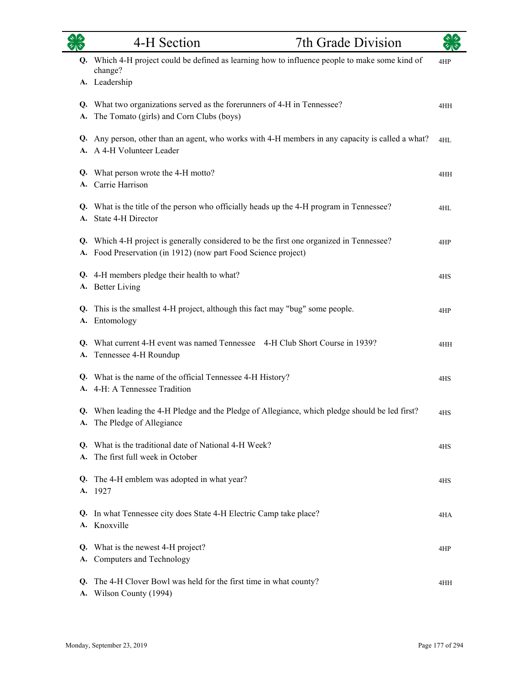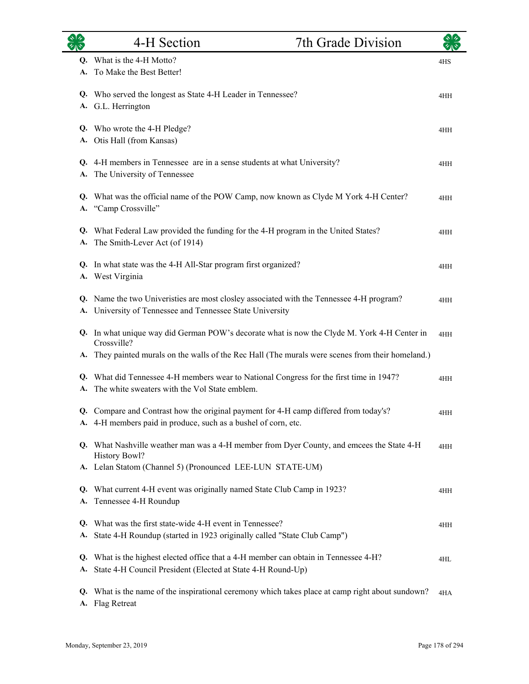|    | 4-H Section                                                                                                | 7th Grade Division |     |
|----|------------------------------------------------------------------------------------------------------------|--------------------|-----|
|    | Q. What is the 4-H Motto?                                                                                  |                    | 4HS |
|    | A. To Make the Best Better!                                                                                |                    |     |
|    | Q. Who served the longest as State 4-H Leader in Tennessee?                                                |                    | 4HH |
|    | A. G.L. Herrington                                                                                         |                    |     |
|    | Q. Who wrote the 4-H Pledge?                                                                               |                    | 4HH |
|    | A. Otis Hall (from Kansas)                                                                                 |                    |     |
|    | Q. 4-H members in Tennessee are in a sense students at what University?                                    |                    | 4HH |
| A. | The University of Tennessee                                                                                |                    |     |
|    | Q. What was the official name of the POW Camp, now known as Clyde M York 4-H Center?                       |                    | 4HH |
|    | A. "Camp Crossville"                                                                                       |                    |     |
|    | Q. What Federal Law provided the funding for the 4-H program in the United States?                         |                    | 4HH |
| A. | The Smith-Lever Act (of 1914)                                                                              |                    |     |
|    | Q. In what state was the 4-H All-Star program first organized?                                             |                    | 4HH |
|    | A. West Virginia                                                                                           |                    |     |
|    | Q. Name the two Univeristies are most closley associated with the Tennessee 4-H program?                   |                    | 4HH |
|    | A. University of Tennessee and Tennessee State University                                                  |                    |     |
|    | Q. In what unique way did German POW's decorate what is now the Clyde M. York 4-H Center in<br>Crossville? |                    | 4HH |
|    | A. They painted murals on the walls of the Rec Hall (The murals were scenes from their homeland.)          |                    |     |
|    | Q. What did Tennessee 4-H members wear to National Congress for the first time in 1947?                    |                    | 4HH |
|    | A. The white sweaters with the Vol State emblem.                                                           |                    |     |
|    | Q. Compare and Contrast how the original payment for 4-H camp differed from today's?                       |                    | 4HH |
|    | A. 4-H members paid in produce, such as a bushel of corn, etc.                                             |                    |     |
|    | Q. What Nashville weather man was a 4-H member from Dyer County, and emcees the State 4-H<br>History Bowl? |                    | 4HH |
|    | A. Lelan Statom (Channel 5) (Pronounced LEE-LUN STATE-UM)                                                  |                    |     |
|    | Q. What current 4-H event was originally named State Club Camp in 1923?                                    |                    | 4HH |
| А. | Tennessee 4-H Roundup                                                                                      |                    |     |
| Q. | What was the first state-wide 4-H event in Tennessee?                                                      |                    | 4HH |
| А. | State 4-H Roundup (started in 1923 originally called "State Club Camp")                                    |                    |     |
|    | Q. What is the highest elected office that a 4-H member can obtain in Tennessee 4-H?                       |                    | 4HL |
| A. | State 4-H Council President (Elected at State 4-H Round-Up)                                                |                    |     |
|    | Q. What is the name of the inspirational ceremony which takes place at camp right about sundown?           |                    | 4HA |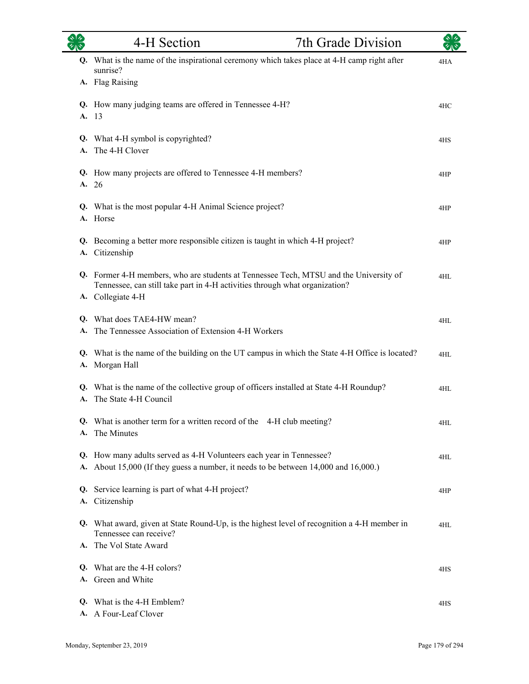|    | 4-H Section                                                                                                                                                                               | 7th Grade Division | কাৰ |
|----|-------------------------------------------------------------------------------------------------------------------------------------------------------------------------------------------|--------------------|-----|
|    | Q. What is the name of the inspirational ceremony which takes place at 4-H camp right after<br>sunrise?                                                                                   |                    | 4HA |
|    | A. Flag Raising                                                                                                                                                                           |                    |     |
|    | Q. How many judging teams are offered in Tennessee 4-H?<br>A. 13                                                                                                                          |                    | 4HC |
| Q. | What 4-H symbol is copyrighted?<br>A. The 4-H Clover                                                                                                                                      |                    | 4HS |
|    | Q. How many projects are offered to Tennessee 4-H members?<br>A. 26                                                                                                                       |                    | 4HP |
|    | Q. What is the most popular 4-H Animal Science project?<br>A. Horse                                                                                                                       |                    | 4HP |
|    | Q. Becoming a better more responsible citizen is taught in which 4-H project?<br>A. Citizenship                                                                                           |                    | 4HP |
|    | Q. Former 4-H members, who are students at Tennessee Tech, MTSU and the University of<br>Tennessee, can still take part in 4-H activities through what organization?<br>A. Collegiate 4-H |                    | 4HL |
| A. | Q. What does TAE4-HW mean?<br>The Tennessee Association of Extension 4-H Workers                                                                                                          |                    | 4HL |
|    | Q. What is the name of the building on the UT campus in which the State 4-H Office is located?<br>A. Morgan Hall                                                                          |                    | 4HL |
|    | Q. What is the name of the collective group of officers installed at State 4-H Roundup?<br>A. The State 4-H Council                                                                       |                    | 4HL |
|    | Q. What is another term for a written record of the 4-H club meeting?<br>A. The Minutes                                                                                                   |                    | 4HL |
|    | Q. How many adults served as 4-H Volunteers each year in Tennessee?<br>A. About 15,000 (If they guess a number, it needs to be between 14,000 and 16,000.)                                |                    | 4HL |
|    | Q. Service learning is part of what 4-H project?<br>A. Citizenship                                                                                                                        |                    | 4HP |
|    | Q. What award, given at State Round-Up, is the highest level of recognition a 4-H member in<br>Tennessee can receive?                                                                     |                    | 4HL |
|    | A. The Vol State Award                                                                                                                                                                    |                    |     |
|    | Q. What are the 4-H colors?<br>A. Green and White                                                                                                                                         |                    | 4HS |
|    | Q. What is the 4-H Emblem?<br>A. A Four-Leaf Clover                                                                                                                                       |                    | 4HS |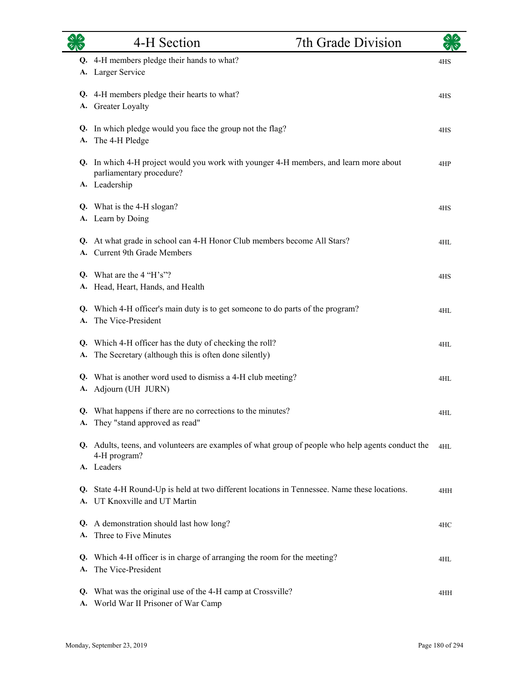| ふしゃ      | 4-H Section                                                                                                                        | 7th Grade Division |     |
|----------|------------------------------------------------------------------------------------------------------------------------------------|--------------------|-----|
| А.       | Q. 4-H members pledge their hands to what?<br>Larger Service                                                                       |                    | 4HS |
| Q.<br>А. | 4-H members pledge their hearts to what?<br><b>Greater Loyalty</b>                                                                 |                    | 4HS |
| А.       | Q. In which pledge would you face the group not the flag?<br>The 4-H Pledge                                                        |                    | 4HS |
|          | Q. In which 4-H project would you work with younger 4-H members, and learn more about<br>parliamentary procedure?<br>A. Leadership |                    | 4HP |
|          | Q. What is the 4-H slogan?<br>A. Learn by Doing                                                                                    |                    | 4HS |
| A.       | Q. At what grade in school can 4-H Honor Club members become All Stars?<br>Current 9th Grade Members                               |                    | 4HL |
| Q.<br>А. | What are the $4$ "H's"?<br>Head, Heart, Hands, and Health                                                                          |                    | 4HS |
| Q.<br>А. | Which 4-H officer's main duty is to get someone to do parts of the program?<br>The Vice-President                                  |                    | 4HL |
| Q.<br>А. | Which 4-H officer has the duty of checking the roll?<br>The Secretary (although this is often done silently)                       |                    | 4HL |
| Q.<br>А. | What is another word used to dismiss a 4-H club meeting?<br>Adjourn (UH JURN)                                                      |                    | 4HL |
|          | Q. What happens if there are no corrections to the minutes?<br>A. They "stand approved as read"                                    |                    | 4HL |
|          | Q. Adults, teens, and volunteers are examples of what group of people who help agents conduct the<br>4-H program?<br>A. Leaders    |                    | 4HL |
| Q.       | State 4-H Round-Up is held at two different locations in Tennessee. Name these locations.<br>A. UT Knoxville and UT Martin         |                    | 4HH |
|          | Q. A demonstration should last how long?<br>Three to Five Minutes                                                                  |                    | 4HC |
| Q.<br>А. | Which 4-H officer is in charge of arranging the room for the meeting?<br>The Vice-President                                        |                    | 4HL |
| Q.<br>А. | What was the original use of the 4-H camp at Crossville?<br>World War II Prisoner of War Camp                                      |                    | 4HH |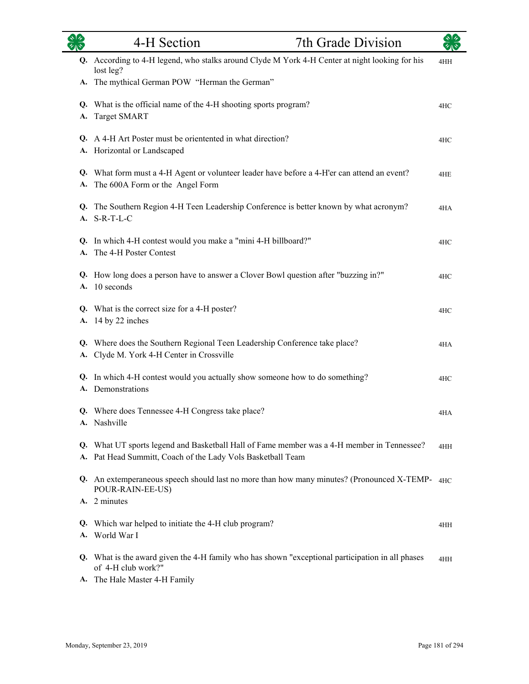| <b>OR</b> | 4-H Section                                                                                                                                               | 7th Grade Division |     |
|-----------|-----------------------------------------------------------------------------------------------------------------------------------------------------------|--------------------|-----|
|           | Q. According to 4-H legend, who stalks around Clyde M York 4-H Center at night looking for his<br>lost leg?                                               |                    | 4HH |
|           | A. The mythical German POW "Herman the German"                                                                                                            |                    |     |
| А.        | Q. What is the official name of the 4-H shooting sports program?<br><b>Target SMART</b>                                                                   |                    | 4HC |
|           | Q. A 4-H Art Poster must be orientented in what direction?<br>A. Horizontal or Landscaped                                                                 |                    | 4HC |
| А.        | Q. What form must a 4-H Agent or volunteer leader have before a 4-H'er can attend an event?<br>The 600A Form or the Angel Form                            |                    | 4HE |
|           | Q. The Southern Region 4-H Teen Leadership Conference is better known by what acronym?<br>A. S-R-T-L-C                                                    |                    | 4HA |
|           | Q. In which 4-H contest would you make a "mini 4-H billboard?"<br>A. The 4-H Poster Contest                                                               |                    | 4HC |
|           | Q. How long does a person have to answer a Clover Bowl question after "buzzing in?"<br>A. 10 seconds                                                      |                    | 4HC |
| А.        | Q. What is the correct size for a 4-H poster?<br>14 by 22 inches                                                                                          |                    | 4HC |
| А.        | Q. Where does the Southern Regional Teen Leadership Conference take place?<br>Clyde M. York 4-H Center in Crossville                                      |                    | 4HA |
|           | Q. In which 4-H contest would you actually show someone how to do something?<br>A. Demonstrations                                                         |                    | 4HC |
|           | Q. Where does Tennessee 4-H Congress take place?<br>A. Nashville                                                                                          |                    | 4HA |
|           | Q. What UT sports legend and Basketball Hall of Fame member was a 4-H member in Tennessee?<br>A. Pat Head Summitt, Coach of the Lady Vols Basketball Team |                    | 4HH |
|           | Q. An extemperaneous speech should last no more than how many minutes? (Pronounced X-TEMP-4HC)<br>POUR-RAIN-EE-US)                                        |                    |     |
|           | A. 2 minutes                                                                                                                                              |                    |     |
|           | Q. Which war helped to initiate the 4-H club program?<br>A. World War I                                                                                   |                    | 4HH |
|           | Q. What is the award given the 4-H family who has shown "exceptional participation in all phases<br>of 4-H club work?"                                    |                    | 4HH |
| А.        | The Hale Master 4-H Family                                                                                                                                |                    |     |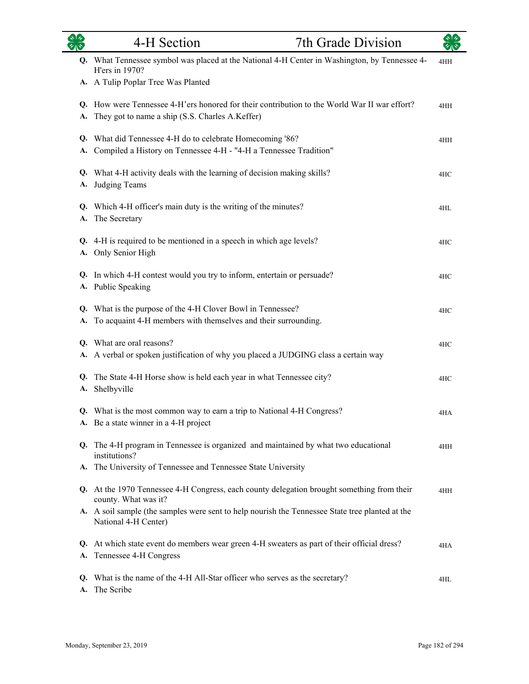|    | 4-H Section                                                                                                                                     | 7th Grade Division | $\sqrt[3]{2}$ |
|----|-------------------------------------------------------------------------------------------------------------------------------------------------|--------------------|---------------|
|    | Q. What Tennessee symbol was placed at the National 4-H Center in Washington, by Tennessee 4-<br>H'ers in 1970?                                 |                    | 4HH           |
|    | A. A Tulip Poplar Tree Was Planted                                                                                                              |                    |               |
| A. | Q. How were Tennessee 4-H'ers honored for their contribution to the World War II war effort?<br>They got to name a ship (S.S. Charles A.Keffer) |                    | 4HH           |
| A. | Q. What did Tennessee 4-H do to celebrate Homecoming '86?<br>Compiled a History on Tennessee 4-H - "4-H a Tennessee Tradition"                  |                    | 4HH           |
|    | Q. What 4-H activity deals with the learning of decision making skills?<br>A. Judging Teams                                                     |                    | 4HC           |
| A. | Q. Which 4-H officer's main duty is the writing of the minutes?<br>The Secretary                                                                |                    | 4HL           |
|    | Q. 4-H is required to be mentioned in a speech in which age levels?<br>A. Only Senior High                                                      |                    | 4HC           |
|    | Q. In which 4-H contest would you try to inform, entertain or persuade?<br>A. Public Speaking                                                   |                    | 4HC           |
| A. | Q. What is the purpose of the 4-H Clover Bowl in Tennessee?<br>To acquaint 4-H members with themselves and their surrounding.                   |                    | 4HC           |
|    | Q. What are oral reasons?<br>A. A verbal or spoken justification of why you placed a JUDGING class a certain way                                |                    | 4HC           |
| Q. | The State 4-H Horse show is held each year in what Tennessee city?<br>A. Shelbyville                                                            |                    | 4HC           |
|    | Q. What is the most common way to earn a trip to National 4-H Congress?<br>A. Be a state winner in a 4-H project                                |                    | 4HA           |
|    | Q. The 4-H program in Tennessee is organized and maintained by what two educational<br>institutions?                                            |                    | 4HH           |
| A. | The University of Tennessee and Tennessee State University                                                                                      |                    |               |
|    | Q. At the 1970 Tennessee 4-H Congress, each county delegation brought something from their<br>county. What was it?                              |                    | 4HH           |
|    | A. A soil sample (the samples were sent to help nourish the Tennessee State tree planted at the<br>National 4-H Center)                         |                    |               |
| A. | Q. At which state event do members wear green 4-H sweaters as part of their official dress?<br>Tennessee 4-H Congress                           |                    | 4HA           |
| A. | Q. What is the name of the 4-H All-Star officer who serves as the secretary?<br>The Scribe                                                      |                    | 4HL           |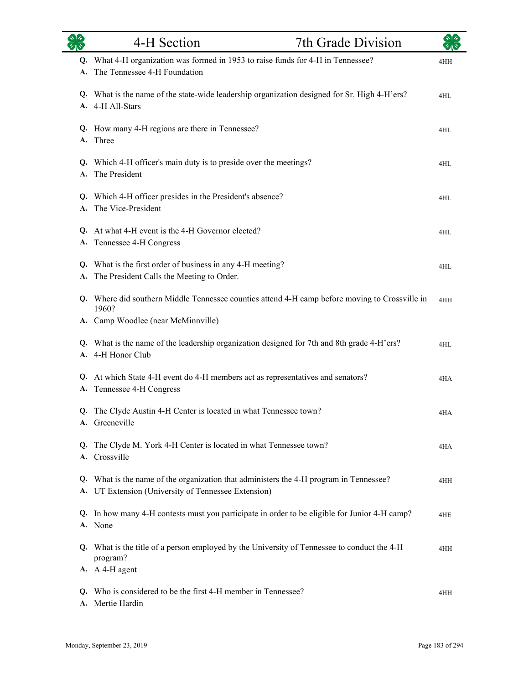| $\overline{\mathscr{C}}$ $\mathbb{R}$ | 4-H Section                                                                                                                                           | 7th Grade Division |     |
|---------------------------------------|-------------------------------------------------------------------------------------------------------------------------------------------------------|--------------------|-----|
| Q.<br>A.                              | What 4-H organization was formed in 1953 to raise funds for 4-H in Tennessee?<br>The Tennessee 4-H Foundation                                         |                    | 4HH |
|                                       | Q. What is the name of the state-wide leadership organization designed for Sr. High 4-H'ers?<br>A. 4-H All-Stars                                      |                    | 4HL |
|                                       | Q. How many 4-H regions are there in Tennessee?<br>A. Three                                                                                           |                    | 4HL |
| A.                                    | Q. Which 4-H officer's main duty is to preside over the meetings?<br>The President                                                                    |                    | 4HL |
| А.                                    | Q. Which 4-H officer presides in the President's absence?<br>The Vice-President                                                                       |                    | 4HL |
| Q.<br>А.                              | At what 4-H event is the 4-H Governor elected?<br>Tennessee 4-H Congress                                                                              |                    | 4HL |
| A.                                    | Q. What is the first order of business in any 4-H meeting?<br>The President Calls the Meeting to Order.                                               |                    | 4HL |
|                                       | Q. Where did southern Middle Tennessee counties attend 4-H camp before moving to Crossville in<br>1960?                                               |                    | 4HH |
|                                       | A. Camp Woodlee (near McMinnville)<br>Q. What is the name of the leadership organization designed for 7th and 8th grade 4-H'ers?<br>A. 4-H Honor Club |                    | 4HL |
| A.                                    | Q. At which State 4-H event do 4-H members act as representatives and senators?<br>Tennessee 4-H Congress                                             |                    | 4HA |
| Q.                                    | The Clyde Austin 4-H Center is located in what Tennessee town?<br>A. Greeneville                                                                      |                    | 4HA |
| Q.                                    | The Clyde M. York 4-H Center is located in what Tennessee town?<br>A. Crossville                                                                      |                    | 4HA |
|                                       | Q. What is the name of the organization that administers the 4-H program in Tennessee?<br>A. UT Extension (University of Tennessee Extension)         |                    | 4HH |
| Q.                                    | In how many 4-H contests must you participate in order to be eligible for Junior 4-H camp?<br>A. None                                                 |                    | 4HE |
| Q.                                    | What is the title of a person employed by the University of Tennessee to conduct the 4-H<br>program?                                                  |                    | 4HH |
| Q.<br>A.                              | A. A 4-H agent<br>Who is considered to be the first 4-H member in Tennessee?<br>Mertie Hardin                                                         |                    | 4HH |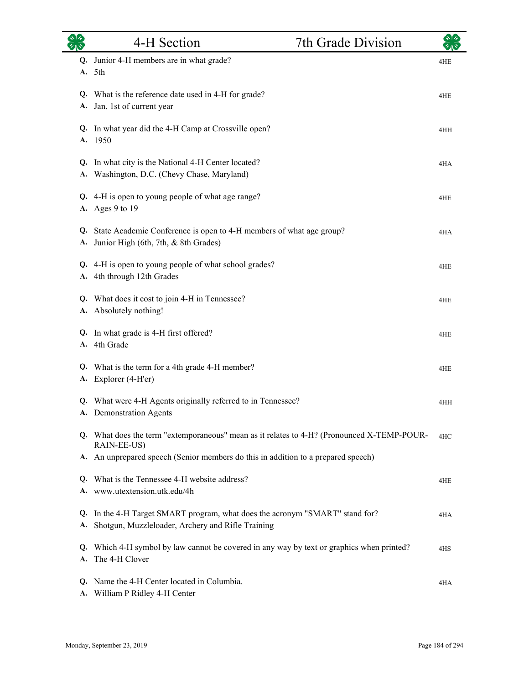|          | 4-H Section                                                                                                                    | 7th Grade Division |     |
|----------|--------------------------------------------------------------------------------------------------------------------------------|--------------------|-----|
| Q.<br>А. | Junior 4-H members are in what grade?<br>5th                                                                                   |                    | 4HE |
| Q.<br>А. | What is the reference date used in 4-H for grade?<br>Jan. 1st of current year                                                  |                    | 4HE |
| А.       | Q. In what year did the 4-H Camp at Crossville open?<br>1950                                                                   |                    | 4HH |
| Q.       | In what city is the National 4-H Center located?<br>A. Washington, D.C. (Chevy Chase, Maryland)                                |                    | 4HA |
|          | Q. 4-H is open to young people of what age range?<br>A. Ages 9 to 19                                                           |                    | 4HE |
| Q.       | State Academic Conference is open to 4-H members of what age group?<br>A. Junior High (6th, 7th, & 8th Grades)                 |                    | 4HA |
|          | Q. 4-H is open to young people of what school grades?<br>A. 4th through 12th Grades                                            |                    | 4HE |
| А.       | Q. What does it cost to join 4-H in Tennessee?<br>Absolutely nothing!                                                          |                    | 4HE |
| А.       | Q. In what grade is 4-H first offered?<br>4th Grade                                                                            |                    | 4HE |
| Q.<br>А. | What is the term for a 4th grade 4-H member?<br>Explorer (4-H'er)                                                              |                    | 4HE |
|          | Q. What were 4-H Agents originally referred to in Tennessee?<br>A. Demonstration Agents                                        |                    | 4HH |
|          | Q. What does the term "extemporaneous" mean as it relates to 4-H? (Pronounced X-TEMP-POUR-<br>RAIN-EE-US)                      |                    | 4HC |
|          | A. An unprepared speech (Senior members do this in addition to a prepared speech)                                              |                    |     |
| Q.       | What is the Tennessee 4-H website address?<br>A. www.utextension.utk.edu/4h                                                    |                    | 4HE |
| Q.<br>А. | In the 4-H Target SMART program, what does the acronym "SMART" stand for?<br>Shotgun, Muzzleloader, Archery and Rifle Training |                    | 4HA |
| А.       | Q. Which 4-H symbol by law cannot be covered in any way by text or graphics when printed?<br>The 4-H Clover                    |                    | 4HS |
| Q.<br>А. | Name the 4-H Center located in Columbia.<br>William P Ridley 4-H Center                                                        |                    | 4HA |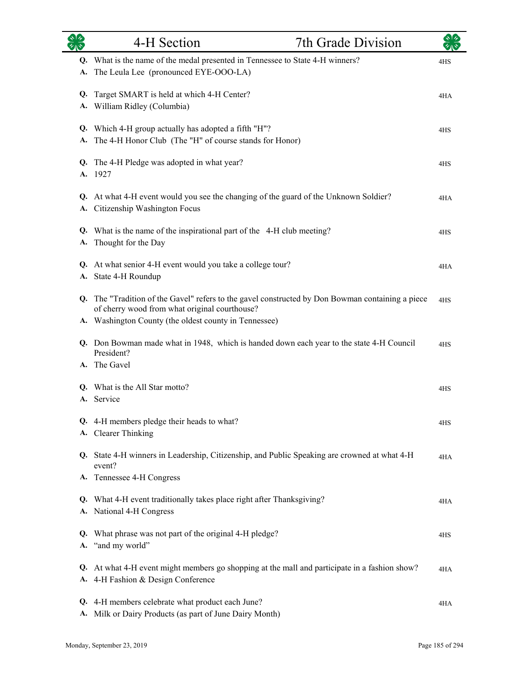| タルや      | 4-H Section                                                                                                                                                                                                | 7th Grade Division |     |
|----------|------------------------------------------------------------------------------------------------------------------------------------------------------------------------------------------------------------|--------------------|-----|
| A.       | Q. What is the name of the medal presented in Tennessee to State 4-H winners?<br>The Leula Lee (pronounced EYE-OOO-LA)                                                                                     |                    | 4HS |
| Q.<br>А. | Target SMART is held at which 4-H Center?<br>William Ridley (Columbia)                                                                                                                                     |                    | 4HA |
| A.       | Q. Which 4-H group actually has adopted a fifth "H"?<br>The 4-H Honor Club (The "H" of course stands for Honor)                                                                                            |                    | 4HS |
| А.       | Q. The 4-H Pledge was adopted in what year?<br>1927                                                                                                                                                        |                    | 4HS |
|          | Q. At what 4-H event would you see the changing of the guard of the Unknown Soldier?<br>A. Citizenship Washington Focus                                                                                    |                    | 4HA |
| A.       | Q. What is the name of the inspirational part of the 4-H club meeting?<br>Thought for the Day                                                                                                              |                    | 4HS |
|          | Q. At what senior 4-H event would you take a college tour?<br>A. State 4-H Roundup                                                                                                                         |                    | 4HA |
|          | Q. The "Tradition of the Gavel" refers to the gavel constructed by Don Bowman containing a piece<br>of cherry wood from what original courthouse?<br>A. Washington County (the oldest county in Tennessee) |                    | 4HS |
|          | Q. Don Bowman made what in 1948, which is handed down each year to the state 4-H Council<br>President?                                                                                                     |                    | 4HS |
|          | A. The Gavel                                                                                                                                                                                               |                    |     |
| Q.<br>A. | What is the All Star motto?<br>Service                                                                                                                                                                     |                    | 4HS |
|          | Q. 4-H members pledge their heads to what?<br>A. Clearer Thinking                                                                                                                                          |                    | 4HS |
|          | Q. State 4-H winners in Leadership, Citizenship, and Public Speaking are crowned at what 4-H<br>event?                                                                                                     |                    | 4HA |
| Q.       | A. Tennessee 4-H Congress<br>What 4-H event traditionally takes place right after Thanksgiving?<br>A. National 4-H Congress                                                                                |                    | 4HA |
| А.       | Q. What phrase was not part of the original 4-H pledge?<br>"and my world"                                                                                                                                  |                    | 4HS |
| Q.       | At what 4-H event might members go shopping at the mall and participate in a fashion show?<br>A. 4-H Fashion & Design Conference                                                                           |                    | 4HA |
| Q.<br>А. | 4-H members celebrate what product each June?<br>Milk or Dairy Products (as part of June Dairy Month)                                                                                                      |                    | 4HA |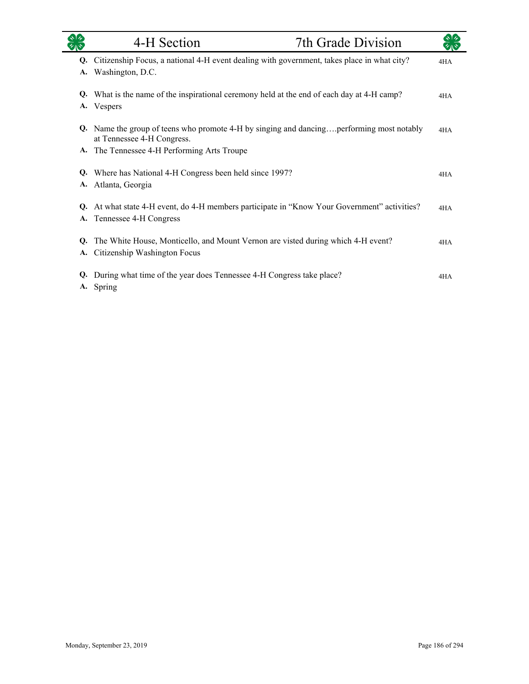|    | 4-H Section                                                                                                            | 7th Grade Division |     |
|----|------------------------------------------------------------------------------------------------------------------------|--------------------|-----|
| Q. | Citizenship Focus, a national 4-H event dealing with government, takes place in what city?                             |                    | 4HA |
| A. | Washington, D.C.                                                                                                       |                    |     |
| Q. | What is the name of the inspirational ceremony held at the end of each day at 4-H camp?                                |                    | 4HA |
| A. | Vespers                                                                                                                |                    |     |
|    | Q. Name the group of teens who promote 4-H by singing and dancingperforming most notably<br>at Tennessee 4-H Congress. |                    | 4HA |
|    | A. The Tennessee 4-H Performing Arts Troupe                                                                            |                    |     |
| Q. | Where has National 4-H Congress been held since 1997?                                                                  |                    | 4HA |
| A. | Atlanta, Georgia                                                                                                       |                    |     |
| Q. | At what state 4-H event, do 4-H members participate in "Know Your Government" activities?                              |                    | 4HA |
|    | A. Tennessee 4-H Congress                                                                                              |                    |     |
| Q. | The White House, Monticello, and Mount Vernon are visted during which 4-H event?                                       |                    | 4HA |
| A. | Citizenship Washington Focus                                                                                           |                    |     |
| Q. | During what time of the year does Tennessee 4-H Congress take place?<br>A. Spring                                      |                    | 4HA |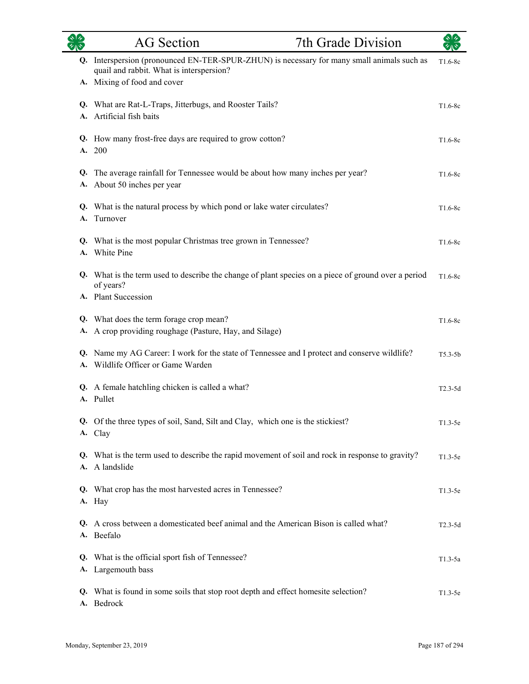|    | <b>AG</b> Section                                                                                                                                                     | 7th Grade Division |           |
|----|-----------------------------------------------------------------------------------------------------------------------------------------------------------------------|--------------------|-----------|
|    | Q. Interspersion (pronounced EN-TER-SPUR-ZHUN) is necessary for many small animals such as<br>quail and rabbit. What is interspersion?<br>A. Mixing of food and cover |                    | $T1.6-8c$ |
|    | Q. What are Rat-L-Traps, Jitterbugs, and Rooster Tails?<br>A. Artificial fish baits                                                                                   |                    | $T1.6-8c$ |
|    | Q. How many frost-free days are required to grow cotton?<br>A. 200                                                                                                    |                    | $T1.6-8c$ |
|    | Q. The average rainfall for Tennessee would be about how many inches per year?<br>A. About 50 inches per year                                                         |                    | $T1.6-8c$ |
| A. | Q. What is the natural process by which pond or lake water circulates?<br>Turnover                                                                                    |                    | $T1.6-8c$ |
|    | Q. What is the most popular Christmas tree grown in Tennessee?<br>A. White Pine                                                                                       |                    | $T1.6-8c$ |
|    | Q. What is the term used to describe the change of plant species on a piece of ground over a period<br>of years?<br>A. Plant Succession                               |                    | $T1.6-8c$ |
|    | Q. What does the term forage crop mean?<br>A. A crop providing roughage (Pasture, Hay, and Silage)                                                                    |                    | $T1.6-8c$ |
|    | Q. Name my AG Career: I work for the state of Tennessee and I protect and conserve wildlife?<br>A. Wildlife Officer or Game Warden                                    |                    | $T5.3-5b$ |
|    | Q. A female hatchling chicken is called a what?<br>A. Pullet                                                                                                          |                    | $T2.3-5d$ |
|    | Q. Of the three types of soil, Sand, Silt and Clay, which one is the stickiest?<br>A. Clay                                                                            |                    | $T1.3-5e$ |
|    | Q. What is the term used to describe the rapid movement of soil and rock in response to gravity?<br>A. A landslide                                                    |                    | $T1.3-5e$ |
|    | Q. What crop has the most harvested acres in Tennessee?<br>A. Hay                                                                                                     |                    | $T1.3-5e$ |
|    | Q. A cross between a domesticated beef animal and the American Bison is called what?<br>A. Beefalo                                                                    |                    | $T2.3-5d$ |
|    | Q. What is the official sport fish of Tennessee?<br>A. Largemouth bass                                                                                                |                    | $T1.3-5a$ |
|    | Q. What is found in some soils that stop root depth and effect homesite selection?<br>A. Bedrock                                                                      |                    | $T1.3-5e$ |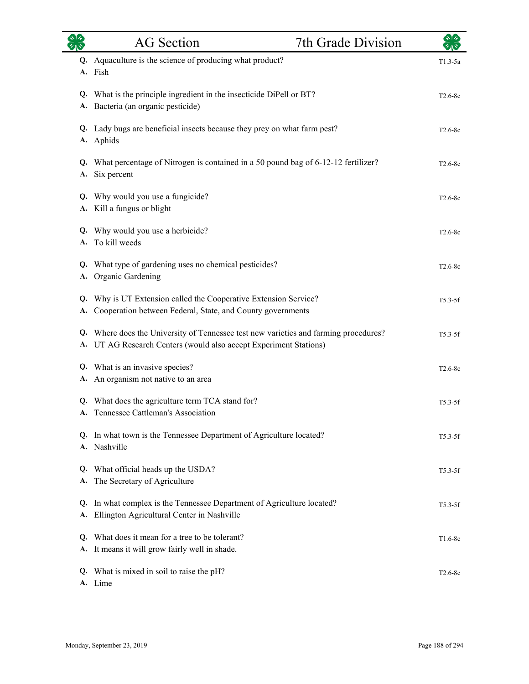|           | <b>AG</b> Section                                                                                                                                         | 7th Grade Division |           |
|-----------|-----------------------------------------------------------------------------------------------------------------------------------------------------------|--------------------|-----------|
| Q.        | Aquaculture is the science of producing what product?<br>A. Fish                                                                                          |                    | $T1.3-5a$ |
| Q.<br>А.  | What is the principle ingredient in the insecticide DiPell or BT?<br>Bacteria (an organic pesticide)                                                      |                    | $T2.6-8c$ |
|           | Q. Lady bugs are beneficial insects because they prey on what farm pest?<br>A. Aphids                                                                     |                    | $T2.6-8c$ |
| Q.<br>A.  | What percentage of Nitrogen is contained in a 50 pound bag of 6-12-12 fertilizer?<br>Six percent                                                          |                    | T2.6-8c   |
| Q.<br>А.  | Why would you use a fungicide?<br>Kill a fungus or blight                                                                                                 |                    | $T2.6-8c$ |
| A.        | Q. Why would you use a herbicide?<br>To kill weeds                                                                                                        |                    | $T2.6-8c$ |
| Q.<br>A.  | What type of gardening uses no chemical pesticides?<br>Organic Gardening                                                                                  |                    | $T2.6-8c$ |
| Q.<br>А.  | Why is UT Extension called the Cooperative Extension Service?<br>Cooperation between Federal, State, and County governments                               |                    | $T5.3-5f$ |
|           | Q. Where does the University of Tennessee test new varieties and farming procedures?<br>A. UT AG Research Centers (would also accept Experiment Stations) |                    | $T5.3-5f$ |
| А.        | Q. What is an invasive species?<br>An organism not native to an area                                                                                      |                    | $T2.6-8c$ |
|           | Q. What does the agriculture term TCA stand for?<br>A. Tennessee Cattleman's Association                                                                  |                    | T5.3-5f   |
|           | Q. In what town is the Tennessee Department of Agriculture located?<br>A. Nashville                                                                       |                    | $T5.3-5f$ |
| Q.<br>А.  | What official heads up the USDA?<br>The Secretary of Agriculture                                                                                          |                    | $T5.3-5f$ |
| Q.<br>A.  | In what complex is the Tennessee Department of Agriculture located?<br>Ellington Agricultural Center in Nashville                                         |                    | $T5.3-5f$ |
| Q.<br>A.  | What does it mean for a tree to be tolerant?<br>It means it will grow fairly well in shade.                                                               |                    | $T1.6-8c$ |
| <b>A.</b> | Q. What is mixed in soil to raise the pH?<br>Lime                                                                                                         |                    | $T2.6-8c$ |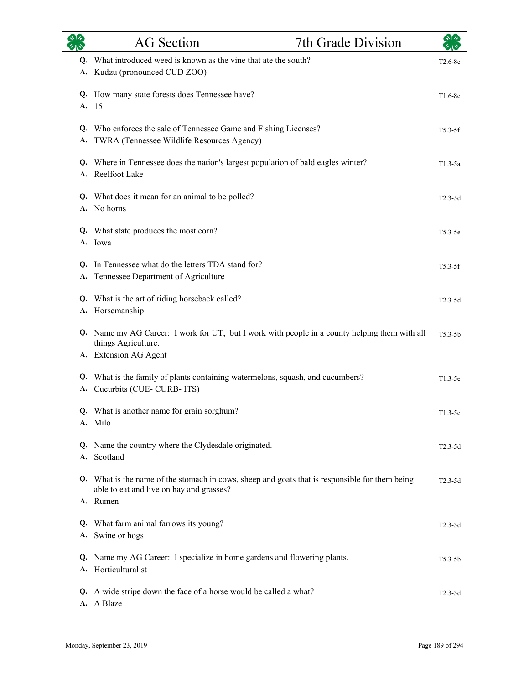|          | <b>AG</b> Section<br>7th Grade Division                                                                                                    |             |
|----------|--------------------------------------------------------------------------------------------------------------------------------------------|-------------|
|          | Q. What introduced weed is known as the vine that ate the south?<br>A. Kudzu (pronounced CUD ZOO)                                          | T2.6-8c     |
| A.       | Q. How many state forests does Tennessee have?<br>-15                                                                                      | $T1.6-8c$   |
| A.       | Q. Who enforces the sale of Tennessee Game and Fishing Licenses?<br>TWRA (Tennessee Wildlife Resources Agency)                             | $T5.3-5f$   |
|          | Q. Where in Tennessee does the nation's largest population of bald eagles winter?<br>A. Reelfoot Lake                                      | $T1.3-5a$   |
|          | Q. What does it mean for an animal to be polled?<br>A. No horns                                                                            | $T2.3-5d$   |
|          | Q. What state produces the most corn?<br>A. Iowa                                                                                           | $T5.3-5e$   |
| Q.<br>А. | In Tennessee what do the letters TDA stand for?<br>Tennessee Department of Agriculture                                                     | $T5.3-5f$   |
|          | Q. What is the art of riding horseback called?<br>A. Horsemanship                                                                          | $T2.3-5d$   |
|          | Q. Name my AG Career: I work for UT, but I work with people in a county helping them with all<br>things Agriculture.                       | $T5.3-5b$   |
|          | A. Extension AG Agent                                                                                                                      |             |
| А.       | Q. What is the family of plants containing watermelons, squash, and cucumbers?<br>Cucurbits (CUE-CURB-ITS)                                 | $T1.3-5e$   |
|          | Q. What is another name for grain sorghum?<br>A. Milo                                                                                      | $T1.3-5e$   |
|          | Q. Name the country where the Clydesdale originated.<br>A. Scotland                                                                        | $T2.3-5d$   |
|          | Q. What is the name of the stomach in cows, sheep and goats that is responsible for them being<br>able to eat and live on hay and grasses? | $T2.3 - 5d$ |
|          | A. Rumen                                                                                                                                   |             |
|          | Q. What farm animal farrows its young?<br>A. Swine or hogs                                                                                 | $T2.3-5d$   |
|          | Q. Name my AG Career: I specialize in home gardens and flowering plants.<br>A. Horticulturalist                                            | $T5.3 - 5b$ |
|          | Q. A wide stripe down the face of a horse would be called a what?<br>A. A Blaze                                                            | $T2.3-5d$   |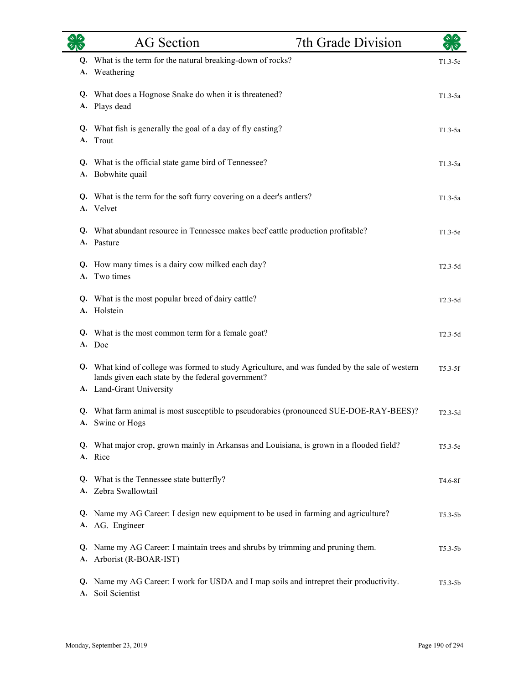|                 | <b>AG</b> Section                                                                                                                                                               | 7th Grade Division |                      |
|-----------------|---------------------------------------------------------------------------------------------------------------------------------------------------------------------------------|--------------------|----------------------|
| Q.<br><b>A.</b> | What is the term for the natural breaking-down of rocks?<br>Weathering                                                                                                          |                    | $T1.3-5e$            |
| A.              | Q. What does a Hognose Snake do when it is threatened?<br>Plays dead                                                                                                            |                    | $T1.3-5a$            |
| A.              | Q. What fish is generally the goal of a day of fly casting?<br>Trout                                                                                                            |                    | $T1.3-5a$            |
|                 | Q. What is the official state game bird of Tennessee?<br>A. Bobwhite quail                                                                                                      |                    | $T1.3-5a$            |
|                 | Q. What is the term for the soft furry covering on a deer's antlers?<br>A. Velvet                                                                                               |                    | $T1.3-5a$            |
|                 | Q. What abundant resource in Tennessee makes beef cattle production profitable?<br>A. Pasture                                                                                   |                    | $T1.3-5e$            |
| Q.              | How many times is a dairy cow milked each day?<br>A. Two times                                                                                                                  |                    | $T2.3-5d$            |
|                 | Q. What is the most popular breed of dairy cattle?<br>A. Holstein                                                                                                               |                    | $T2.3-5d$            |
| A.              | Q. What is the most common term for a female goat?<br>Doe                                                                                                                       |                    | $T2.3-5d$            |
|                 | Q. What kind of college was formed to study Agriculture, and was funded by the sale of western<br>lands given each state by the federal government?<br>A. Land-Grant University |                    | $T5.3 - 5f$          |
|                 | Q. What farm animal is most susceptible to pseudorabies (pronounced SUE-DOE-RAY-BEES)?<br>A. Swine or Hogs                                                                      |                    | $T2.3 - 5d$          |
|                 | Q. What major crop, grown mainly in Arkansas and Louisiana, is grown in a flooded field?<br>A. Rice                                                                             |                    | $T5.3-5e$            |
|                 | Q. What is the Tennessee state butterfly?<br>A. Zebra Swallowtail                                                                                                               |                    | T <sub>4.6</sub> -8f |
| Q.<br>A.        | Name my AG Career: I design new equipment to be used in farming and agriculture?<br>AG. Engineer                                                                                |                    | $T5.3 - 5b$          |
| Q.<br>А.        | Name my AG Career: I maintain trees and shrubs by trimming and pruning them.<br>Arborist (R-BOAR-IST)                                                                           |                    | $T5.3 - 5b$          |
| Q.<br>А.        | Name my AG Career: I work for USDA and I map soils and intrepret their productivity.<br>Soil Scientist                                                                          |                    | $T5.3 - 5b$          |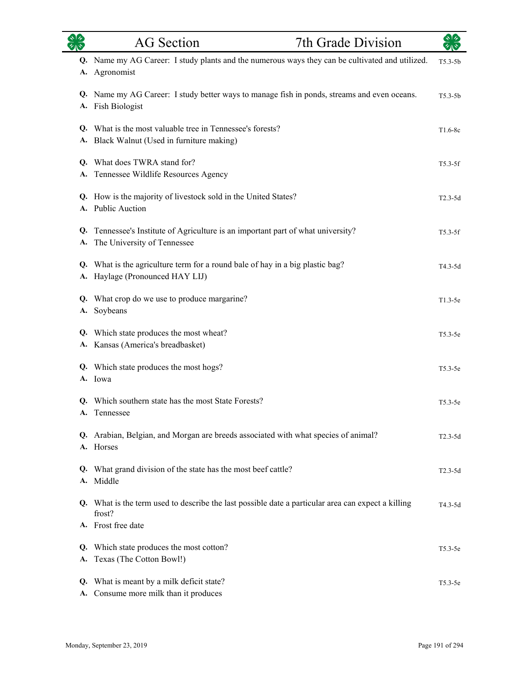| $\overline{\mathscr{C}}$ $\mathbb{R}$ | <b>AG</b> Section                                                                                                | 7th Grade Division |             |
|---------------------------------------|------------------------------------------------------------------------------------------------------------------|--------------------|-------------|
| A.                                    | Q. Name my AG Career: I study plants and the numerous ways they can be cultivated and utilized.<br>Agronomist    |                    | $T5.3-5b$   |
|                                       | Q. Name my AG Career: I study better ways to manage fish in ponds, streams and even oceans.<br>A. Fish Biologist |                    | $T5.3 - 5b$ |
| A.                                    | Q. What is the most valuable tree in Tennessee's forests?<br>Black Walnut (Used in furniture making)             |                    | $T1.6-8c$   |
| Q.<br>A.                              | What does TWRA stand for?<br>Tennessee Wildlife Resources Agency                                                 |                    | $T5.3-5f$   |
|                                       | Q. How is the majority of livestock sold in the United States?<br>A. Public Auction                              |                    | $T2.3-5d$   |
| Q.<br>A.                              | Tennessee's Institute of Agriculture is an important part of what university?<br>The University of Tennessee     |                    | $T5.3-5f$   |
| Q.<br>A.                              | What is the agriculture term for a round bale of hay in a big plastic bag?<br>Haylage (Pronounced HAY LIJ)       |                    | T4.3-5d     |
| A.                                    | Q. What crop do we use to produce margarine?<br>Soybeans                                                         |                    | $T1.3-5e$   |
| Q.                                    | Which state produces the most wheat?<br>A. Kansas (America's breadbasket)                                        |                    | $T5.3-5e$   |
|                                       | Q. Which state produces the most hogs?<br>A. Iowa                                                                |                    | $T5.3-5e$   |
|                                       | Q. Which southern state has the most State Forests?<br>A. Tennessee                                              |                    | $T5.3-5e$   |
|                                       | Q. Arabian, Belgian, and Morgan are breeds associated with what species of animal?<br>A. Horses                  |                    | $T2.3-5d$   |
| Q.                                    | What grand division of the state has the most beef cattle?<br>A. Middle                                          |                    | $T2.3-5d$   |
|                                       | Q. What is the term used to describe the last possible date a particular area can expect a killing<br>frost?     |                    | $T4.3 - 5d$ |
|                                       | A. Frost free date                                                                                               |                    |             |
| Q.<br>А.                              | Which state produces the most cotton?<br>Texas (The Cotton Bowl!)                                                |                    | $T5.3-5e$   |
| Q.                                    | What is meant by a milk deficit state?<br>A. Consume more milk than it produces                                  |                    | $T5.3-5e$   |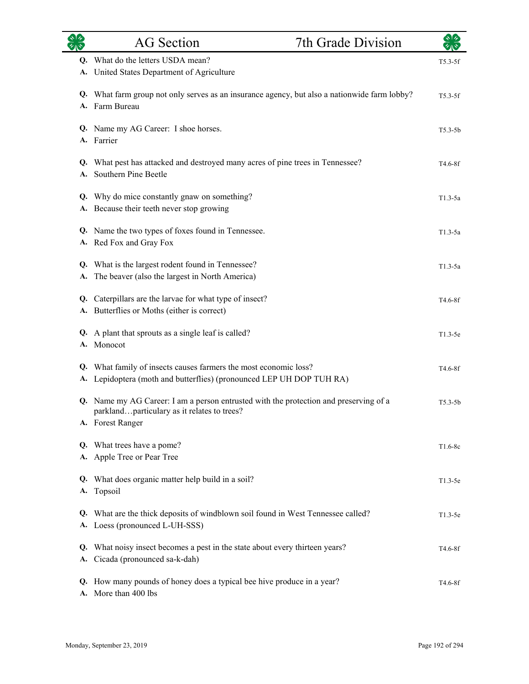|          | <b>AG</b> Section                                                                                                                                        | 7th Grade Division |                      |
|----------|----------------------------------------------------------------------------------------------------------------------------------------------------------|--------------------|----------------------|
|          | Q. What do the letters USDA mean?<br>A. United States Department of Agriculture                                                                          |                    | $T5.3-5f$            |
|          | Q. What farm group not only serves as an insurance agency, but also a nationwide farm lobby?<br>A. Farm Bureau                                           |                    | $T5.3-5f$            |
|          | Q. Name my AG Career: I shoe horses.<br>A. Farrier                                                                                                       |                    | $T5.3-5b$            |
| A.       | Q. What pest has attacked and destroyed many acres of pine trees in Tennessee?<br>Southern Pine Beetle                                                   |                    | T4.6-8f              |
|          | Q. Why do mice constantly gnaw on something?<br>A. Because their teeth never stop growing                                                                |                    | $T1.3-5a$            |
|          | Q. Name the two types of foxes found in Tennessee.<br>A. Red Fox and Gray Fox                                                                            |                    | $T1.3-5a$            |
|          | Q. What is the largest rodent found in Tennessee?<br>A. The beaver (also the largest in North America)                                                   |                    | $T1.3-5a$            |
|          | Q. Caterpillars are the larvae for what type of insect?<br>A. Butterflies or Moths (either is correct)                                                   |                    | T <sub>4.6</sub> -8f |
|          | Q. A plant that sprouts as a single leaf is called?<br>A. Monocot                                                                                        |                    | $T1.3-5e$            |
|          | Q. What family of insects causes farmers the most economic loss?<br>A. Lepidoptera (moth and butterflies) (pronounced LEP UH DOP TUH RA)                 |                    | T4.6-8f              |
|          | Q. Name my AG Career: I am a person entrusted with the protection and preserving of a<br>parklandparticulary as it relates to trees?<br>A. Forest Ranger |                    | $T5.3 - 5b$          |
|          | Q. What trees have a pome?<br>A. Apple Tree or Pear Tree                                                                                                 |                    | $T1.6-8c$            |
| Q.       | What does organic matter help build in a soil?<br>A. Topsoil                                                                                             |                    | $T1.3-5e$            |
| Q.       | What are the thick deposits of windblown soil found in West Tennessee called?<br>A. Loess (pronounced L-UH-SSS)                                          |                    | $T1.3-5e$            |
| Q.<br>A. | What noisy insect becomes a pest in the state about every thirteen years?<br>Cicada (pronounced sa-k-dah)                                                |                    | T <sub>4.6</sub> -8f |
|          | Q. How many pounds of honey does a typical bee hive produce in a year?<br>A. More than 400 lbs                                                           |                    | T <sub>4.6</sub> -8f |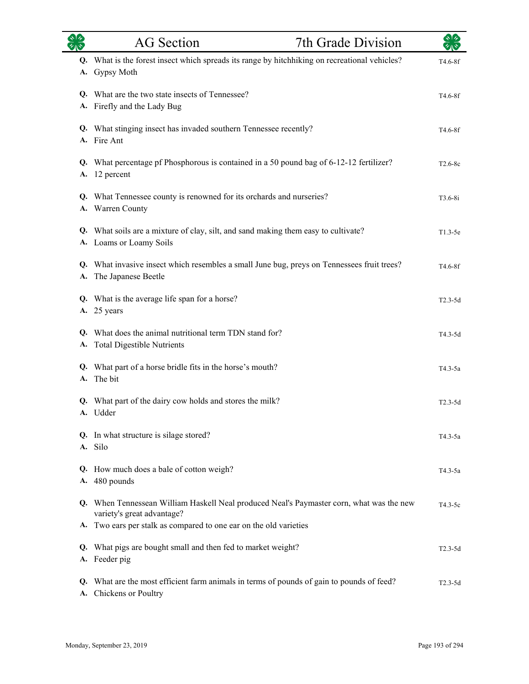| <b>ORS</b> | <b>AG</b> Section                                                                                                      | 7th Grade Division | $\sqrt[4]{3}$ |
|------------|------------------------------------------------------------------------------------------------------------------------|--------------------|---------------|
| А.         | Q. What is the forest insect which spreads its range by hitchhiking on recreational vehicles?<br>Gypsy Moth            |                    | T4.6-8f       |
|            | Q. What are the two state insects of Tennessee?<br>A. Firefly and the Lady Bug                                         |                    | T4.6-8f       |
|            | Q. What stinging insect has invaded southern Tennessee recently?<br>A. Fire Ant                                        |                    | T4.6-8f       |
| A.         | Q. What percentage pf Phosphorous is contained in a 50 pound bag of 6-12-12 fertilizer?<br>12 percent                  |                    | $T2.6-8c$     |
|            | Q. What Tennessee county is renowned for its orchards and nurseries?<br>A. Warren County                               |                    | $T3.6-8i$     |
|            | Q. What soils are a mixture of clay, silt, and sand making them easy to cultivate?<br>A. Loams or Loamy Soils          |                    | $T1.3-5e$     |
| А.         | Q. What invasive insect which resembles a small June bug, preys on Tennessees fruit trees?<br>The Japanese Beetle      |                    | T4.6-8f       |
|            | Q. What is the average life span for a horse?<br>A. 25 years                                                           |                    | $T2.3-5d$     |
| A.         | Q. What does the animal nutritional term TDN stand for?<br><b>Total Digestible Nutrients</b>                           |                    | T4.3-5d       |
| A.         | Q. What part of a horse bridle fits in the horse's mouth?<br>The bit                                                   |                    | T4.3-5a       |
|            | Q. What part of the dairy cow holds and stores the milk?<br>A. Udder                                                   |                    | $T2.3-5d$     |
|            | Q. In what structure is silage stored?<br>A. Silo                                                                      |                    | T4.3-5a       |
| Q.<br>A.   | How much does a bale of cotton weigh?<br>480 pounds                                                                    |                    | $T4.3-5a$     |
|            | Q. When Tennessean William Haskell Neal produced Neal's Paymaster corn, what was the new<br>variety's great advantage? |                    | $T4.3-5c$     |
|            | A. Two ears per stalk as compared to one ear on the old varieties                                                      |                    |               |
| Q.         | What pigs are bought small and then fed to market weight?<br>A. Feeder pig                                             |                    | $T2.3-5d$     |
| Q.<br>A.   | What are the most efficient farm animals in terms of pounds of gain to pounds of feed?<br>Chickens or Poultry          |                    | $T2.3-5d$     |

L.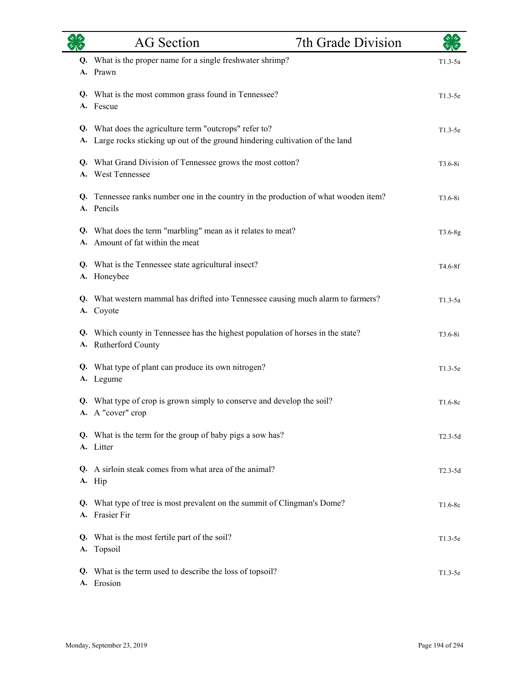|    | <b>AG</b> Section                                                                                                                     | 7th Grade Division |             |
|----|---------------------------------------------------------------------------------------------------------------------------------------|--------------------|-------------|
|    | Q. What is the proper name for a single freshwater shrimp?<br>A. Prawn                                                                |                    | $T1.3-5a$   |
|    | Q. What is the most common grass found in Tennessee?<br>A. Fescue                                                                     |                    | $T1.3-5e$   |
| А. | Q. What does the agriculture term "outcrops" refer to?<br>Large rocks sticking up out of the ground hindering cultivation of the land |                    | $T1.3-5e$   |
|    | Q. What Grand Division of Tennessee grows the most cotton?<br>A. West Tennessee                                                       |                    | $T3.6 - 8i$ |
|    | Q. Tennessee ranks number one in the country in the production of what wooden item?<br>A. Pencils                                     |                    | $T3.6 - 8i$ |
|    | Q. What does the term "marbling" mean as it relates to meat?<br>A. Amount of fat within the meat                                      |                    | T3.6-8g     |
|    | Q. What is the Tennessee state agricultural insect?<br>A. Honeybee                                                                    |                    | T4.6-8f     |
| А. | Q. What western mammal has drifted into Tennessee causing much alarm to farmers?<br>Coyote                                            |                    | $T1.3-5a$   |
|    | Q. Which county in Tennessee has the highest population of horses in the state?<br>A. Rutherford County                               |                    | $T3.6 - 8i$ |
|    | Q. What type of plant can produce its own nitrogen?<br>A. Legume                                                                      |                    | $T1.3-5e$   |
|    | Q. What type of crop is grown simply to conserve and develop the soil?<br>A. A "cover" crop                                           |                    | $T1.6-8c$   |
|    | Q. What is the term for the group of baby pigs a sow has?<br>A. Litter                                                                |                    | $T2.3-5d$   |
|    | Q. A sirloin steak comes from what area of the animal?<br>A. Hip                                                                      |                    | $T2.3-5d$   |
| Q. | What type of tree is most prevalent on the summit of Clingman's Dome?<br>A. Frasier Fir                                               |                    | $T1.6-8c$   |
|    | Q. What is the most fertile part of the soil?<br>A. Topsoil                                                                           |                    | $T1.3-5e$   |
|    | Q. What is the term used to describe the loss of topsoil?<br>A. Erosion                                                               |                    | $T1.3-5e$   |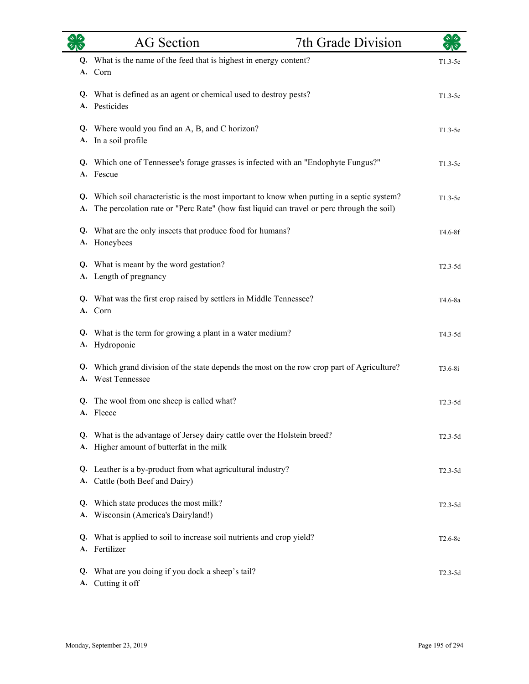|          | <b>AG</b> Section                                                                                                                                                                        | 7th Grade Division |             |
|----------|------------------------------------------------------------------------------------------------------------------------------------------------------------------------------------------|--------------------|-------------|
| Q.<br>А. | What is the name of the feed that is highest in energy content?<br>Corn                                                                                                                  |                    | $T1.3-5e$   |
|          | Q. What is defined as an agent or chemical used to destroy pests?<br>A. Pesticides                                                                                                       |                    | $T1.3-5e$   |
| А.       | Q. Where would you find an A, B, and C horizon?<br>In a soil profile                                                                                                                     |                    | $T1.3-5e$   |
| А.       | Q. Which one of Tennessee's forage grasses is infected with an "Endophyte Fungus?"<br>Fescue                                                                                             |                    | $T1.3-5e$   |
| А.       | Q. Which soil characteristic is the most important to know when putting in a septic system?<br>The percolation rate or "Perc Rate" (how fast liquid can travel or perc through the soil) |                    | $T1.3-5e$   |
| Q.       | What are the only insects that produce food for humans?<br>A. Honeybees                                                                                                                  |                    | T4.6-8f     |
|          | Q. What is meant by the word gestation?<br>A. Length of pregnancy                                                                                                                        |                    | $T2.3-5d$   |
|          | Q. What was the first crop raised by settlers in Middle Tennessee?<br>A. Corn                                                                                                            |                    | T4.6-8a     |
| А.       | Q. What is the term for growing a plant in a water medium?<br>Hydroponic                                                                                                                 |                    | T4.3-5d     |
| А.       | Q. Which grand division of the state depends the most on the row crop part of Agriculture?<br><b>West Tennessee</b>                                                                      |                    | $T3.6 - 8i$ |
|          | Q. The wool from one sheep is called what?<br>A. Fleece                                                                                                                                  |                    | $T2.3-5d$   |
| А.       | Q. What is the advantage of Jersey dairy cattle over the Holstein breed?<br>Higher amount of butterfat in the milk                                                                       |                    | $T2.3-5d$   |
| Q.<br>А. | Leather is a by-product from what agricultural industry?<br>Cattle (both Beef and Dairy)                                                                                                 |                    | $T2.3-5d$   |
| Q.<br>А. | Which state produces the most milk?<br>Wisconsin (America's Dairyland!)                                                                                                                  |                    | $T2.3-5d$   |
| Q.       | What is applied to soil to increase soil nutrients and crop yield?<br>A. Fertilizer                                                                                                      |                    | $T2.6-8c$   |
| Q.<br>А. | What are you doing if you dock a sheep's tail?<br>Cutting it off                                                                                                                         |                    | $T2.3-5d$   |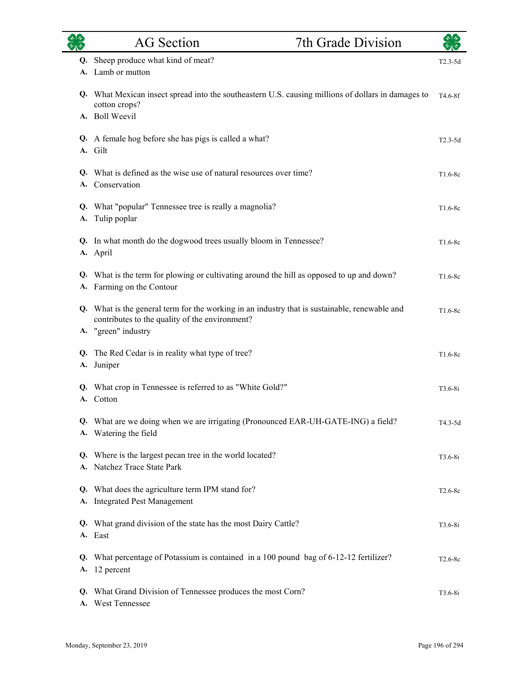|    | <b>AG</b> Section                                                                                                                                                      | 7th Grade Division |             |
|----|------------------------------------------------------------------------------------------------------------------------------------------------------------------------|--------------------|-------------|
|    | Q. Sheep produce what kind of meat?<br>A. Lamb or mutton                                                                                                               |                    | $T2.3-5d$   |
|    | Q. What Mexican insect spread into the southeastern U.S. causing millions of dollars in damages to<br>cotton crops?<br>A. Boll Weevil                                  |                    | $T4.6-8f$   |
|    | Q. A female hog before she has pigs is called a what?<br>A. Gilt                                                                                                       |                    | $T2.3-5d$   |
|    | Q. What is defined as the wise use of natural resources over time?<br>A. Conservation                                                                                  |                    | $T1.6-8c$   |
| А. | Q. What "popular" Tennessee tree is really a magnolia?<br>Tulip poplar                                                                                                 |                    | $T1.6-8c$   |
|    | Q. In what month do the dogwood trees usually bloom in Tennessee?<br>A. April                                                                                          |                    | $T1.6-8c$   |
|    | Q. What is the term for plowing or cultivating around the hill as opposed to up and down?<br>A. Farming on the Contour                                                 |                    | $T1.6-8c$   |
|    | Q. What is the general term for the working in an industry that is sustainable, renewable and<br>contributes to the quality of the environment?<br>A. "green" industry |                    | $T1.6-8c$   |
|    | Q. The Red Cedar is in reality what type of tree?<br>A. Juniper                                                                                                        |                    | $T1.6-8c$   |
|    | Q. What crop in Tennessee is referred to as "White Gold?"<br>A. Cotton                                                                                                 |                    | $T3.6 - 8i$ |
|    | What are we doing when we are irrigating (Pronounced EAR-UH-GATE-ING) a field?<br>A. Watering the field                                                                |                    | T4.3-5d     |
|    | Q. Where is the largest pecan tree in the world located?<br>A. Natchez Trace State Park                                                                                |                    | $T3.6 - 8i$ |
|    | Q. What does the agriculture term IPM stand for?<br>A. Integrated Pest Management                                                                                      |                    | $T2.6-8c$   |
|    | Q. What grand division of the state has the most Dairy Cattle?<br>A. East                                                                                              |                    | $T3.6-8i$   |
|    | Q. What percentage of Potassium is contained in a 100 pound bag of 6-12-12 fertilizer?<br>A. 12 percent                                                                |                    | $T2.6-8c$   |
|    | Q. What Grand Division of Tennessee produces the most Corn?<br>A. West Tennessee                                                                                       |                    | $T3.6-8i$   |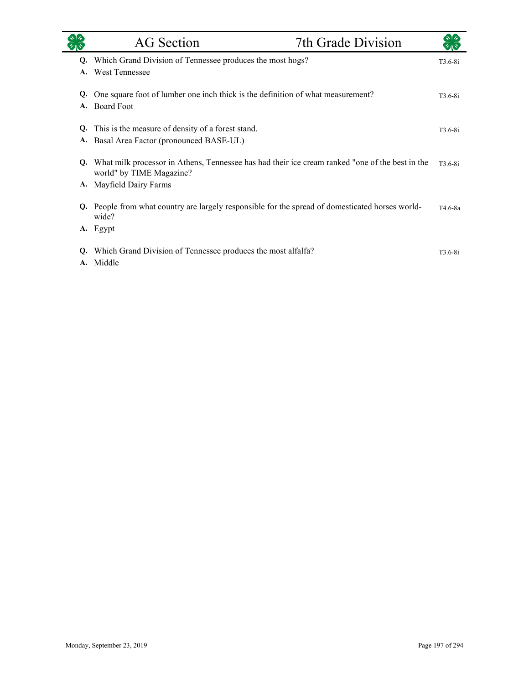|          | <b>AG</b> Section                                                                                                           | 7th Grade Division |           |
|----------|-----------------------------------------------------------------------------------------------------------------------------|--------------------|-----------|
| Q.       | Which Grand Division of Tennessee produces the most hogs?                                                                   |                    | $T3.6-8i$ |
| A.       | <b>West Tennessee</b>                                                                                                       |                    |           |
| Q.       | One square foot of lumber one inch thick is the definition of what measurement?                                             |                    | $T3.6-8i$ |
| A.       | <b>Board Foot</b>                                                                                                           |                    |           |
| O.       | This is the measure of density of a forest stand.                                                                           |                    | $T3.6-8i$ |
| A.       | Basal Area Factor (pronounced BASE-UL)                                                                                      |                    |           |
| Q.       | What milk processor in Athens, Tennessee has had their ice cream ranked "one of the best in the<br>world" by TIME Magazine? |                    | T3.6-8i   |
| A.       | Mayfield Dairy Farms                                                                                                        |                    |           |
| Q.       | People from what country are largely responsible for the spread of domesticated horses world-<br>wide?                      |                    | T4.6-8a   |
|          | A. Egypt                                                                                                                    |                    |           |
| Q.<br>A. | Which Grand Division of Tennessee produces the most alfalfa?<br>Middle                                                      |                    | $T3.6-8i$ |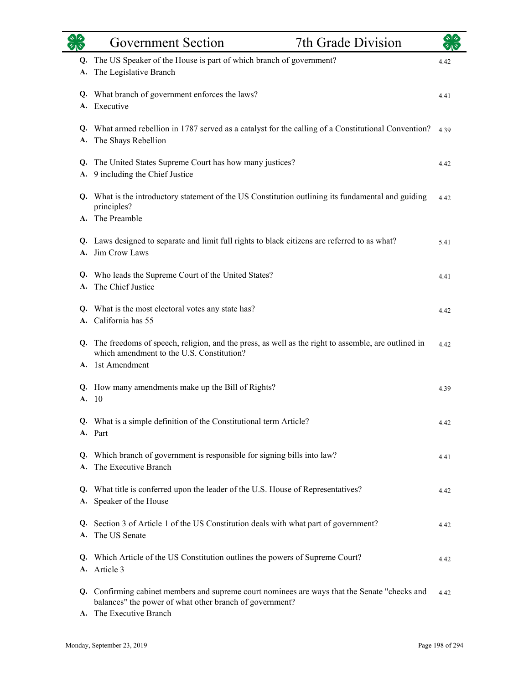|          | 7th Grade Division<br><b>Government Section</b>                                                                                                                                     |      |
|----------|-------------------------------------------------------------------------------------------------------------------------------------------------------------------------------------|------|
| Q.<br>А. | The US Speaker of the House is part of which branch of government?<br>The Legislative Branch                                                                                        | 4.42 |
|          | Q. What branch of government enforces the laws?<br>A. Executive                                                                                                                     | 4.41 |
| А.       | Q. What armed rebellion in 1787 served as a catalyst for the calling of a Constitutional Convention?<br>The Shays Rebellion                                                         | 4.39 |
| Q.<br>А. | The United States Supreme Court has how many justices?<br>9 including the Chief Justice                                                                                             | 4.42 |
|          | Q. What is the introductory statement of the US Constitution outlining its fundamental and guiding<br>principles?<br>A. The Preamble                                                | 4.42 |
| A.       | Q. Laws designed to separate and limit full rights to black citizens are referred to as what?<br>Jim Crow Laws                                                                      | 5.41 |
| Q.<br>А. | Who leads the Supreme Court of the United States?<br>The Chief Justice                                                                                                              | 4.41 |
| Q.<br>A. | What is the most electoral votes any state has?<br>California has 55                                                                                                                | 4.42 |
| Q.       | The freedoms of speech, religion, and the press, as well as the right to assemble, are outlined in<br>which amendment to the U.S. Constitution?<br>A. 1st Amendment                 | 4.42 |
| A.       | Q. How many amendments make up the Bill of Rights?<br>10                                                                                                                            | 4.39 |
|          | Q. What is a simple definition of the Constitutional term Article?<br>A. Part                                                                                                       | 4.42 |
| A.       | Q. Which branch of government is responsible for signing bills into law?<br>The Executive Branch                                                                                    | 4.41 |
| Q.<br>А. | What title is conferred upon the leader of the U.S. House of Representatives?<br>Speaker of the House                                                                               | 4.42 |
| A.       | Q. Section 3 of Article 1 of the US Constitution deals with what part of government?<br>The US Senate                                                                               | 4.42 |
| Q.       | Which Article of the US Constitution outlines the powers of Supreme Court?<br>A. Article 3                                                                                          | 4.42 |
|          | Q. Confirming cabinet members and supreme court nominees are ways that the Senate "checks and<br>balances" the power of what other branch of government?<br>A. The Executive Branch | 4.42 |

L.

÷.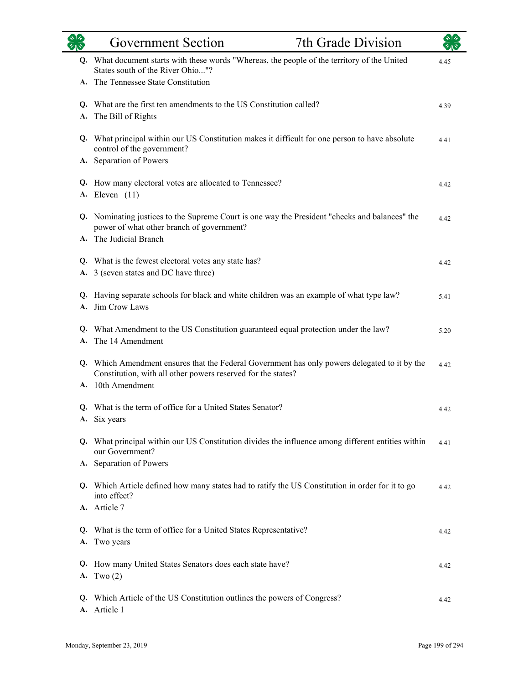|    | <b>Government Section</b>                                                                                                                                                          | 7th Grade Division |      |
|----|------------------------------------------------------------------------------------------------------------------------------------------------------------------------------------|--------------------|------|
|    | Q. What document starts with these words "Whereas, the people of the territory of the United<br>States south of the River Ohio"?                                                   |                    | 4.45 |
|    | A. The Tennessee State Constitution                                                                                                                                                |                    |      |
|    | Q. What are the first ten amendments to the US Constitution called?<br>A. The Bill of Rights                                                                                       |                    | 4.39 |
|    | Q. What principal within our US Constitution makes it difficult for one person to have absolute<br>control of the government?                                                      |                    | 4.41 |
|    | A. Separation of Powers                                                                                                                                                            |                    |      |
|    | Q. How many electoral votes are allocated to Tennessee?<br><b>A.</b> Eleven (11)                                                                                                   |                    | 4.42 |
|    | Q. Nominating justices to the Supreme Court is one way the President "checks and balances" the<br>power of what other branch of government?<br>A. The Judicial Branch              |                    | 4.42 |
|    | Q. What is the fewest electoral votes any state has?<br>A. 3 (seven states and DC have three)                                                                                      |                    | 4.42 |
|    | Q. Having separate schools for black and white children was an example of what type law?<br>A. Jim Crow Laws                                                                       |                    | 5.41 |
|    | Q. What Amendment to the US Constitution guaranteed equal protection under the law?<br>A. The 14 Amendment                                                                         |                    | 5.20 |
|    | Q. Which Amendment ensures that the Federal Government has only powers delegated to it by the<br>Constitution, with all other powers reserved for the states?<br>A. 10th Amendment |                    | 4.42 |
|    | Q. What is the term of office for a United States Senator?<br>A. Six years                                                                                                         |                    | 4.42 |
|    | Q. What principal within our US Constitution divides the influence among different entities within<br>our Government?<br>A. Separation of Powers                                   |                    | 4.41 |
|    | Q. Which Article defined how many states had to ratify the US Constitution in order for it to go<br>into effect?                                                                   |                    | 4.42 |
|    | A. Article 7                                                                                                                                                                       |                    |      |
| Q. | What is the term of office for a United States Representative?<br>A. Two years                                                                                                     |                    | 4.42 |
|    | Q. How many United States Senators does each state have?<br>A. Two $(2)$                                                                                                           |                    | 4.42 |
| Q. | Which Article of the US Constitution outlines the powers of Congress?<br>A. Article 1                                                                                              |                    | 4.42 |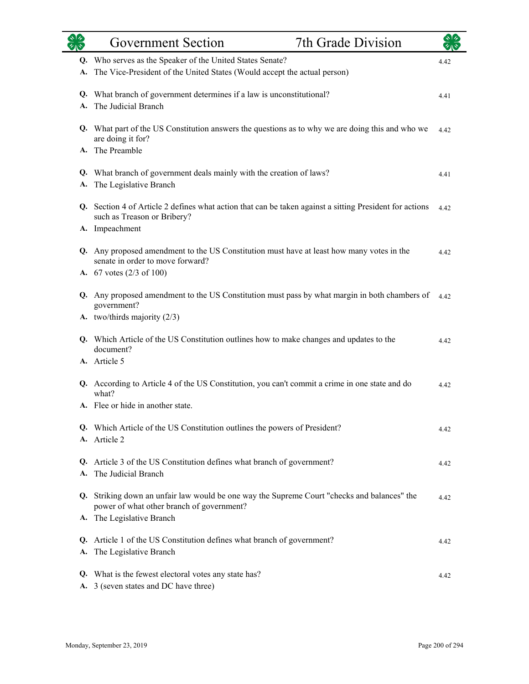|    | <b>Government Section</b>                                                                                                                                                          | 7th Grade Division |      |
|----|------------------------------------------------------------------------------------------------------------------------------------------------------------------------------------|--------------------|------|
| А. | Q. Who serves as the Speaker of the United States Senate?<br>The Vice-President of the United States (Would accept the actual person)                                              |                    | 4.42 |
| A. | Q. What branch of government determines if a law is unconstitutional?<br>The Judicial Branch                                                                                       |                    | 4.41 |
|    | Q. What part of the US Constitution answers the questions as to why we are doing this and who we<br>are doing it for?                                                              |                    | 4.42 |
|    | A. The Preamble<br>Q. What branch of government deals mainly with the creation of laws?                                                                                            |                    | 4.41 |
| A. | The Legislative Branch<br>Q. Section 4 of Article 2 defines what action that can be taken against a sitting President for actions<br>such as Treason or Bribery?<br>A. Impeachment |                    | 4.42 |
|    | Q. Any proposed amendment to the US Constitution must have at least how many votes in the<br>senate in order to move forward?<br>A. $67$ votes $(2/3 \text{ of } 100)$             |                    | 4.42 |
|    | Q. Any proposed amendment to the US Constitution must pass by what margin in both chambers of<br>government?<br>A. two/thirds majority (2/3)                                       |                    | 4.42 |
|    | Q. Which Article of the US Constitution outlines how to make changes and updates to the<br>document?<br>A. Article 5                                                               |                    | 4.42 |
|    | Q. According to Article 4 of the US Constitution, you can't commit a crime in one state and do<br>what?<br>A. Flee or hide in another state.                                       |                    | 4.42 |
|    | Q. Which Article of the US Constitution outlines the powers of President?<br>A. Article 2                                                                                          |                    | 4.42 |
| А. | Q. Article 3 of the US Constitution defines what branch of government?<br>The Judicial Branch                                                                                      |                    | 4.42 |
| Q. | Striking down an unfair law would be one way the Supreme Court "checks and balances" the<br>power of what other branch of government?<br>A. The Legislative Branch                 |                    | 4.42 |
| A. | Q. Article 1 of the US Constitution defines what branch of government?<br>The Legislative Branch                                                                                   |                    | 4.42 |
|    | Q. What is the fewest electoral votes any state has?<br>A. 3 (seven states and DC have three)                                                                                      |                    | 4.42 |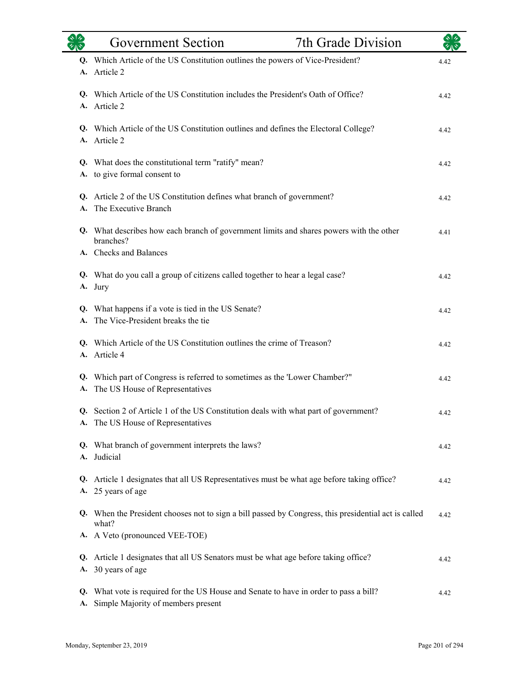|          | <b>Government Section</b>                                                                                                             | 7th Grade Division |      |
|----------|---------------------------------------------------------------------------------------------------------------------------------------|--------------------|------|
| Q.<br>А. | Which Article of the US Constitution outlines the powers of Vice-President?<br>Article 2                                              |                    | 4.42 |
| А.       | Q. Which Article of the US Constitution includes the President's Oath of Office?<br>Article 2                                         |                    | 4.42 |
|          | Q. Which Article of the US Constitution outlines and defines the Electoral College?<br>A. Article 2                                   |                    | 4.42 |
| Q.<br>A. | What does the constitutional term "ratify" mean?<br>to give formal consent to                                                         |                    | 4.42 |
|          | Q. Article 2 of the US Constitution defines what branch of government?<br>The Executive Branch                                        |                    | 4.42 |
| Q.       | What describes how each branch of government limits and shares powers with the other<br>branches?<br>A. Checks and Balances           |                    | 4.41 |
| Q.<br>A. | What do you call a group of citizens called together to hear a legal case?<br>Jury                                                    |                    | 4.42 |
| Q.<br>А. | What happens if a vote is tied in the US Senate?<br>The Vice-President breaks the tie                                                 |                    | 4.42 |
| Q.<br>A. | Which Article of the US Constitution outlines the crime of Treason?<br>Article 4                                                      |                    | 4.42 |
| Q.<br>А. | Which part of Congress is referred to sometimes as the 'Lower Chamber?"<br>The US House of Representatives                            |                    | 4.42 |
|          | Q. Section 2 of Article 1 of the US Constitution deals with what part of government?<br>A. The US House of Representatives            |                    | 4.42 |
| А.       | Q. What branch of government interprets the laws?<br>Judicial                                                                         |                    | 4.42 |
| Q.       | Article 1 designates that all US Representatives must be what age before taking office?<br>A. 25 years of age                         |                    | 4.42 |
|          | Q. When the President chooses not to sign a bill passed by Congress, this presidential act is called<br>what?                         |                    | 4.42 |
| Q.<br>А. | A. A Veto (pronounced VEE-TOE)<br>Article 1 designates that all US Senators must be what age before taking office?<br>30 years of age |                    | 4.42 |
| Q.<br>А. | What vote is required for the US House and Senate to have in order to pass a bill?<br>Simple Majority of members present              |                    | 4.42 |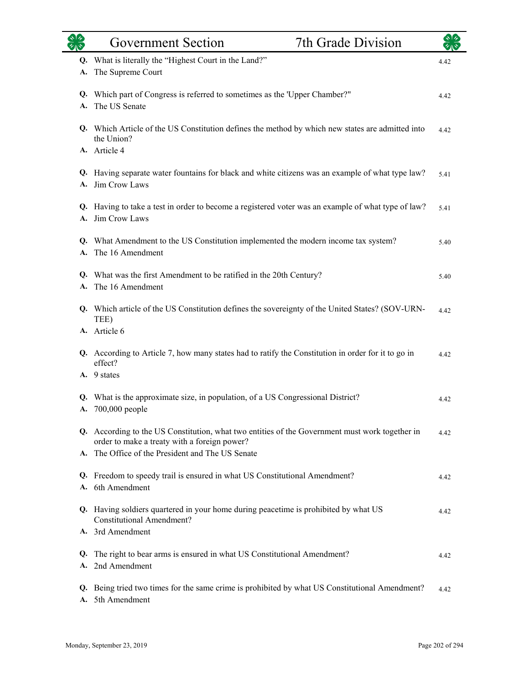|                | <b>Government Section</b>                                                                                                                      | 7th Grade Division |      |
|----------------|------------------------------------------------------------------------------------------------------------------------------------------------|--------------------|------|
| Q.<br>A.       | What is literally the "Highest Court in the Land?"<br>The Supreme Court                                                                        |                    | 4.42 |
| Q.<br>A.       | Which part of Congress is referred to sometimes as the 'Upper Chamber?"<br>The US Senate                                                       |                    | 4.42 |
|                | Q. Which Article of the US Constitution defines the method by which new states are admitted into<br>the Union?<br>A. Article 4                 |                    | 4.42 |
| Q.<br>A.       | Having separate water fountains for black and white citizens was an example of what type law?<br>Jim Crow Laws                                 |                    | 5.41 |
| A.             | Q. Having to take a test in order to become a registered voter was an example of what type of law?<br>Jim Crow Laws                            |                    | 5.41 |
| A.             | Q. What Amendment to the US Constitution implemented the modern income tax system?<br>The 16 Amendment                                         |                    | 5.40 |
|                | Q. What was the first Amendment to be ratified in the 20th Century?<br>A. The 16 Amendment                                                     |                    | 5.40 |
|                | Q. Which article of the US Constitution defines the sovereignty of the United States? (SOV-URN-<br>TEE)                                        |                    | 4.42 |
|                | A. Article 6<br>Q. According to Article 7, how many states had to ratify the Constitution in order for it to go in<br>effect?                  |                    | 4.42 |
| Q.             | A. 9 states<br>What is the approximate size, in population, of a US Congressional District?<br>A. 700,000 people                               |                    | 4.42 |
|                | Q. According to the US Constitution, what two entities of the Government must work together in<br>order to make a treaty with a foreign power? |                    | 4.42 |
| A.<br>Q.<br>A. | The Office of the President and The US Senate<br>Freedom to speedy trail is ensured in what US Constitutional Amendment?<br>6th Amendment      |                    | 4.42 |
|                | Q. Having soldiers quartered in your home during peacetime is prohibited by what US<br><b>Constitutional Amendment?</b>                        |                    | 4.42 |
|                | A. 3rd Amendment                                                                                                                               |                    |      |
| Q.<br>A.       | The right to bear arms is ensured in what US Constitutional Amendment?<br>2nd Amendment                                                        |                    | 4.42 |
| Q.<br>A.       | Being tried two times for the same crime is prohibited by what US Constitutional Amendment?<br>5th Amendment                                   |                    | 4.42 |

L.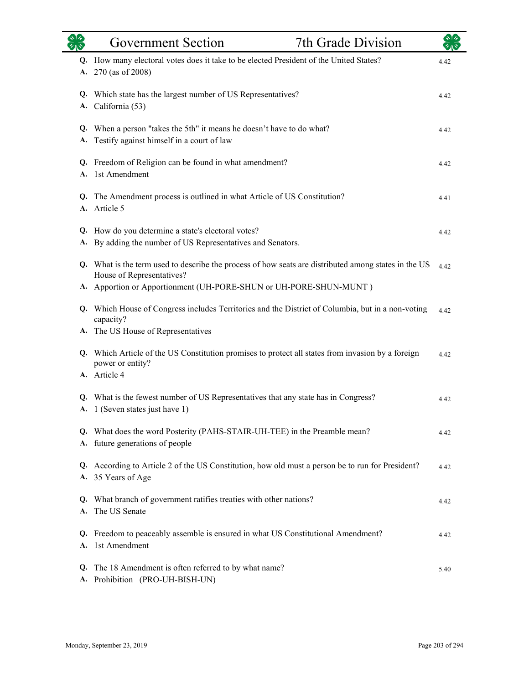|          | <b>Government Section</b>                                                                                                                                                                                                 | 7th Grade Division |      |
|----------|---------------------------------------------------------------------------------------------------------------------------------------------------------------------------------------------------------------------------|--------------------|------|
| A.       | Q. How many electoral votes does it take to be elected President of the United States?<br>270 (as of 2008)                                                                                                                |                    | 4.42 |
|          | Q. Which state has the largest number of US Representatives?<br>A. California (53)                                                                                                                                        |                    | 4.42 |
| A.       | Q. When a person "takes the 5th" it means he doesn't have to do what?<br>Testify against himself in a court of law                                                                                                        |                    | 4.42 |
| A.       | Q. Freedom of Religion can be found in what amendment?<br>1st Amendment                                                                                                                                                   |                    | 4.42 |
|          | Q. The Amendment process is outlined in what Article of US Constitution?<br>A. Article 5                                                                                                                                  |                    | 4.41 |
|          | Q. How do you determine a state's electoral votes?<br>A. By adding the number of US Representatives and Senators.                                                                                                         |                    | 4.42 |
|          | Q. What is the term used to describe the process of how seats are distributed among states in the US<br>House of Representatives?                                                                                         |                    | 4.42 |
|          | A. Apportion or Apportionment (UH-PORE-SHUN or UH-PORE-SHUN-MUNT)<br>Q. Which House of Congress includes Territories and the District of Columbia, but in a non-voting<br>capacity?<br>A. The US House of Representatives |                    | 4.42 |
|          | Q. Which Article of the US Constitution promises to protect all states from invasion by a foreign<br>power or entity?<br>A. Article 4                                                                                     |                    | 4.42 |
|          | Q. What is the fewest number of US Representatives that any state has in Congress?<br>A. 1 (Seven states just have 1)                                                                                                     |                    | 4.42 |
|          | Q. What does the word Posterity (PAHS-STAIR-UH-TEE) in the Preamble mean?<br>A. future generations of people                                                                                                              |                    | 4.42 |
|          | Q. According to Article 2 of the US Constitution, how old must a person be to run for President?<br>A. 35 Years of Age                                                                                                    |                    | 4.42 |
| Q.       | What branch of government ratifies treaties with other nations?<br>A. The US Senate                                                                                                                                       |                    | 4.42 |
| Q.<br>A. | Freedom to peaceably assemble is ensured in what US Constitutional Amendment?<br>1st Amendment                                                                                                                            |                    | 4.42 |
|          | Q. The 18 Amendment is often referred to by what name?<br>A. Prohibition (PRO-UH-BISH-UN)                                                                                                                                 |                    | 5.40 |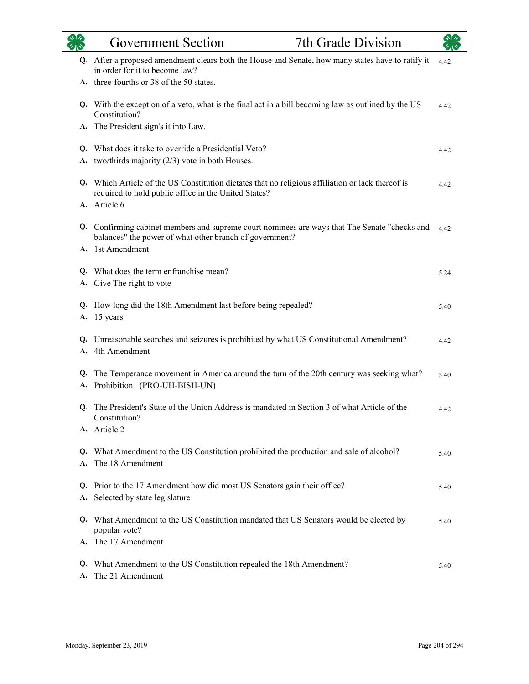|          | <b>Government Section</b>                                                                                                                                     | 7th Grade Division |      |
|----------|---------------------------------------------------------------------------------------------------------------------------------------------------------------|--------------------|------|
|          | Q. After a proposed amendment clears both the House and Senate, how many states have to ratify it<br>in order for it to become law?                           |                    | 4.42 |
|          | A. three-fourths or 38 of the 50 states.                                                                                                                      |                    |      |
|          | Q. With the exception of a veto, what is the final act in a bill becoming law as outlined by the US<br>Constitution?                                          |                    | 4.42 |
|          | A. The President sign's it into Law.                                                                                                                          |                    |      |
| Q.       | What does it take to override a Presidential Veto?                                                                                                            |                    | 4.42 |
| A.       | two/thirds majority $(2/3)$ vote in both Houses.                                                                                                              |                    |      |
|          | Q. Which Article of the US Constitution dictates that no religious affiliation or lack thereof is<br>required to hold public office in the United States?     |                    | 4.42 |
|          | A. Article 6                                                                                                                                                  |                    |      |
|          | Q. Confirming cabinet members and supreme court nominees are ways that The Senate "checks and 4.42<br>balances" the power of what other branch of government? |                    |      |
|          | A. 1st Amendment                                                                                                                                              |                    |      |
|          | Q. What does the term enfranchise mean?                                                                                                                       |                    | 5.24 |
|          | A. Give The right to vote                                                                                                                                     |                    |      |
|          | Q. How long did the 18th Amendment last before being repealed?                                                                                                |                    | 5.40 |
|          | A. 15 years                                                                                                                                                   |                    |      |
| Q.       | Unreasonable searches and seizures is prohibited by what US Constitutional Amendment?                                                                         |                    | 4.42 |
| A.       | 4th Amendment                                                                                                                                                 |                    |      |
| Q.<br>А. | The Temperance movement in America around the turn of the 20th century was seeking what?<br>Prohibition (PRO-UH-BISH-UN)                                      |                    | 5.40 |
| Q.       | The President's State of the Union Address is mandated in Section 3 of what Article of the<br>Constitution?                                                   |                    | 4.42 |
|          | A. Article 2                                                                                                                                                  |                    |      |
|          | Q. What Amendment to the US Constitution prohibited the production and sale of alcohol?                                                                       |                    | 5.40 |
|          | A. The 18 Amendment                                                                                                                                           |                    |      |
|          | Q. Prior to the 17 Amendment how did most US Senators gain their office?                                                                                      |                    | 5.40 |
| А.       | Selected by state legislature                                                                                                                                 |                    |      |
|          | Q. What Amendment to the US Constitution mandated that US Senators would be elected by<br>popular vote?                                                       |                    | 5.40 |
|          | A. The 17 Amendment                                                                                                                                           |                    |      |
|          | Q. What Amendment to the US Constitution repealed the 18th Amendment?                                                                                         |                    | 5.40 |
| А.       | The 21 Amendment                                                                                                                                              |                    |      |

 $\overline{\phantom{0}}$ 

÷.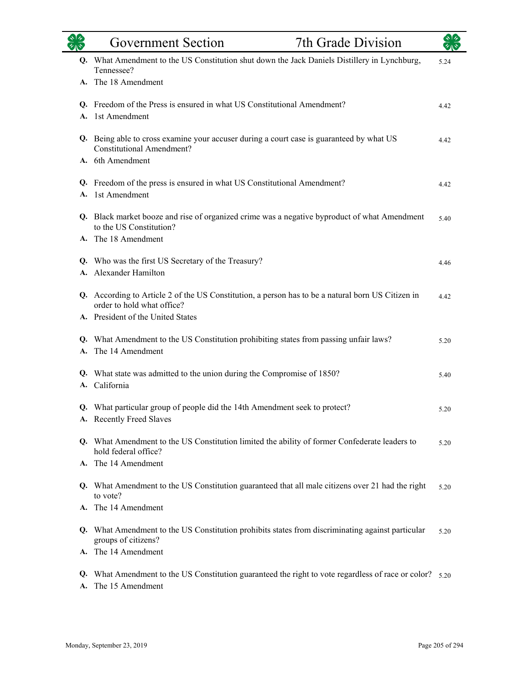|    | 7th Grade Division<br><b>Government Section</b>                                                                                                  |      |
|----|--------------------------------------------------------------------------------------------------------------------------------------------------|------|
|    | Q. What Amendment to the US Constitution shut down the Jack Daniels Distillery in Lynchburg,<br>Tennessee?                                       | 5.24 |
|    | A. The 18 Amendment                                                                                                                              |      |
| A. | Q. Freedom of the Press is ensured in what US Constitutional Amendment?<br>1st Amendment                                                         | 4.42 |
|    | Q. Being able to cross examine your accuser during a court case is guaranteed by what US<br><b>Constitutional Amendment?</b><br>A. 6th Amendment | 4.42 |
| A. | Q. Freedom of the press is ensured in what US Constitutional Amendment?<br>1st Amendment                                                         | 4.42 |
|    | Q. Black market booze and rise of organized crime was a negative byproduct of what Amendment<br>to the US Constitution?<br>A. The 18 Amendment   | 5.40 |
| A. | Q. Who was the first US Secretary of the Treasury?<br>Alexander Hamilton                                                                         | 4.46 |
|    | Q. According to Article 2 of the US Constitution, a person has to be a natural born US Citizen in<br>order to hold what office?                  | 4.42 |
|    | A. President of the United States                                                                                                                |      |
| А. | Q. What Amendment to the US Constitution prohibiting states from passing unfair laws?<br>The 14 Amendment                                        | 5.20 |
|    | Q. What state was admitted to the union during the Compromise of 1850?<br>A. California                                                          | 5.40 |
|    | Q. What particular group of people did the 14th Amendment seek to protect?<br>A. Recently Freed Slaves                                           | 5.20 |
|    | Q. What Amendment to the US Constitution limited the ability of former Confederate leaders to<br>hold federal office?                            | 5.20 |
|    | A. The 14 Amendment                                                                                                                              |      |
|    | Q. What Amendment to the US Constitution guaranteed that all male citizens over 21 had the right<br>to vote?                                     | 5.20 |
|    | A. The 14 Amendment                                                                                                                              |      |
|    | Q. What Amendment to the US Constitution prohibits states from discriminating against particular<br>groups of citizens?                          | 5.20 |
| A. | The 14 Amendment                                                                                                                                 |      |
| A. | Q. What Amendment to the US Constitution guaranteed the right to vote regardless of race or color? 5.20<br>The 15 Amendment                      |      |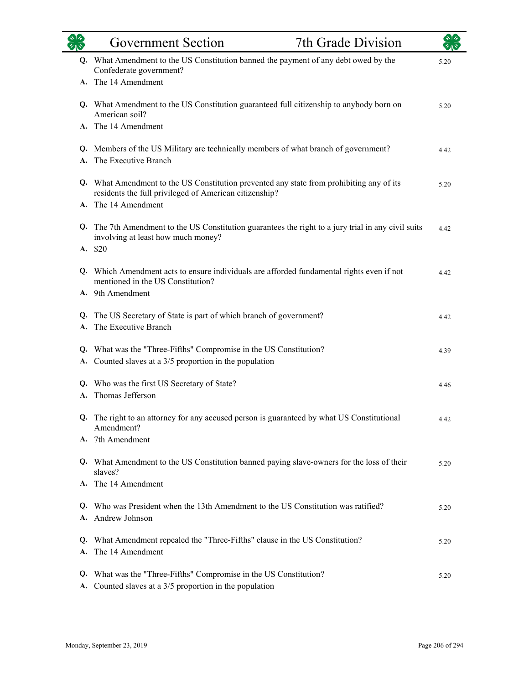|          | <b>Government Section</b>                                                                                                                                              | 7th Grade Division |      |
|----------|------------------------------------------------------------------------------------------------------------------------------------------------------------------------|--------------------|------|
|          | Q. What Amendment to the US Constitution banned the payment of any debt owed by the<br>Confederate government?                                                         |                    | 5.20 |
|          | A. The 14 Amendment                                                                                                                                                    |                    |      |
|          | Q. What Amendment to the US Constitution guaranteed full citizenship to anybody born on<br>American soil?                                                              |                    | 5.20 |
|          | A. The 14 Amendment                                                                                                                                                    |                    |      |
| А.       | Q. Members of the US Military are technically members of what branch of government?<br>The Executive Branch                                                            |                    | 4.42 |
| A.       | Q. What Amendment to the US Constitution prevented any state from prohibiting any of its<br>residents the full privileged of American citizenship?<br>The 14 Amendment |                    | 5.20 |
|          | Q. The 7th Amendment to the US Constitution guarantees the right to a jury trial in any civil suits<br>involving at least how much money?<br>A. \$20                   |                    | 4.42 |
|          | Q. Which Amendment acts to ensure individuals are afforded fundamental rights even if not<br>mentioned in the US Constitution?<br>A. 9th Amendment                     |                    | 4.42 |
| А.       | Q. The US Secretary of State is part of which branch of government?<br>The Executive Branch                                                                            |                    | 4.42 |
|          | Q. What was the "Three-Fifths" Compromise in the US Constitution?<br>A. Counted slaves at a 3/5 proportion in the population                                           |                    | 4.39 |
|          | Q. Who was the first US Secretary of State?<br>A. Thomas Jefferson                                                                                                     |                    | 4.46 |
| Q.       | The right to an attorney for any accused person is guaranteed by what US Constitutional<br>Amendment?                                                                  |                    | 4.42 |
|          | A. 7th Amendment                                                                                                                                                       |                    |      |
|          | Q. What Amendment to the US Constitution banned paying slave-owners for the loss of their<br>slaves?                                                                   |                    | 5.20 |
| A.       | The 14 Amendment                                                                                                                                                       |                    |      |
| Q.<br>A. | Who was President when the 13th Amendment to the US Constitution was ratified?<br>Andrew Johnson                                                                       |                    | 5.20 |
| Q.<br>A. | What Amendment repealed the "Three-Fifths" clause in the US Constitution?<br>The 14 Amendment                                                                          |                    | 5.20 |
| Q.       | What was the "Three-Fifths" Compromise in the US Constitution?<br>A. Counted slaves at a 3/5 proportion in the population                                              |                    | 5.20 |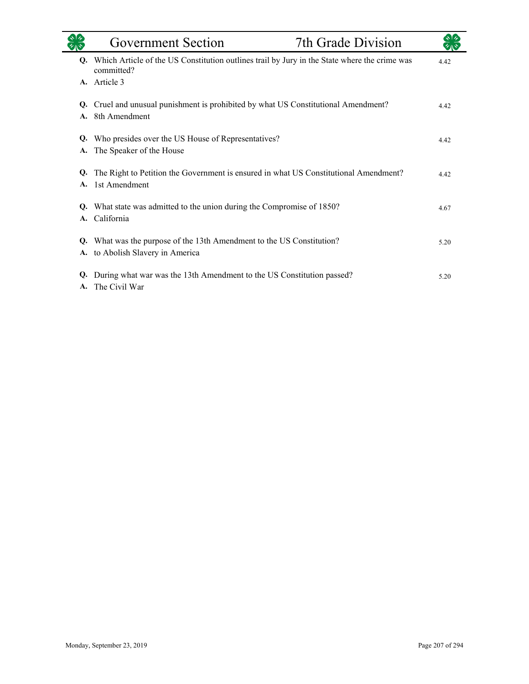|          | <b>Government Section</b>                                                                                  | 7th Grade Division |      |
|----------|------------------------------------------------------------------------------------------------------------|--------------------|------|
| Q.       | Which Article of the US Constitution outlines trail by Jury in the State where the crime was<br>committed? |                    | 4.42 |
|          | A. Article 3                                                                                               |                    |      |
| Q.       | Cruel and unusual punishment is prohibited by what US Constitutional Amendment?                            |                    | 4.42 |
| А.       | 8th Amendment                                                                                              |                    |      |
| Q.<br>A. | Who presides over the US House of Representatives?<br>The Speaker of the House                             |                    | 4.42 |
| Q.       | The Right to Petition the Government is ensured in what US Constitutional Amendment?                       |                    | 4.42 |
| A.       | 1st Amendment                                                                                              |                    |      |
| Q.<br>A. | What state was admitted to the union during the Compromise of 1850?<br>California                          |                    | 4.67 |
|          |                                                                                                            |                    |      |
| Q.<br>A. | What was the purpose of the 13th Amendment to the US Constitution?<br>to Abolish Slavery in America        |                    | 5.20 |
| Q.<br>A. | During what war was the 13th Amendment to the US Constitution passed?<br>The Civil War                     |                    | 5.20 |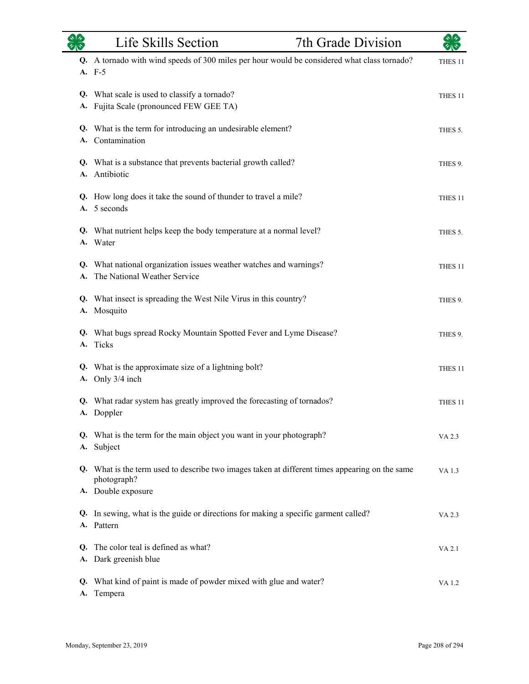|          | Life Skills Section                                                                                           | 7th Grade Division | $\frac{1}{2}$      |
|----------|---------------------------------------------------------------------------------------------------------------|--------------------|--------------------|
|          | Q. A tornado with wind speeds of 300 miles per hour would be considered what class tornado?<br>A. F-5         |                    | THES <sub>11</sub> |
|          | Q. What scale is used to classify a tornado?<br>A. Fujita Scale (pronounced FEW GEE TA)                       |                    | THES <sub>11</sub> |
|          | Q. What is the term for introducing an undesirable element?<br>A. Contamination                               |                    | THES 5.            |
|          | Q. What is a substance that prevents bacterial growth called?<br>A. Antibiotic                                |                    | THES 9.            |
|          | Q. How long does it take the sound of thunder to travel a mile?<br>A. 5 seconds                               |                    | THES <sub>11</sub> |
|          | Q. What nutrient helps keep the body temperature at a normal level?<br>A. Water                               |                    | THES 5.            |
| A.       | Q. What national organization issues weather watches and warnings?<br>The National Weather Service            |                    | THES 11            |
| А.       | Q. What insect is spreading the West Nile Virus in this country?<br>Mosquito                                  |                    | THES 9.            |
|          | Q. What bugs spread Rocky Mountain Spotted Fever and Lyme Disease?<br>A. Ticks                                |                    | THES 9.            |
| А.       | Q. What is the approximate size of a lightning bolt?<br>Only 3/4 inch                                         |                    | THES <sub>11</sub> |
|          | Q. What radar system has greatly improved the forecasting of tornados?<br>A. Doppler                          |                    | THES <sub>11</sub> |
| А.       | Q. What is the term for the main object you want in your photograph?<br>Subject                               |                    | VA 2.3             |
|          | Q. What is the term used to describe two images taken at different times appearing on the same<br>photograph? |                    | VA 1.3             |
|          | A. Double exposure                                                                                            |                    |                    |
|          | Q. In sewing, what is the guide or directions for making a specific garment called?<br>A. Pattern             |                    | VA 2.3             |
| Q.<br>А. | The color teal is defined as what?<br>Dark greenish blue                                                      |                    | VA 2.1             |
| Q.<br>A. | What kind of paint is made of powder mixed with glue and water?<br>Tempera                                    |                    | VA 1.2             |

 $\overline{\phantom{0}}$ 

eri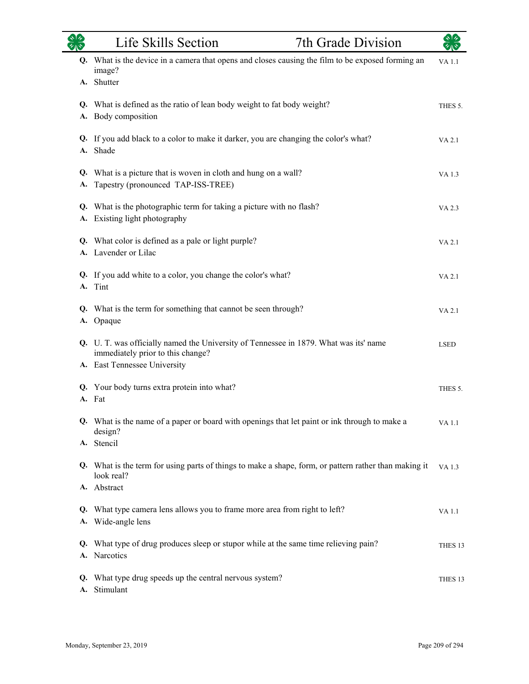|           | Life Skills Section                                                                                                        | 7th Grade Division |                    |
|-----------|----------------------------------------------------------------------------------------------------------------------------|--------------------|--------------------|
| Q.        | What is the device in a camera that opens and closes causing the film to be exposed forming an<br>image?                   |                    | <b>VA1.1</b>       |
|           | A. Shutter                                                                                                                 |                    |                    |
|           | Q. What is defined as the ratio of lean body weight to fat body weight?<br>A. Body composition                             |                    | THES 5.            |
|           | Q. If you add black to a color to make it darker, you are changing the color's what?<br>A. Shade                           |                    | VA 2.1             |
| Q.<br>A.  | What is a picture that is woven in cloth and hung on a wall?<br>Tapestry (pronounced TAP-ISS-TREE)                         |                    | VA 1.3             |
| Q.<br>A.  | What is the photographic term for taking a picture with no flash?<br>Existing light photography                            |                    | VA 2.3             |
|           | Q. What color is defined as a pale or light purple?<br>A. Lavender or Lilac                                                |                    | VA 2.1             |
| Q.<br>A.  | If you add white to a color, you change the color's what?<br>Tint                                                          |                    | VA 2.1             |
| <b>A.</b> | Q. What is the term for something that cannot be seen through?<br>Opaque                                                   |                    | VA 2.1             |
|           | Q. U. T. was officially named the University of Tennessee in 1879. What was its' name<br>immediately prior to this change? |                    | <b>LSED</b>        |
|           | A. East Tennessee University                                                                                               |                    |                    |
| A.        | Q. Your body turns extra protein into what?<br>Fat                                                                         |                    | THES 5.            |
|           | Q. What is the name of a paper or board with openings that let paint or ink through to make a<br>design?                   |                    | VA 1.1             |
|           | A. Stencil                                                                                                                 |                    |                    |
|           | Q. What is the term for using parts of things to make a shape, form, or pattern rather than making it<br>look real?        |                    | VA 1.3             |
|           | A. Abstract                                                                                                                |                    |                    |
|           | Q. What type camera lens allows you to frame more area from right to left?<br>A. Wide-angle lens                           |                    | VA 1.1             |
|           | Q. What type of drug produces sleep or stupor while at the same time relieving pain?<br>A. Narcotics                       |                    | THES 13            |
| Q.        | What type drug speeds up the central nervous system?<br>A. Stimulant                                                       |                    | THES <sub>13</sub> |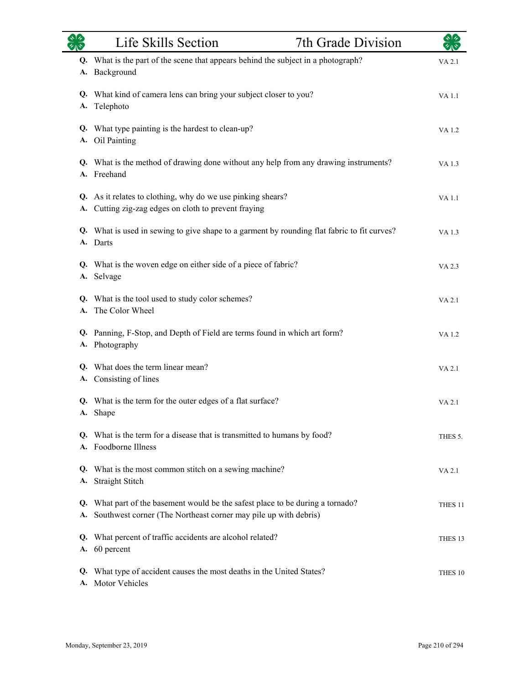| $\gamma_{\rm A}$ | Life Skills Section                                                                                                                               | 7th Grade Division |                    |
|------------------|---------------------------------------------------------------------------------------------------------------------------------------------------|--------------------|--------------------|
| A.               | Q. What is the part of the scene that appears behind the subject in a photograph?<br>Background                                                   |                    | VA 2.1             |
| А.               | Q. What kind of camera lens can bring your subject closer to you?<br>Telephoto                                                                    |                    | VA 1.1             |
|                  | Q. What type painting is the hardest to clean-up?<br>A. Oil Painting                                                                              |                    | VA 1.2             |
| A.               | Q. What is the method of drawing done without any help from any drawing instruments?<br>Freehand                                                  |                    | VA 1.3             |
|                  | Q. As it relates to clothing, why do we use pinking shears?<br>A. Cutting zig-zag edges on cloth to prevent fraying                               |                    | <b>VA1.1</b>       |
|                  | Q. What is used in sewing to give shape to a garment by rounding flat fabric to fit curves?<br>A. Darts                                           |                    | VA 1.3             |
|                  | Q. What is the woven edge on either side of a piece of fabric?<br>A. Selvage                                                                      |                    | VA 2.3             |
| A.               | Q. What is the tool used to study color schemes?<br>The Color Wheel                                                                               |                    | VA 2.1             |
|                  | Q. Panning, F-Stop, and Depth of Field are terms found in which art form?<br>A. Photography                                                       |                    | VA 1.2             |
|                  | Q. What does the term linear mean?<br>A. Consisting of lines                                                                                      |                    | VA 2.1             |
|                  | Q. What is the term for the outer edges of a flat surface?<br>A. Shape                                                                            |                    | VA 2.1             |
|                  | Q. What is the term for a disease that is transmitted to humans by food?<br>A. Foodborne Illness                                                  |                    | THES 5.            |
| <b>A.</b>        | Q. What is the most common stitch on a sewing machine?<br>Straight Stitch                                                                         |                    | VA 2.1             |
| Q.               | What part of the basement would be the safest place to be during a tornado?<br>A. Southwest corner (The Northeast corner may pile up with debris) |                    | THES <sub>11</sub> |
|                  | Q. What percent of traffic accidents are alcohol related?<br>A. 60 percent                                                                        |                    | THES <sub>13</sub> |
| Q.<br>A.         | What type of accident causes the most deaths in the United States?<br>Motor Vehicles                                                              |                    | THES 10            |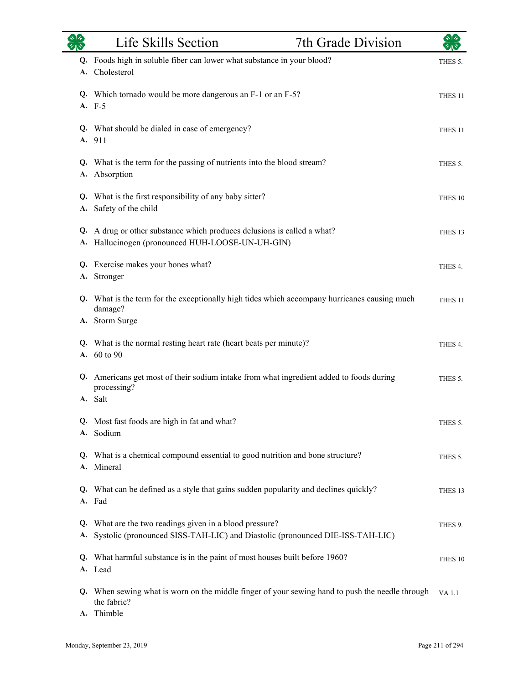|           | Life Skills Section                                                                                                                         | 7th Grade Division |                    |
|-----------|---------------------------------------------------------------------------------------------------------------------------------------------|--------------------|--------------------|
| Q.<br>A.  | Foods high in soluble fiber can lower what substance in your blood?<br>Cholesterol                                                          |                    | THES 5.            |
|           | Q. Which tornado would be more dangerous an F-1 or an F-5?<br>A. F-5                                                                        |                    | THES <sub>11</sub> |
|           | Q. What should be dialed in case of emergency?<br>A. 911                                                                                    |                    | THES <sub>11</sub> |
| А.        | Q. What is the term for the passing of nutrients into the blood stream?<br>Absorption                                                       |                    | THES 5.            |
| <b>A.</b> | Q. What is the first responsibility of any baby sitter?<br>Safety of the child                                                              |                    | THES 10            |
| Q.<br>А.  | A drug or other substance which produces delusions is called a what?<br>Hallucinogen (pronounced HUH-LOOSE-UN-UH-GIN)                       |                    | THES <sub>13</sub> |
| Q.<br>А.  | Exercise makes your bones what?<br>Stronger                                                                                                 |                    | THES 4.            |
|           | Q. What is the term for the exceptionally high tides which accompany hurricanes causing much<br>damage?<br>A. Storm Surge                   |                    | THES <sub>11</sub> |
|           | Q. What is the normal resting heart rate (heart beats per minute)?<br>A. 60 to 90                                                           |                    | THES 4.            |
|           | Q. Americans get most of their sodium intake from what ingredient added to foods during<br>processing?<br>A. Salt                           |                    | THES 5.            |
|           | Q. Most fast foods are high in fat and what?<br>A. Sodium                                                                                   |                    | THES 5.            |
|           | Q. What is a chemical compound essential to good nutrition and bone structure?<br>A. Mineral                                                |                    | THES 5.            |
|           | Q. What can be defined as a style that gains sudden popularity and declines quickly?<br>A. Fad                                              |                    | THES <sub>13</sub> |
|           | Q. What are the two readings given in a blood pressure?<br>A. Systolic (pronounced SISS-TAH-LIC) and Diastolic (pronounced DIE-ISS-TAH-LIC) |                    | THES 9.            |
|           | Q. What harmful substance is in the paint of most houses built before 1960?<br>A. Lead                                                      |                    | THES 10            |
|           | Q. When sewing what is worn on the middle finger of your sewing hand to push the needle through<br>the fabric?<br>A. Thimble                |                    | <b>VA</b> 1.1      |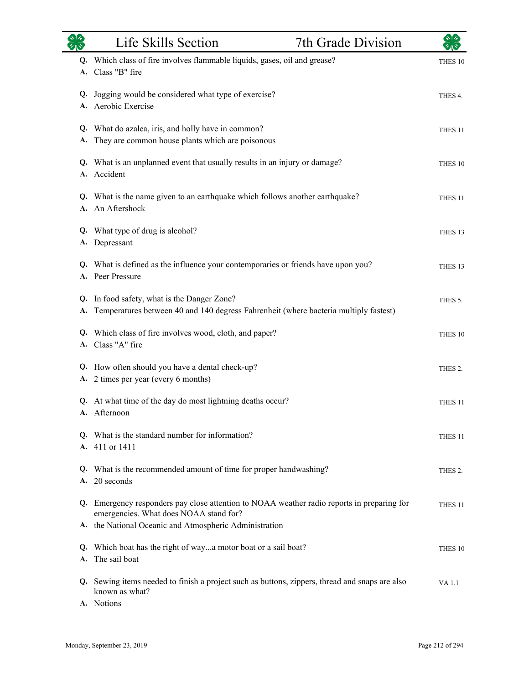|          | Life Skills Section                                                                                                               | 7th Grade Division |                     |
|----------|-----------------------------------------------------------------------------------------------------------------------------------|--------------------|---------------------|
|          | Q. Which class of fire involves flammable liquids, gases, oil and grease?<br>A. Class "B" fire                                    |                    | THES <sub>10</sub>  |
| Q.       | Jogging would be considered what type of exercise?<br>A. Aerobic Exercise                                                         |                    | THES 4.             |
| А.       | Q. What do azalea, iris, and holly have in common?<br>They are common house plants which are poisonous                            |                    | THES <sub>11</sub>  |
|          | Q. What is an unplanned event that usually results in an injury or damage?<br>A. Accident                                         |                    | THES 10             |
|          | Q. What is the name given to an earthquake which follows another earthquake?<br>A. An Aftershock                                  |                    | THES <sub>11</sub>  |
|          | Q. What type of drug is alcohol?<br>A. Depressant                                                                                 |                    | THES <sub>13</sub>  |
|          | Q. What is defined as the influence your contemporaries or friends have upon you?<br>A. Peer Pressure                             |                    | THES <sub>13</sub>  |
| Q.<br>A. | In food safety, what is the Danger Zone?<br>Temperatures between 40 and 140 degress Fahrenheit (where bacteria multiply fastest)  |                    | THES 5.             |
|          | Q. Which class of fire involves wood, cloth, and paper?<br>A. Class "A" fire                                                      |                    | THES 10             |
|          | Q. How often should you have a dental check-up?<br>A. 2 times per year (every 6 months)                                           |                    | THES 2.             |
|          | Q. At what time of the day do most lightning deaths occur?<br>A. Afternoon                                                        |                    | THES 11             |
|          | Q. What is the standard number for information?<br>A. 411 or 1411                                                                 |                    | THES 11             |
|          | Q. What is the recommended amount of time for proper handwashing?<br>A. 20 seconds                                                |                    | THES <sub>2</sub> . |
| Q.       | Emergency responders pay close attention to NOAA weather radio reports in preparing for<br>emergencies. What does NOAA stand for? |                    | THES <sub>11</sub>  |
|          | A. the National Oceanic and Atmospheric Administration                                                                            |                    |                     |
|          | Q. Which boat has the right of waya motor boat or a sail boat?<br>A. The sail boat                                                |                    | THES 10             |
| Q.       | Sewing items needed to finish a project such as buttons, zippers, thread and snaps are also<br>known as what?<br>A. Notions       |                    | VA 1.1              |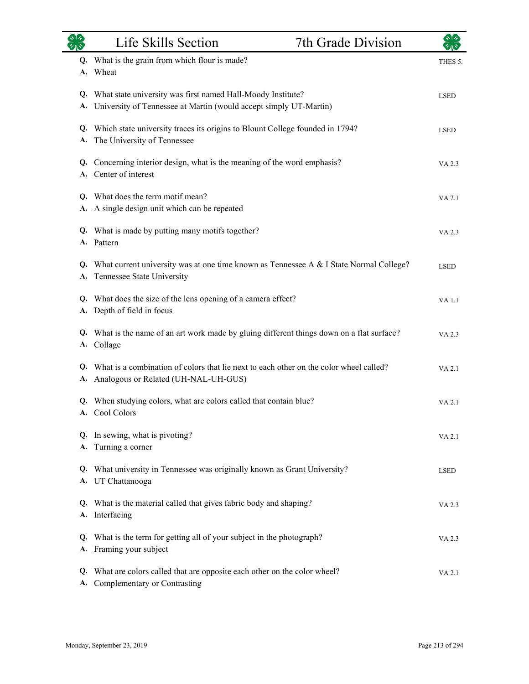|          | Life Skills Section                                                                                                              | 7th Grade Division |             |
|----------|----------------------------------------------------------------------------------------------------------------------------------|--------------------|-------------|
|          | Q. What is the grain from which flour is made?<br>A. Wheat                                                                       |                    | THES 5.     |
| Q.<br>А. | What state university was first named Hall-Moody Institute?<br>University of Tennessee at Martin (would accept simply UT-Martin) |                    | <b>LSED</b> |
| Q.<br>A. | Which state university traces its origins to Blount College founded in 1794?<br>The University of Tennessee                      |                    | <b>LSED</b> |
|          | Q. Concerning interior design, what is the meaning of the word emphasis?<br>A. Center of interest                                |                    | VA 2.3      |
| А.       | Q. What does the term motif mean?<br>A single design unit which can be repeated                                                  |                    | VA 2.1      |
|          | Q. What is made by putting many motifs together?<br>A. Pattern                                                                   |                    | VA 2.3      |
| Q.<br>А. | What current university was at one time known as Tennessee A & I State Normal College?<br>Tennessee State University             |                    | <b>LSED</b> |
|          | Q. What does the size of the lens opening of a camera effect?<br>A. Depth of field in focus                                      |                    | VA 1.1      |
|          | Q. What is the name of an art work made by gluing different things down on a flat surface?<br>A. Collage                         |                    | VA 2.3      |
| Q.<br>A. | What is a combination of colors that lie next to each other on the color wheel called?<br>Analogous or Related (UH-NAL-UH-GUS)   |                    | VA 2.1      |
|          | Q. When studying colors, what are colors called that contain blue?<br>A. Cool Colors                                             |                    | VA 2.1      |
|          | Q. In sewing, what is pivoting?<br>A. Turning a corner                                                                           |                    | VA 2.1      |
|          | Q. What university in Tennessee was originally known as Grant University?<br>A. UT Chattanooga                                   |                    | <b>LSED</b> |
|          | Q. What is the material called that gives fabric body and shaping?<br>A. Interfacing                                             |                    | VA 2.3      |
|          | Q. What is the term for getting all of your subject in the photograph?<br>A. Framing your subject                                |                    | VA 2.3      |
| Q.<br>A. | What are colors called that are opposite each other on the color wheel?<br>Complementary or Contrasting                          |                    | VA 2.1      |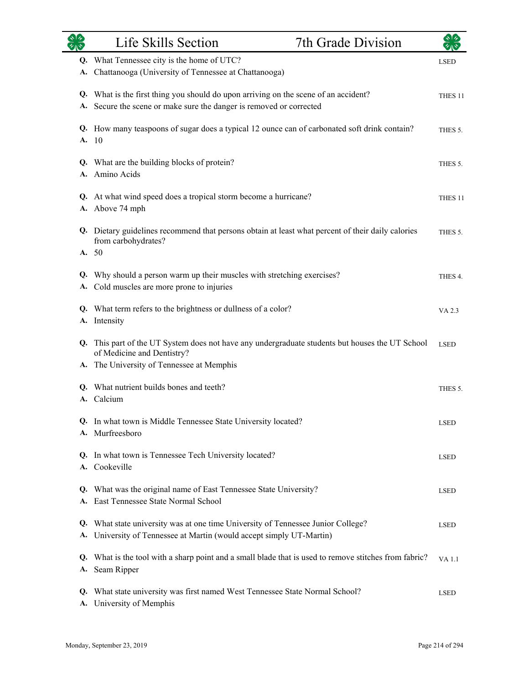|          | Life Skills Section<br>7th Grade Division                                                                                                                  |                    |
|----------|------------------------------------------------------------------------------------------------------------------------------------------------------------|--------------------|
| Q.<br>А. | What Tennessee city is the home of UTC?<br>Chattanooga (University of Tennessee at Chattanooga)                                                            | <b>LSED</b>        |
|          | Q. What is the first thing you should do upon arriving on the scene of an accident?<br>A. Secure the scene or make sure the danger is removed or corrected | THES <sub>11</sub> |
|          | Q. How many teaspoons of sugar does a typical 12 ounce can of carbonated soft drink contain?<br>A. 10                                                      | THES 5.            |
| А.       | Q. What are the building blocks of protein?<br>Amino Acids                                                                                                 | THES 5.            |
|          | Q. At what wind speed does a tropical storm become a hurricane?<br>A. Above 74 mph                                                                         | THES 11            |
|          | Q. Dietary guidelines recommend that persons obtain at least what percent of their daily calories<br>from carbohydrates?<br>A. 50                          | THES 5.            |
| Q.<br>А. | Why should a person warm up their muscles with stretching exercises?<br>Cold muscles are more prone to injuries                                            | THES 4.            |
| А.       | Q. What term refers to the brightness or dullness of a color?<br>Intensity                                                                                 | VA 2.3             |
|          | Q. This part of the UT System does not have any undergraduate students but houses the UT School<br>of Medicine and Dentistry?                              | <b>LSED</b>        |
| А.       | The University of Tennessee at Memphis                                                                                                                     |                    |
| Q.<br>А. | What nutrient builds bones and teeth?<br>Calcium                                                                                                           | THES 5.            |
|          | Q. In what town is Middle Tennessee State University located?<br>A. Murfreesboro                                                                           | <b>LSED</b>        |
|          | Q. In what town is Tennessee Tech University located?<br>A. Cookeville                                                                                     | <b>LSED</b>        |
| Q.       | What was the original name of East Tennessee State University?<br>A. East Tennessee State Normal School                                                    | <b>LSED</b>        |
|          | Q. What state university was at one time University of Tennessee Junior College?<br>A. University of Tennessee at Martin (would accept simply UT-Martin)   | <b>LSED</b>        |
|          | Q. What is the tool with a sharp point and a small blade that is used to remove stitches from fabric?<br>A. Seam Ripper                                    | <b>VA1.1</b>       |
| Q.       | What state university was first named West Tennessee State Normal School?<br>A. University of Memphis                                                      | <b>LSED</b>        |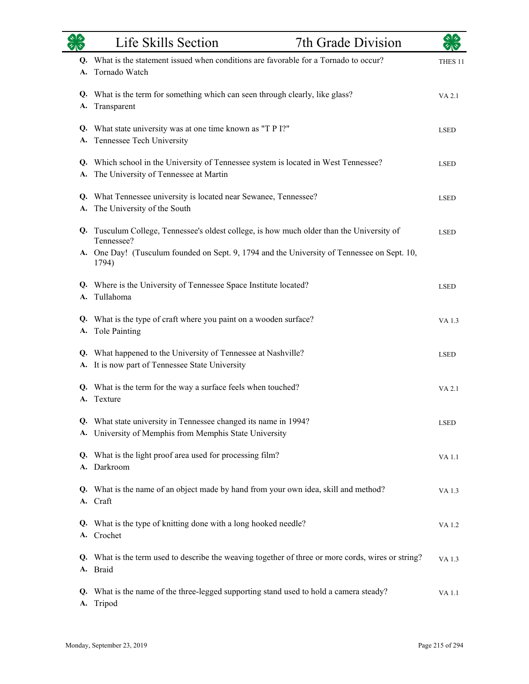|          | Life Skills Section                                                                                                          | 7th Grade Division | $\star$ $\star$    |
|----------|------------------------------------------------------------------------------------------------------------------------------|--------------------|--------------------|
| A.       | Q. What is the statement issued when conditions are favorable for a Tornado to occur?<br>Tornado Watch                       |                    | THES <sub>11</sub> |
| А.       | Q. What is the term for something which can seen through clearly, like glass?<br>Transparent                                 |                    | VA 2.1             |
|          | Q. What state university was at one time known as "T P I?"<br>A. Tennessee Tech University                                   |                    | <b>LSED</b>        |
| A.       | Q. Which school in the University of Tennessee system is located in West Tennessee?<br>The University of Tennessee at Martin |                    | <b>LSED</b>        |
| А.       | Q. What Tennessee university is located near Sewanee, Tennessee?<br>The University of the South                              |                    | <b>LSED</b>        |
|          | Q. Tusculum College, Tennessee's oldest college, is how much older than the University of<br>Tennessee?                      |                    | <b>LSED</b>        |
|          | A. One Day! (Tusculum founded on Sept. 9, 1794 and the University of Tennessee on Sept. 10,<br>1794)                         |                    |                    |
|          | Q. Where is the University of Tennessee Space Institute located?<br>A. Tullahoma                                             |                    | <b>LSED</b>        |
| A.       | Q. What is the type of craft where you paint on a wooden surface?<br>Tole Painting                                           |                    | VA 1.3             |
|          | Q. What happened to the University of Tennessee at Nashville?<br>A. It is now part of Tennessee State University             |                    | <b>LSED</b>        |
| A.       | Q. What is the term for the way a surface feels when touched?<br>Texture                                                     |                    | VA 2.1             |
| Q.<br>А. | What state university in Tennessee changed its name in 1994?<br>University of Memphis from Memphis State University          |                    | <b>LSED</b>        |
| Q.       | What is the light proof area used for processing film?<br>A. Darkroom                                                        |                    | <b>VA1.1</b>       |
|          | Q. What is the name of an object made by hand from your own idea, skill and method?<br>A. Craft                              |                    | VA 1.3             |
|          | Q. What is the type of knitting done with a long hooked needle?<br>A. Crochet                                                |                    | VA 1.2             |
|          | Q. What is the term used to describe the weaving together of three or more cords, wires or string?<br>A. Braid               |                    | VA 1.3             |
| Q.<br>А. | What is the name of the three-legged supporting stand used to hold a camera steady?<br>Tripod                                |                    | VA 1.1             |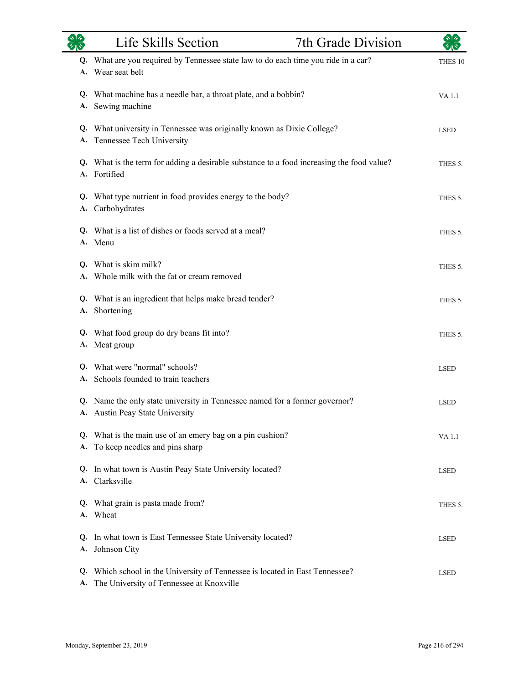| $\frac{1}{2}$ | Life Skills Section                                                                                                   | 7th Grade Division |             |
|---------------|-----------------------------------------------------------------------------------------------------------------------|--------------------|-------------|
| A.            | Q. What are you required by Tennessee state law to do each time you ride in a car?<br>Wear seat belt                  |                    | THES 10     |
| A.            | Q. What machine has a needle bar, a throat plate, and a bobbin?<br>Sewing machine                                     |                    | VA 1.1      |
| Q.<br>А.      | What university in Tennessee was originally known as Dixie College?<br>Tennessee Tech University                      |                    | <b>LSED</b> |
|               | Q. What is the term for adding a desirable substance to a food increasing the food value?<br>A. Fortified             |                    | THES 5.     |
| Q.<br>A.      | What type nutrient in food provides energy to the body?<br>Carbohydrates                                              |                    | THES 5.     |
| Q.            | What is a list of dishes or foods served at a meal?<br>A. Menu                                                        |                    | THES 5.     |
| O.            | What is skim milk?<br>A. Whole milk with the fat or cream removed                                                     |                    | THES 5.     |
| А.            | Q. What is an ingredient that helps make bread tender?<br>Shortening                                                  |                    | THES 5.     |
| A.            | Q. What food group do dry beans fit into?<br>Meat group                                                               |                    | THES 5.     |
|               | Q. What were "normal" schools?<br>A. Schools founded to train teachers                                                |                    | <b>LSED</b> |
|               | Q. Name the only state university in Tennessee named for a former governor?<br>A. Austin Peay State University        |                    | <b>LSED</b> |
| Q.<br>А.      | What is the main use of an emery bag on a pin cushion?<br>To keep needles and pins sharp                              |                    | VA 1.1      |
| O.            | In what town is Austin Peay State University located?<br>A. Clarksville                                               |                    | <b>LSED</b> |
|               | Q. What grain is pasta made from?<br>A. Wheat                                                                         |                    | THES 5.     |
| Q.<br>А.      | In what town is East Tennessee State University located?<br>Johnson City                                              |                    | LSED        |
| Q.<br>A.      | Which school in the University of Tennessee is located in East Tennessee?<br>The University of Tennessee at Knoxville |                    | <b>LSED</b> |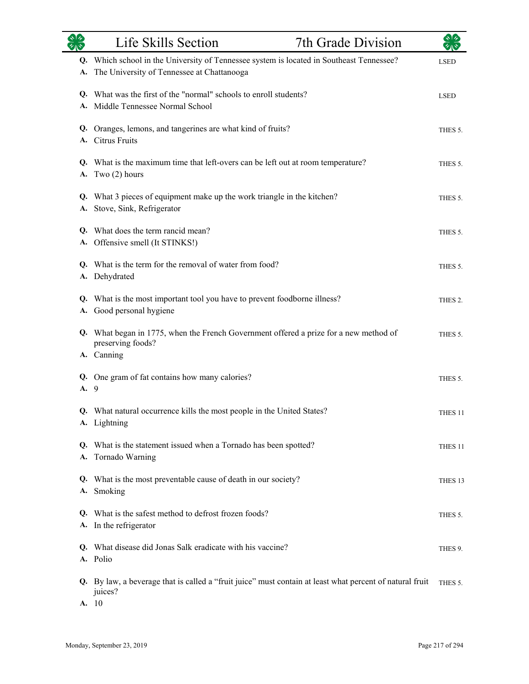|      | Life Skills Section<br>7th Grade Division                                                                                              |                    |
|------|----------------------------------------------------------------------------------------------------------------------------------------|--------------------|
| А.   | Q. Which school in the University of Tennessee system is located in Southeast Tennessee?<br>The University of Tennessee at Chattanooga | <b>LSED</b>        |
|      | Q. What was the first of the "normal" schools to enroll students?<br>A. Middle Tennessee Normal School                                 | <b>LSED</b>        |
|      | Q. Oranges, lemons, and tangerines are what kind of fruits?<br>A. Citrus Fruits                                                        | THES 5.            |
|      | Q. What is the maximum time that left-overs can be left out at room temperature?<br>A. Two $(2)$ hours                                 | THES 5.            |
|      | Q. What 3 pieces of equipment make up the work triangle in the kitchen?<br>A. Stove, Sink, Refrigerator                                | THES 5.            |
|      | Q. What does the term rancid mean?<br>A. Offensive smell (It STINKS!)                                                                  | THES 5.            |
|      | Q. What is the term for the removal of water from food?<br>A. Dehydrated                                                               | THES 5.            |
| А.   | Q. What is the most important tool you have to prevent foodborne illness?<br>Good personal hygiene                                     | THES 2.            |
|      | Q. What began in 1775, when the French Government offered a prize for a new method of<br>preserving foods?                             | THES 5.            |
| A. 9 | A. Canning<br>Q. One gram of fat contains how many calories?                                                                           | THES 5.            |
|      | Q. What natural occurrence kills the most people in the United States?<br>A. Lightning                                                 | THES <sub>11</sub> |
| Q.   | What is the statement issued when a Tornado has been spotted?<br>A. Tornado Warning                                                    | THES 11            |
|      | Q. What is the most preventable cause of death in our society?<br>A. Smoking                                                           | THES 13            |
|      | Q. What is the safest method to defrost frozen foods?<br>A. In the refrigerator                                                        | THES 5.            |
|      | Q. What disease did Jonas Salk eradicate with his vaccine?<br>A. Polio                                                                 | THES 9.            |
|      | Q. By law, a beverage that is called a "fruit juice" must contain at least what percent of natural fruit<br>juices?<br>A. 10           | THES 5.            |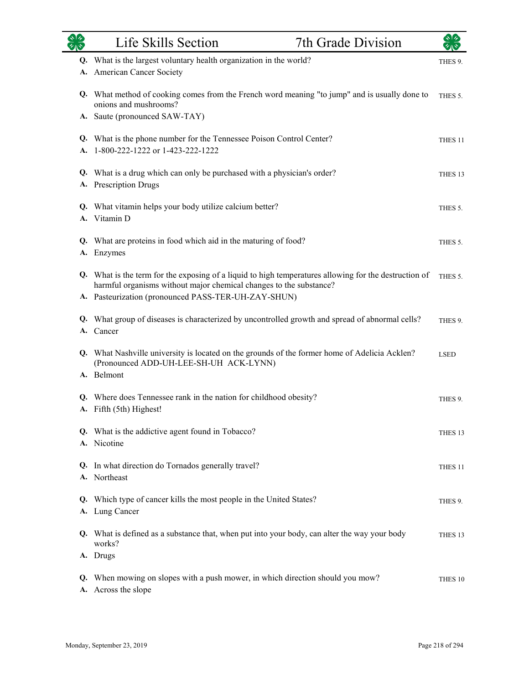| <b>OR</b> | Life Skills Section                                                                                                                                                                                                                | 7th Grade Division | $\star$ $\star$    |
|-----------|------------------------------------------------------------------------------------------------------------------------------------------------------------------------------------------------------------------------------------|--------------------|--------------------|
|           | Q. What is the largest voluntary health organization in the world?<br>A. American Cancer Society                                                                                                                                   |                    | THES 9.            |
|           | Q. What method of cooking comes from the French word meaning "to jump" and is usually done to<br>onions and mushrooms?                                                                                                             |                    | THES 5.            |
|           | A. Saute (pronounced SAW-TAY)                                                                                                                                                                                                      |                    |                    |
| А.        | Q. What is the phone number for the Tennessee Poison Control Center?<br>1-800-222-1222 or 1-423-222-1222                                                                                                                           |                    | THES <sub>11</sub> |
|           | Q. What is a drug which can only be purchased with a physician's order?<br>A. Prescription Drugs                                                                                                                                   |                    | THES <sub>13</sub> |
|           | Q. What vitamin helps your body utilize calcium better?<br>A. Vitamin D                                                                                                                                                            |                    | THES 5.            |
| Q.<br>А.  | What are proteins in food which aid in the maturing of food?<br>Enzymes                                                                                                                                                            |                    | THES 5.            |
|           | Q. What is the term for the exposing of a liquid to high temperatures allowing for the destruction of<br>harmful organisms without major chemical changes to the substance?<br>A. Pasteurization (pronounced PASS-TER-UH-ZAY-SHUN) |                    | THES 5.            |
|           |                                                                                                                                                                                                                                    |                    |                    |
| Q.<br>А.  | What group of diseases is characterized by uncontrolled growth and spread of abnormal cells?<br>Cancer                                                                                                                             |                    | THES 9.            |
|           | Q. What Nashville university is located on the grounds of the former home of Adelicia Acklen?<br>(Pronounced ADD-UH-LEE-SH-UH ACK-LYNN)<br>A. Belmont                                                                              |                    | <b>LSED</b>        |
|           | Q. Where does Tennessee rank in the nation for childhood obesity?<br>A. Fifth (5th) Highest!                                                                                                                                       |                    | THES 9.            |
|           | Q. What is the addictive agent found in Tobacco?<br>A. Nicotine                                                                                                                                                                    |                    | THES <sub>13</sub> |
|           | Q. In what direction do Tornados generally travel?<br>A. Northeast                                                                                                                                                                 |                    | THES 11            |
| Q.        | Which type of cancer kills the most people in the United States?<br>A. Lung Cancer                                                                                                                                                 |                    | THES 9.            |
|           | Q. What is defined as a substance that, when put into your body, can alter the way your body<br>works?                                                                                                                             |                    | THES <sub>13</sub> |
|           | A. Drugs                                                                                                                                                                                                                           |                    |                    |
| Q.<br>А.  | When mowing on slopes with a push mower, in which direction should you mow?<br>Across the slope                                                                                                                                    |                    | THES 10            |

 $\overline{\phantom{0}}$ 

÷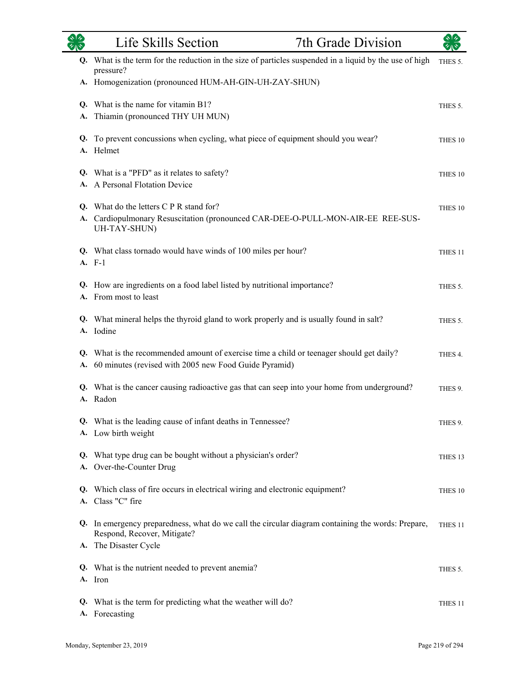|          | Life Skills Section<br>7th Grade Division                                                                                                                 |                    |
|----------|-----------------------------------------------------------------------------------------------------------------------------------------------------------|--------------------|
| Q.       | What is the term for the reduction in the size of particles suspended in a liquid by the use of high<br>pressure?                                         | THES 5.            |
|          | A. Homogenization (pronounced HUM-AH-GIN-UH-ZAY-SHUN)                                                                                                     |                    |
|          | Q. What is the name for vitamin B1?                                                                                                                       | THES 5.            |
| A.       | Thiamin (pronounced THY UH MUN)                                                                                                                           |                    |
| Q.<br>A. | To prevent concussions when cycling, what piece of equipment should you wear?<br>Helmet                                                                   | THES 10            |
|          | Q. What is a "PFD" as it relates to safety?                                                                                                               | THES 10            |
|          | A. A Personal Flotation Device                                                                                                                            |                    |
|          | Q. What do the letters C P R stand for?<br>A. Cardiopulmonary Resuscitation (pronounced CAR-DEE-O-PULL-MON-AIR-EE REE-SUS-<br>UH-TAY-SHUN)                | THES 10            |
|          | Q. What class tornado would have winds of 100 miles per hour?<br>A. F-1                                                                                   | THES <sub>11</sub> |
| Q.       | How are ingredients on a food label listed by nutritional importance?<br>A. From most to least                                                            | THES 5.            |
|          | Q. What mineral helps the thyroid gland to work properly and is usually found in salt?<br>A. Iodine                                                       | THES 5.            |
| Q.<br>A. | What is the recommended amount of exercise time a child or teenager should get daily?<br>60 minutes (revised with 2005 new Food Guide Pyramid)            | THES 4.            |
| A.       | Q. What is the cancer causing radioactive gas that can seep into your home from underground?<br>Radon                                                     | THES 9.            |
|          | Q. What is the leading cause of infant deaths in Tennessee?<br>A. Low birth weight                                                                        | THES 9.            |
|          | Q. What type drug can be bought without a physician's order?<br>A. Over-the-Counter Drug                                                                  | THES 13            |
|          | Q. Which class of fire occurs in electrical wiring and electronic equipment?<br>A. Class "C" fire                                                         | THES 10            |
|          | Q. In emergency preparedness, what do we call the circular diagram containing the words: Prepare,<br>Respond, Recover, Mitigate?<br>A. The Disaster Cycle | THES 11            |
|          | Q. What is the nutrient needed to prevent anemia?<br>A. Iron                                                                                              | THES 5.            |
| Q.       | What is the term for predicting what the weather will do?<br>A. Forecasting                                                                               | THES <sub>11</sub> |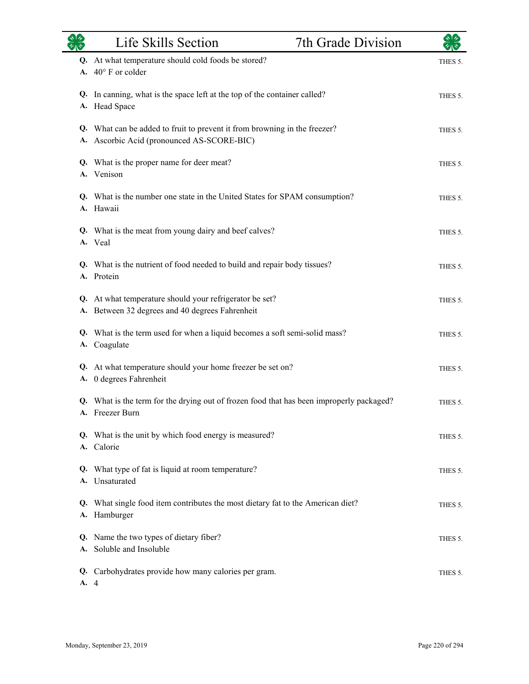|          | Life Skills Section                                                                                                     | 7th Grade Division |         |
|----------|-------------------------------------------------------------------------------------------------------------------------|--------------------|---------|
|          | Q. At what temperature should cold foods be stored?<br>A. $40^{\circ}$ F or colder                                      |                    | THES 5. |
|          | Q. In canning, what is the space left at the top of the container called?<br>A. Head Space                              |                    | THES 5. |
|          | Q. What can be added to fruit to prevent it from browning in the freezer?<br>A. Ascorbic Acid (pronounced AS-SCORE-BIC) |                    | THES 5. |
|          | Q. What is the proper name for deer meat?<br>A. Venison                                                                 |                    | THES 5. |
| Q.       | What is the number one state in the United States for SPAM consumption?<br>A. Hawaii                                    |                    | THES 5. |
|          | Q. What is the meat from young dairy and beef calves?<br>A. Veal                                                        |                    | THES 5. |
|          | Q. What is the nutrient of food needed to build and repair body tissues?<br>A. Protein                                  |                    | THES 5. |
| А.       | Q. At what temperature should your refrigerator be set?<br>Between 32 degrees and 40 degrees Fahrenheit                 |                    | THES 5. |
|          | Q. What is the term used for when a liquid becomes a soft semi-solid mass?<br>A. Coagulate                              |                    | THES 5. |
|          | Q. At what temperature should your home freezer be set on?<br>A. 0 degrees Fahrenheit                                   |                    | THES 5. |
|          | Q. What is the term for the drying out of frozen food that has been improperly packaged?<br>A. Freezer Burn             |                    | THES 5. |
| Q.       | What is the unit by which food energy is measured?<br>A. Calorie                                                        |                    | THES 5. |
| Q.       | What type of fat is liquid at room temperature?<br>A. Unsaturated                                                       |                    | THES 5. |
|          | Q. What single food item contributes the most dietary fat to the American diet?<br>A. Hamburger                         |                    | THES 5. |
| Q.<br>А. | Name the two types of dietary fiber?<br>Soluble and Insoluble                                                           |                    | THES 5. |
| A. 4     | Q. Carbohydrates provide how many calories per gram.                                                                    |                    | THES 5. |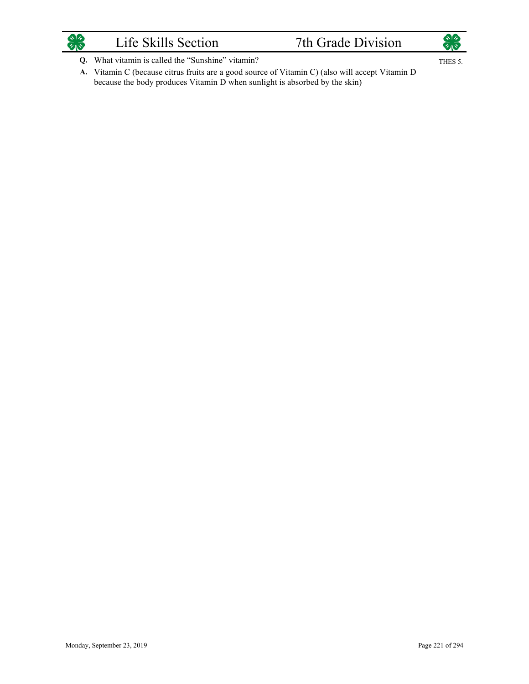

## Life Skills Section 7th Grade Division



THES 5.

- What vitamin is called the "Sunshine" vitamin? **Q.**
- A. Vitamin C (because citrus fruits are a good source of Vitamin C) (also will accept Vitamin D because the body produces Vitamin D when sunlight is absorbed by the skin)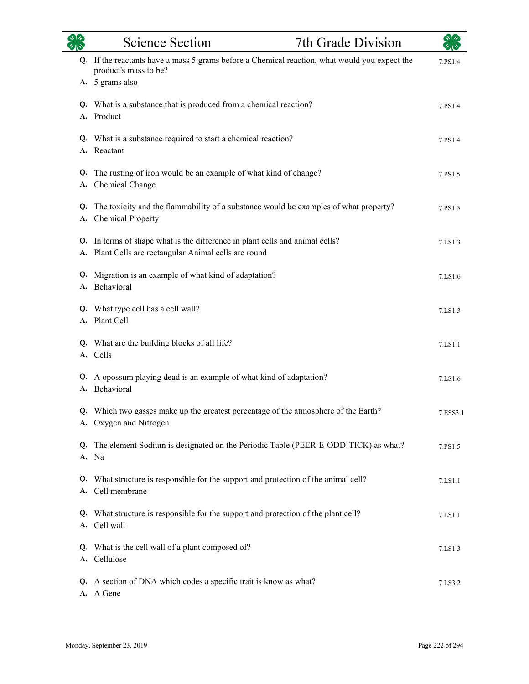| $\sqrt[3]{4}$ | <b>Science Section</b>                                                                                                          | 7th Grade Division | 刘夕       |
|---------------|---------------------------------------------------------------------------------------------------------------------------------|--------------------|----------|
|               | Q. If the reactants have a mass 5 grams before a Chemical reaction, what would you expect the<br>product's mass to be?          |                    | 7.PS1.4  |
|               | A. 5 grams also                                                                                                                 |                    |          |
|               | Q. What is a substance that is produced from a chemical reaction?<br>A. Product                                                 |                    | 7.PS1.4  |
| Q.            | What is a substance required to start a chemical reaction?<br>A. Reactant                                                       |                    | 7.PS1.4  |
| Q.<br>A.      | The rusting of iron would be an example of what kind of change?<br>Chemical Change                                              |                    | 7.PS1.5  |
| Q.<br>A.      | The toxicity and the flammability of a substance would be examples of what property?<br><b>Chemical Property</b>                |                    | 7.PS1.5  |
| Q.<br>A.      | In terms of shape what is the difference in plant cells and animal cells?<br>Plant Cells are rectangular Animal cells are round |                    | 7.LS1.3  |
| A.            | Q. Migration is an example of what kind of adaptation?<br>Behavioral                                                            |                    | 7.LS1.6  |
|               | Q. What type cell has a cell wall?<br>A. Plant Cell                                                                             |                    | 7.LS1.3  |
|               | Q. What are the building blocks of all life?<br>A. Cells                                                                        |                    | 7.LS1.1  |
| Q.            | A opossum playing dead is an example of what kind of adaptation?<br>A. Behavioral                                               |                    | 7.LS1.6  |
|               | Q. Which two gasses make up the greatest percentage of the atmosphere of the Earth?<br>A. Oxygen and Nitrogen                   |                    | 7.ESS3.1 |
|               | Q. The element Sodium is designated on the Periodic Table (PEER-E-ODD-TICK) as what?<br>A. Na                                   |                    | 7.PS1.5  |
| Q.            | What structure is responsible for the support and protection of the animal cell?<br>A. Cell membrane                            |                    | 7.LS1.1  |
|               | Q. What structure is responsible for the support and protection of the plant cell?<br>A. Cell wall                              |                    | 7.LS1.1  |
|               | Q. What is the cell wall of a plant composed of?<br>A. Cellulose                                                                |                    | 7.LS1.3  |
|               | Q. A section of DNA which codes a specific trait is know as what?<br>A. A Gene                                                  |                    | 7.LS3.2  |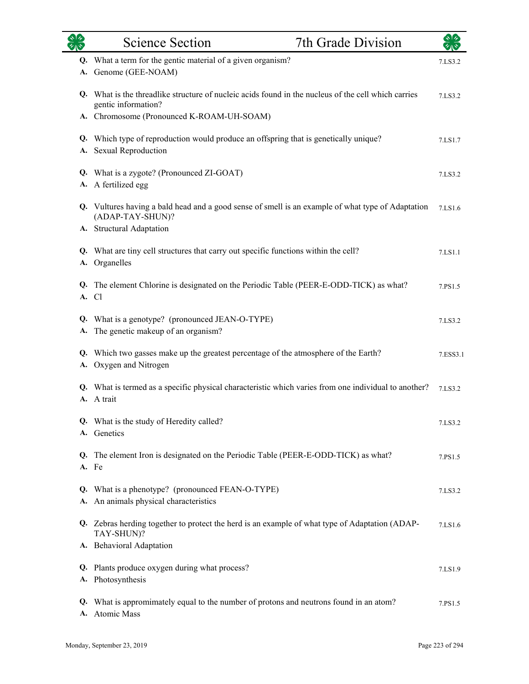| ぐしゃ | 7th Grade Division<br><b>Science Section</b>                                                                               |          |
|-----|----------------------------------------------------------------------------------------------------------------------------|----------|
|     | Q. What a term for the gentic material of a given organism?<br>A. Genome (GEE-NOAM)                                        | 7.LS3.2  |
|     | Q. What is the threadlike structure of nucleic acids found in the nucleus of the cell which carries<br>gentic information? | 7.LS3.2  |
|     | A. Chromosome (Pronounced K-ROAM-UH-SOAM)                                                                                  |          |
|     | Q. Which type of reproduction would produce an offspring that is genetically unique?<br>A. Sexual Reproduction             | 7.LS1.7  |
|     | Q. What is a zygote? (Pronounced ZI-GOAT)<br>A. A fertilized egg                                                           | 7.LS3.2  |
|     | Q. Vultures having a bald head and a good sense of smell is an example of what type of Adaptation<br>(ADAP-TAY-SHUN)?      | 7.LS1.6  |
|     | A. Structural Adaptation                                                                                                   |          |
|     | Q. What are tiny cell structures that carry out specific functions within the cell?<br>A. Organelles                       | 7.LS1.1  |
|     | Q. The element Chlorine is designated on the Periodic Table (PEER-E-ODD-TICK) as what?<br>A. Cl                            | 7.PS1.5  |
| A.  | Q. What is a genotype? (pronounced JEAN-O-TYPE)<br>The genetic makeup of an organism?                                      | 7.LS3.2  |
|     | Q. Which two gasses make up the greatest percentage of the atmosphere of the Earth?<br>A. Oxygen and Nitrogen              | 7.ESS3.1 |
|     | Q. What is termed as a specific physical characteristic which varies from one individual to another?<br>A. A trait         | 7.LS3.2  |
|     | Q. What is the study of Heredity called?<br>A. Genetics                                                                    | 7.LS3.2  |
|     | Q. The element Iron is designated on the Periodic Table (PEER-E-ODD-TICK) as what?<br>A. Fe                                | 7.PS1.5  |
| A.  | Q. What is a phenotype? (pronounced FEAN-O-TYPE)<br>An animals physical characteristics                                    | 7.LS3.2  |
|     | Q. Zebras herding together to protect the herd is an example of what type of Adaptation (ADAP-<br>TAY-SHUN)?               | 7.LS1.6  |
|     | A. Behavioral Adaptation                                                                                                   |          |
|     | Q. Plants produce oxygen during what process?<br>A. Photosynthesis                                                         | 7.LS1.9  |
| Q.  | What is appromimately equal to the number of protons and neutrons found in an atom?<br>A. Atomic Mass                      | 7.PS1.5  |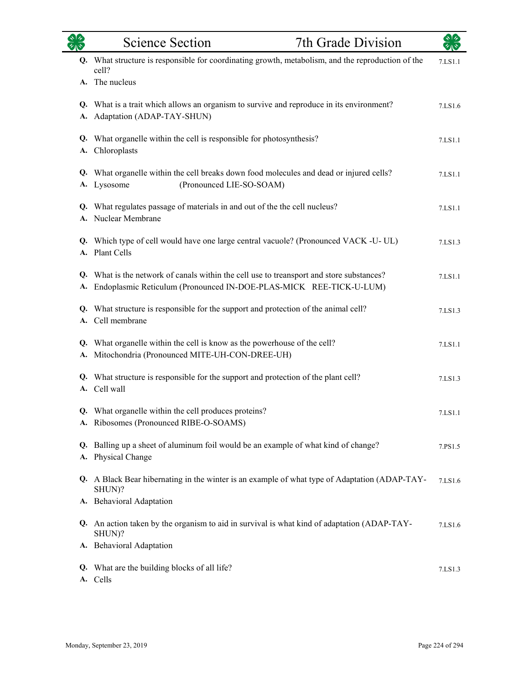|          | <b>Science Section</b>                                                                                                                                      | 7th Grade Division |         |
|----------|-------------------------------------------------------------------------------------------------------------------------------------------------------------|--------------------|---------|
|          | Q. What structure is responsible for coordinating growth, metabolism, and the reproduction of the<br>cell?                                                  |                    | 7.LS1.1 |
|          | A. The nucleus                                                                                                                                              |                    |         |
| Q.<br>A. | What is a trait which allows an organism to survive and reproduce in its environment?<br>Adaptation (ADAP-TAY-SHUN)                                         |                    | 7.LS1.6 |
| Q.<br>A. | What organelle within the cell is responsible for photosynthesis?<br>Chloroplasts                                                                           |                    | 7.LS1.1 |
| Q.<br>А. | What organelle within the cell breaks down food molecules and dead or injured cells?<br>(Pronounced LIE-SO-SOAM)<br>Lysosome                                |                    | 7.LS1.1 |
| Q.<br>A. | What regulates passage of materials in and out of the the cell nucleus?<br>Nuclear Membrane                                                                 |                    | 7.LS1.1 |
|          | Q. Which type of cell would have one large central vacuole? (Pronounced VACK -U- UL)<br>A. Plant Cells                                                      |                    | 7.LS1.3 |
| Q.<br>A. | What is the network of canals within the cell use to treansport and store substances?<br>Endoplasmic Reticulum (Pronounced IN-DOE-PLAS-MICK REE-TICK-U-LUM) |                    | 7.LS1.1 |
| A.       | Q. What structure is responsible for the support and protection of the animal cell?<br>Cell membrane                                                        |                    | 7.LS1.3 |
| Q.<br>A. | What organelle within the cell is know as the powerhouse of the cell?<br>Mitochondria (Pronounced MITE-UH-CON-DREE-UH)                                      |                    | 7.LS1.1 |
| Q.<br>A. | What structure is responsible for the support and protection of the plant cell?<br>Cell wall                                                                |                    | 7.LS1.3 |
|          | Q. What organelle within the cell produces proteins?<br>A. Ribosomes (Pronounced RIBE-O-SOAMS)                                                              |                    | 7.LS1.1 |
| Q.<br>A. | Balling up a sheet of aluminum foil would be an example of what kind of change?<br>Physical Change                                                          |                    | 7.PS1.5 |
|          | Q. A Black Bear hibernating in the winter is an example of what type of Adaptation (ADAP-TAY-<br>SHUN)?                                                     |                    | 7.LS1.6 |
|          | A. Behavioral Adaptation                                                                                                                                    |                    |         |
|          | Q. An action taken by the organism to aid in survival is what kind of adaptation (ADAP-TAY-<br>SHUN)?                                                       |                    | 7.LS1.6 |
|          | A. Behavioral Adaptation                                                                                                                                    |                    |         |
| Q.       | What are the building blocks of all life?<br>A. Cells                                                                                                       |                    | 7.LS1.3 |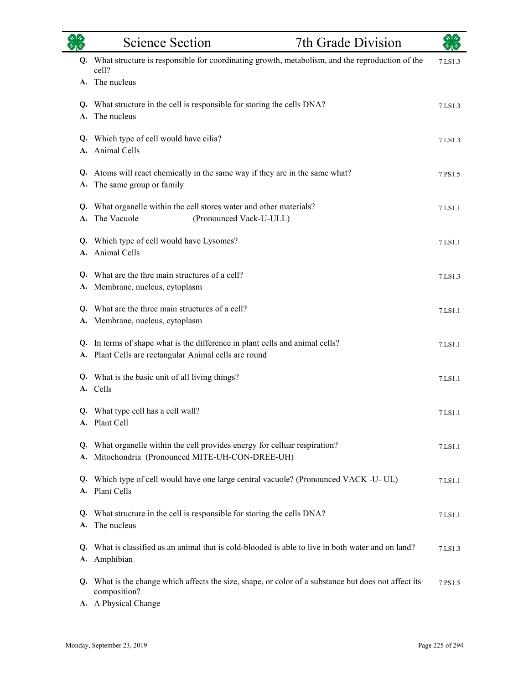|          | <b>Science Section</b>                                                                                                                    | 7th Grade Division |         |
|----------|-------------------------------------------------------------------------------------------------------------------------------------------|--------------------|---------|
|          | Q. What structure is responsible for coordinating growth, metabolism, and the reproduction of the<br>cell?                                |                    | 7.LS1.3 |
|          | A. The nucleus                                                                                                                            |                    |         |
| A.       | Q. What structure in the cell is responsible for storing the cells DNA?<br>The nucleus                                                    |                    | 7.LS1.3 |
| A.       | Q. Which type of cell would have cilia?<br>Animal Cells                                                                                   |                    | 7.LS1.3 |
| Q.<br>A. | Atoms will react chemically in the same way if they are in the same what?<br>The same group or family                                     |                    | 7.PS1.5 |
|          | Q. What organelle within the cell stores water and other materials?<br>A. The Vacuole<br>(Pronounced Vack-U-ULL)                          |                    | 7.LS1.1 |
| A.       | Q. Which type of cell would have Lysomes?<br>Animal Cells                                                                                 |                    | 7.LS1.1 |
|          | Q. What are the thre main structures of a cell?<br>A. Membrane, nucleus, cytoplasm                                                        |                    | 7.LS1.3 |
| Q.<br>А. | What are the three main structures of a cell?<br>Membrane, nucleus, cytoplasm                                                             |                    | 7.LS1.1 |
|          | Q. In terms of shape what is the difference in plant cells and animal cells?<br>A. Plant Cells are rectangular Animal cells are round     |                    | 7.LS1.1 |
|          | Q. What is the basic unit of all living things?<br>A. Cells                                                                               |                    | 7.LS1.1 |
|          | Q. What type cell has a cell wall?<br>A. Plant Cell                                                                                       |                    | 7.LS1.1 |
|          | Q. What organelle within the cell provides energy for celluar respiration?<br>A. Mitochondria (Pronounced MITE-UH-CON-DREE-UH)            |                    | 7.LS1.1 |
| Q.       | Which type of cell would have one large central vacuole? (Pronounced VACK -U-UL)<br>A. Plant Cells                                        |                    | 7.LS1.1 |
| A.       | Q. What structure in the cell is responsible for storing the cells DNA?<br>The nucleus                                                    |                    | 7.LS1.1 |
| Q.<br>А. | What is classified as an animal that is cold-blooded is able to live in both water and on land?<br>Amphibian                              |                    | 7.LS1.3 |
| Q.       | What is the change which affects the size, shape, or color of a substance but does not affect its<br>composition?<br>A. A Physical Change |                    | 7.PS1.5 |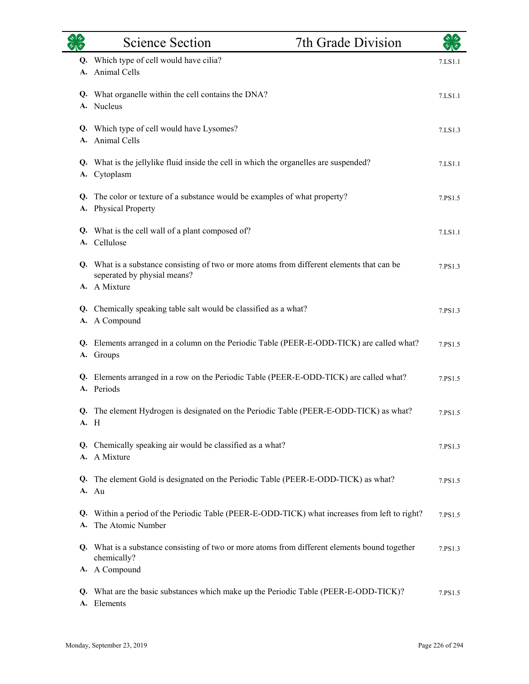| 幼心       | <b>Science Section</b>                                                                                                                    | 7th Grade Division | $\star$ $\star$ |
|----------|-------------------------------------------------------------------------------------------------------------------------------------------|--------------------|-----------------|
| A.       | Q. Which type of cell would have cilia?<br>Animal Cells                                                                                   |                    | 7.LS1.1         |
|          | Q. What organelle within the cell contains the DNA?<br>A. Nucleus                                                                         |                    | 7.LS1.1         |
|          | Q. Which type of cell would have Lysomes?<br>A. Animal Cells                                                                              |                    | 7.LS1.3         |
| Q.<br>А. | What is the jellylike fluid inside the cell in which the organelles are suspended?<br>Cytoplasm                                           |                    | 7.LS1.1         |
| Q.<br>А. | The color or texture of a substance would be examples of what property?<br><b>Physical Property</b>                                       |                    | 7.PS1.5         |
|          | Q. What is the cell wall of a plant composed of?<br>A. Cellulose                                                                          |                    | 7.LS1.1         |
|          | Q. What is a substance consisting of two or more atoms from different elements that can be<br>seperated by physial means?<br>A. A Mixture |                    | 7.PS1.3         |
|          | Q. Chemically speaking table salt would be classified as a what?<br>A. A Compound                                                         |                    | 7.PS1.3         |
|          | Q. Elements arranged in a column on the Periodic Table (PEER-E-ODD-TICK) are called what?<br>A. Groups                                    |                    | 7.PS1.5         |
|          | Q. Elements arranged in a row on the Periodic Table (PEER-E-ODD-TICK) are called what?<br>A. Periods                                      |                    | 7.PS1.5         |
|          | Q. The element Hydrogen is designated on the Periodic Table (PEER-E-ODD-TICK) as what?<br>A. H                                            |                    | 7.PS1.5         |
| Q.<br>А. | Chemically speaking air would be classified as a what?<br>A Mixture                                                                       |                    | 7.PS1.3         |
| Q.       | The element Gold is designated on the Periodic Table (PEER-E-ODD-TICK) as what?<br>A. Au                                                  |                    | 7.PS1.5         |
| Q.<br>А. | Within a period of the Periodic Table (PEER-E-ODD-TICK) what increases from left to right?<br>The Atomic Number                           |                    | 7.PS1.5         |
| Q.       | What is a substance consisting of two or more atoms from different elements bound together<br>chemically?<br>A. A Compound                |                    | 7.PS1.3         |
| Q.<br>А. | What are the basic substances which make up the Periodic Table (PEER-E-ODD-TICK)?<br>Elements                                             |                    | 7.PS1.5         |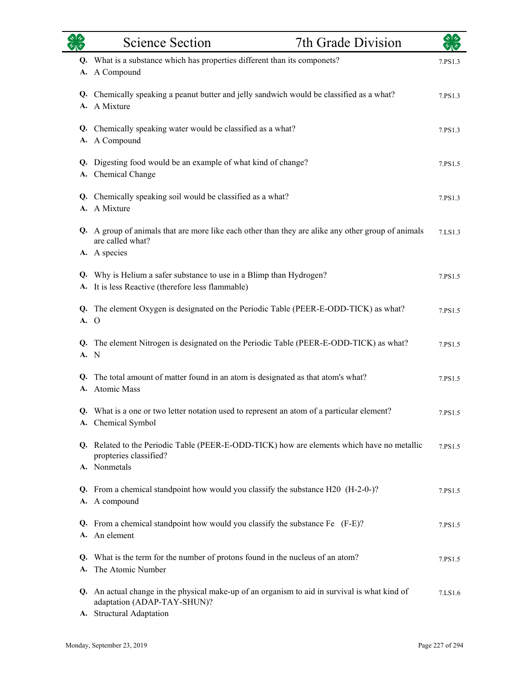|            | <b>Science Section</b>                                                                                                                                       | 7th Grade Division |         |
|------------|--------------------------------------------------------------------------------------------------------------------------------------------------------------|--------------------|---------|
|            | Q. What is a substance which has properties different than its componets?<br>A. A Compound                                                                   |                    | 7.PS1.3 |
|            | Q. Chemically speaking a peanut butter and jelly sandwich would be classified as a what?<br>A. A Mixture                                                     |                    | 7.PS1.3 |
|            | Q. Chemically speaking water would be classified as a what?<br>A. A Compound                                                                                 |                    | 7.PS1.3 |
|            | Q. Digesting food would be an example of what kind of change?<br>A. Chemical Change                                                                          |                    | 7.PS1.5 |
|            | Q. Chemically speaking soil would be classified as a what?<br>A. A Mixture                                                                                   |                    | 7.PS1.3 |
|            | Q. A group of animals that are more like each other than they are alike any other group of animals<br>are called what?<br>A. A species                       |                    | 7.LS1.3 |
|            | Q. Why is Helium a safer substance to use in a Blimp than Hydrogen?<br>A. It is less Reactive (therefore less flammable)                                     |                    | 7.PS1.5 |
| A. O       | Q. The element Oxygen is designated on the Periodic Table (PEER-E-ODD-TICK) as what?                                                                         |                    | 7.PS1.5 |
| Q.<br>A. N | The element Nitrogen is designated on the Periodic Table (PEER-E-ODD-TICK) as what?                                                                          |                    | 7.PS1.5 |
| Q.         | The total amount of matter found in an atom is designated as that atom's what?<br>A. Atomic Mass                                                             |                    | 7.PS1.5 |
|            | Q. What is a one or two letter notation used to represent an atom of a particular element?<br>A. Chemical Symbol                                             |                    | 7.PS1.5 |
|            | Q. Related to the Periodic Table (PEER-E-ODD-TICK) how are elements which have no metallic<br>propteries classified?<br>A. Nonmetals                         |                    | 7.PS1.5 |
|            | Q. From a chemical standpoint how would you classify the substance H20 (H-2-0-)?<br>A. A compound                                                            |                    | 7.PS1.5 |
| Q.         | From a chemical standpoint how would you classify the substance Fe (F-E)?<br>A. An element                                                                   |                    | 7.PS1.5 |
| A.         | Q. What is the term for the number of protons found in the nucleus of an atom?<br>The Atomic Number                                                          |                    | 7.PS1.5 |
| A.         | Q. An actual change in the physical make-up of an organism to aid in survival is what kind of<br>adaptation (ADAP-TAY-SHUN)?<br><b>Structural Adaptation</b> |                    | 7.LS1.6 |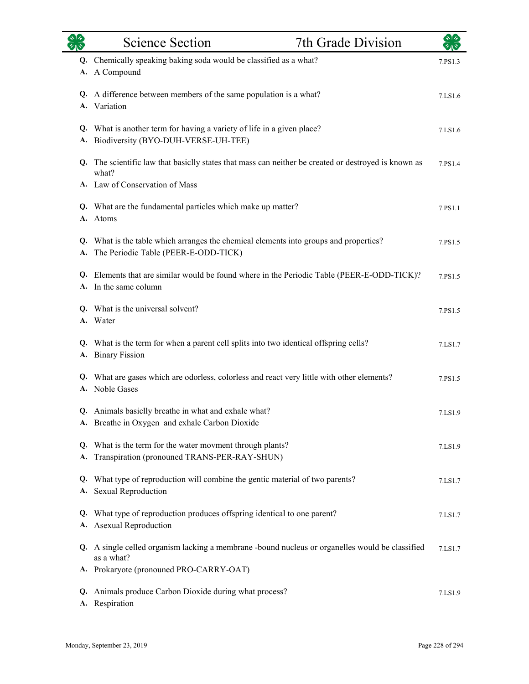|          | <b>Science Section</b>                                                                                                        | 7th Grade Division |         |
|----------|-------------------------------------------------------------------------------------------------------------------------------|--------------------|---------|
|          | Q. Chemically speaking baking soda would be classified as a what?<br>A. A Compound                                            |                    | 7.PS1.3 |
|          | Q. A difference between members of the same population is a what?<br>A. Variation                                             |                    | 7.LS1.6 |
|          | Q. What is another term for having a variety of life in a given place?<br>A. Biodiversity (BYO-DUH-VERSE-UH-TEE)              |                    | 7.LS1.6 |
|          | Q. The scientific law that basicily states that mass can neither be created or destroyed is known as<br>what?                 |                    | 7.PS1.4 |
|          | A. Law of Conservation of Mass                                                                                                |                    |         |
|          | Q. What are the fundamental particles which make up matter?<br>A. Atoms                                                       |                    | 7.PS1.1 |
| A.       | Q. What is the table which arranges the chemical elements into groups and properties?<br>The Periodic Table (PEER-E-ODD-TICK) |                    | 7.PS1.5 |
|          | Q. Elements that are similar would be found where in the Periodic Table (PEER-E-ODD-TICK)?<br>A. In the same column           |                    | 7.PS1.5 |
|          | Q. What is the universal solvent?<br>A. Water                                                                                 |                    | 7.PS1.5 |
|          | Q. What is the term for when a parent cell splits into two identical offspring cells?<br>A. Binary Fission                    |                    | 7.LS1.7 |
|          | Q. What are gases which are odorless, colorless and react very little with other elements?<br>A. Noble Gases                  |                    | 7.PS1.5 |
|          | Q. Animals basiclly breathe in what and exhale what?<br>A. Breathe in Oxygen and exhale Carbon Dioxide                        |                    | 7.LS1.9 |
| Q.<br>А. | What is the term for the water movment through plants?<br>Transpiration (pronouned TRANS-PER-RAY-SHUN)                        |                    | 7.LS1.9 |
| Q.<br>A. | What type of reproduction will combine the gentic material of two parents?<br><b>Sexual Reproduction</b>                      |                    | 7.LS1.7 |
| Q.<br>А. | What type of reproduction produces offspring identical to one parent?<br><b>Asexual Reproduction</b>                          |                    | 7.LS1.7 |
|          | Q. A single celled organism lacking a membrane -bound nucleus or organelles would be classified<br>as a what?                 |                    | 7.LS1.7 |
|          | A. Prokaryote (pronouned PRO-CARRY-OAT)                                                                                       |                    |         |
| Q.<br>А. | Animals produce Carbon Dioxide during what process?<br>Respiration                                                            |                    | 7.LS1.9 |

 $\overline{\phantom{0}}$ 

÷.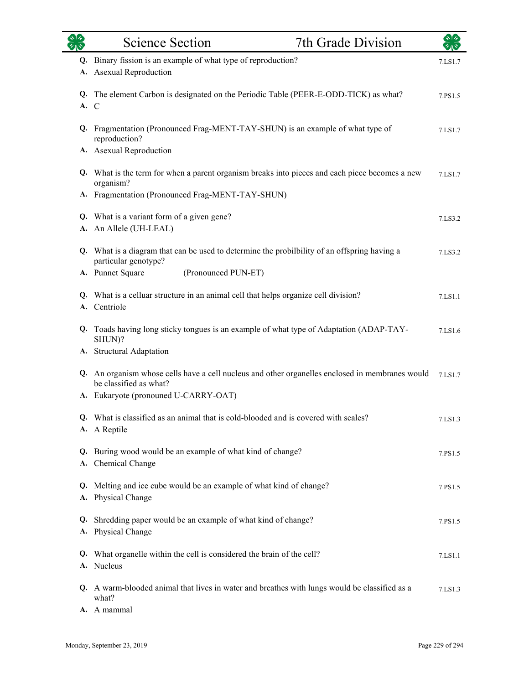| $\frac{1}{2}$ | Science Section                                                                                                           | 7th Grade Division | কাৰ     |
|---------------|---------------------------------------------------------------------------------------------------------------------------|--------------------|---------|
| A.            | Q. Binary fission is an example of what type of reproduction?<br><b>Asexual Reproduction</b>                              |                    | 7.LS1.7 |
| A. C          | Q. The element Carbon is designated on the Periodic Table (PEER-E-ODD-TICK) as what?                                      |                    | 7.PS1.5 |
|               | Q. Fragmentation (Pronounced Frag-MENT-TAY-SHUN) is an example of what type of<br>reproduction?                           |                    | 7.LS1.7 |
|               | A. Asexual Reproduction                                                                                                   |                    |         |
|               | Q. What is the term for when a parent organism breaks into pieces and each piece becomes a new<br>organism?               |                    | 7.LS1.7 |
|               | A. Fragmentation (Pronounced Frag-MENT-TAY-SHUN)                                                                          |                    |         |
| A.            | Q. What is a variant form of a given gene?<br>An Allele (UH-LEAL)                                                         |                    | 7.LS3.2 |
|               | Q. What is a diagram that can be used to determine the probility of an offspring having a<br>particular genotype?         |                    | 7.LS3.2 |
|               | A. Punnet Square<br>(Pronounced PUN-ET)                                                                                   |                    |         |
|               | Q. What is a celluar structure in an animal cell that helps organize cell division?<br>A. Centriole                       |                    | 7.LS1.1 |
| Q.            | Toads having long sticky tongues is an example of what type of Adaptation (ADAP-TAY-<br>SHUN)?                            |                    | 7.LS1.6 |
|               | A. Structural Adaptation                                                                                                  |                    |         |
|               | Q. An organism whose cells have a cell nucleus and other organelles enclosed in membranes would<br>be classified as what? |                    | 7.LS1.7 |
|               | A. Eukaryote (pronouned U-CARRY-OAT)                                                                                      |                    |         |
|               | Q. What is classified as an animal that is cold-blooded and is covered with scales?<br>A. A Reptile                       |                    | 7.LS1.3 |
|               | Q. Buring wood would be an example of what kind of change?<br>A. Chemical Change                                          |                    | 7.PS1.5 |
|               | Q. Melting and ice cube would be an example of what kind of change?<br>A. Physical Change                                 |                    | 7.PS1.5 |
|               | Q. Shredding paper would be an example of what kind of change?<br>A. Physical Change                                      |                    | 7.PS1.5 |
|               | Q. What organelle within the cell is considered the brain of the cell?<br>A. Nucleus                                      |                    | 7.LS1.1 |
|               | Q. A warm-blooded animal that lives in water and breathes with lungs would be classified as a<br>what?                    |                    | 7.LS1.3 |
|               | A. A mammal                                                                                                               |                    |         |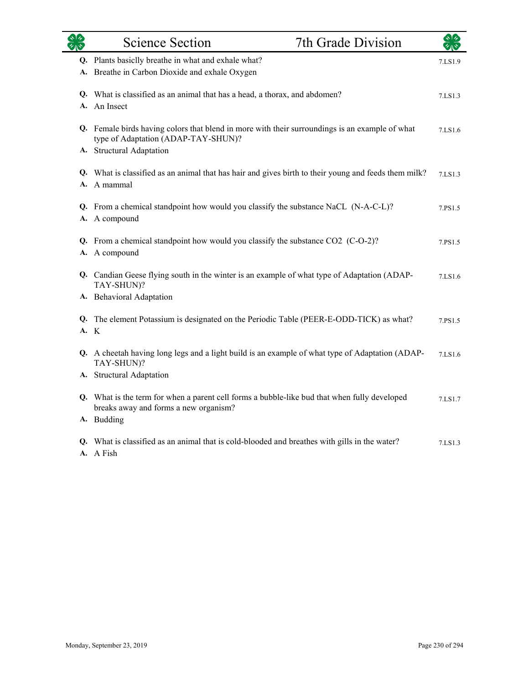| रुष्ट्रि<br>स्रोत | <b>Science Section</b>                                                                                                                                            | 7th Grade Division | $\star$ $\star$ |
|-------------------|-------------------------------------------------------------------------------------------------------------------------------------------------------------------|--------------------|-----------------|
|                   | Q. Plants basiclly breathe in what and exhale what?<br>A. Breathe in Carbon Dioxide and exhale Oxygen                                                             |                    | 7.LS1.9         |
|                   | Q. What is classified as an animal that has a head, a thorax, and abdomen?<br>A. An Insect                                                                        |                    | 7.LS1.3         |
|                   | Q. Female birds having colors that blend in more with their surroundings is an example of what<br>type of Adaptation (ADAP-TAY-SHUN)?<br>A. Structural Adaptation |                    | 7.LS1.6         |
|                   | Q. What is classified as an animal that has hair and gives birth to their young and feeds them milk?<br>A. A mammal                                               |                    | 7.LS1.3         |
|                   | Q. From a chemical standpoint how would you classify the substance NaCL (N-A-C-L)?<br>A. A compound                                                               |                    | 7.PS1.5         |
|                   | Q. From a chemical standpoint how would you classify the substance CO2 (C-O-2)?<br>A. A compound                                                                  |                    | 7.PS1.5         |
|                   | Q. Candian Geese flying south in the winter is an example of what type of Adaptation (ADAP-<br>TAY-SHUN)?                                                         |                    | 7.LS1.6         |
|                   | A. Behavioral Adaptation                                                                                                                                          |                    |                 |
|                   | Q. The element Potassium is designated on the Periodic Table (PEER-E-ODD-TICK) as what?<br>A. K                                                                   |                    | 7.PS1.5         |
|                   | Q. A cheetah having long legs and a light build is an example of what type of Adaptation (ADAP-<br>TAY-SHUN)?                                                     |                    | 7.LS1.6         |
|                   | A. Structural Adaptation                                                                                                                                          |                    |                 |
|                   | Q. What is the term for when a parent cell forms a bubble-like bud that when fully developed<br>breaks away and forms a new organism?<br>A. Budding               |                    | 7.LS1.7         |
|                   | Q. What is classified as an animal that is cold-blooded and breathes with gills in the water?                                                                     |                    | 7.LS1.3         |
|                   | A. A Fish                                                                                                                                                         |                    |                 |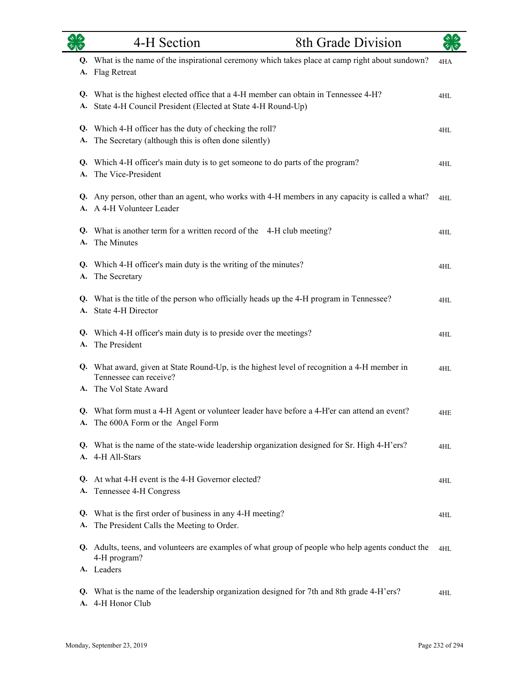|          | 4-H Section                                                                                                                                      | <b>8th Grade Division</b> |     |
|----------|--------------------------------------------------------------------------------------------------------------------------------------------------|---------------------------|-----|
| A.       | Q. What is the name of the inspirational ceremony which takes place at camp right about sundown?<br><b>Flag Retreat</b>                          |                           | 4HA |
| Q.<br>A. | What is the highest elected office that a 4-H member can obtain in Tennessee 4-H?<br>State 4-H Council President (Elected at State 4-H Round-Up) |                           | 4HL |
| А.       | Q. Which 4-H officer has the duty of checking the roll?<br>The Secretary (although this is often done silently)                                  |                           | 4HL |
| A.       | Q. Which 4-H officer's main duty is to get someone to do parts of the program?<br>The Vice-President                                             |                           | 4HL |
| Q.<br>A. | Any person, other than an agent, who works with 4-H members in any capacity is called a what?<br>A 4-H Volunteer Leader                          |                           | 4HL |
| Q.<br>A. | What is another term for a written record of the 4-H club meeting?<br>The Minutes                                                                |                           | 4HL |
| А.       | Q. Which 4-H officer's main duty is the writing of the minutes?<br>The Secretary                                                                 |                           | 4HL |
| A.       | Q. What is the title of the person who officially heads up the 4-H program in Tennessee?<br>State 4-H Director                                   |                           | 4HL |
| A.       | Q. Which 4-H officer's main duty is to preside over the meetings?<br>The President                                                               |                           | 4HL |
|          | Q. What award, given at State Round-Up, is the highest level of recognition a 4-H member in<br>Tennessee can receive?<br>A. The Vol State Award  |                           | 4HL |
| А.       | Q. What form must a 4-H Agent or volunteer leader have before a 4-H'er can attend an event?<br>The 600A Form or the Angel Form                   |                           | 4HE |
|          | Q. What is the name of the state-wide leadership organization designed for Sr. High 4-H'ers?<br>A. 4-H All-Stars                                 |                           | 4HL |
| Q.<br>А. | At what 4-H event is the 4-H Governor elected?<br>Tennessee 4-H Congress                                                                         |                           | 4HL |
| Q.       | What is the first order of business in any 4-H meeting?                                                                                          |                           | 4HL |
| A.       | The President Calls the Meeting to Order.                                                                                                        |                           |     |
|          | Q. Adults, teens, and volunteers are examples of what group of people who help agents conduct the<br>4-H program?<br>A. Leaders                  |                           | 4HL |
| Q.       | What is the name of the leadership organization designed for 7th and 8th grade 4-H'ers?<br>A. 4-H Honor Club                                     |                           | 4HL |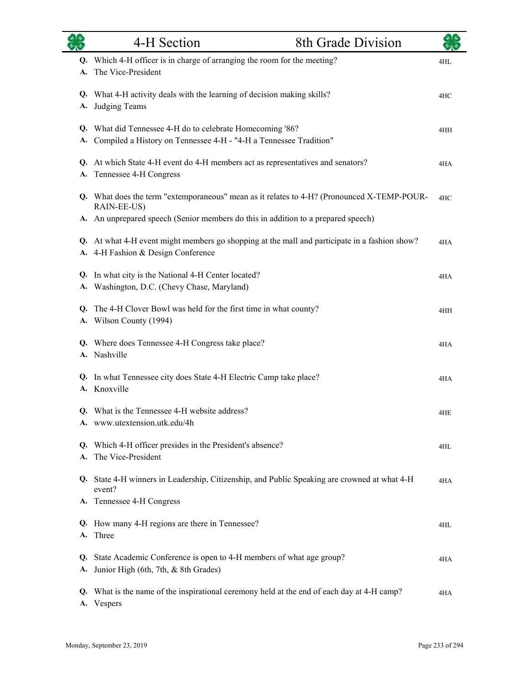|          | 4-H Section                                                                                                                         | 8th Grade Division |     |
|----------|-------------------------------------------------------------------------------------------------------------------------------------|--------------------|-----|
| А.       | Q. Which 4-H officer is in charge of arranging the room for the meeting?<br>The Vice-President                                      |                    | 4HL |
| А.       | Q. What 4-H activity deals with the learning of decision making skills?<br>Judging Teams                                            |                    | 4HC |
|          | Q. What did Tennessee 4-H do to celebrate Homecoming '86?<br>A. Compiled a History on Tennessee 4-H - "4-H a Tennessee Tradition"   |                    | 4HH |
| А.       | Q. At which State 4-H event do 4-H members act as representatives and senators?<br>Tennessee 4-H Congress                           |                    | 4HA |
|          | Q. What does the term "extemporaneous" mean as it relates to 4-H? (Pronounced X-TEMP-POUR-<br>RAIN-EE-US)                           |                    | 4HC |
|          | A. An unprepared speech (Senior members do this in addition to a prepared speech)                                                   |                    |     |
|          | Q. At what 4-H event might members go shopping at the mall and participate in a fashion show?<br>A. 4-H Fashion & Design Conference |                    | 4HA |
|          | Q. In what city is the National 4-H Center located?<br>A. Washington, D.C. (Chevy Chase, Maryland)                                  |                    | 4HA |
|          | Q. The 4-H Clover Bowl was held for the first time in what county?<br>A. Wilson County (1994)                                       |                    | 4HH |
|          | Q. Where does Tennessee 4-H Congress take place?<br>A. Nashville                                                                    |                    | 4HA |
|          | Q. In what Tennessee city does State 4-H Electric Camp take place?<br>A. Knoxville                                                  |                    | 4HA |
|          | Q. What is the Tennessee 4-H website address?<br>www.utextension.utk.edu/4h                                                         |                    | 4HE |
| A.       | Q. Which 4-H officer presides in the President's absence?<br>The Vice-President                                                     |                    | 4HL |
|          | Q. State 4-H winners in Leadership, Citizenship, and Public Speaking are crowned at what 4-H<br>event?                              |                    | 4HA |
|          | A. Tennessee 4-H Congress                                                                                                           |                    |     |
| Q.<br>А. | How many 4-H regions are there in Tennessee?<br>Three                                                                               |                    | 4HL |
| Q.<br>A. | State Academic Conference is open to 4-H members of what age group?<br>Junior High (6th, 7th, & 8th Grades)                         |                    | 4HA |
| Q.       | What is the name of the inspirational ceremony held at the end of each day at 4-H camp?<br>A. Vespers                               |                    | 4HA |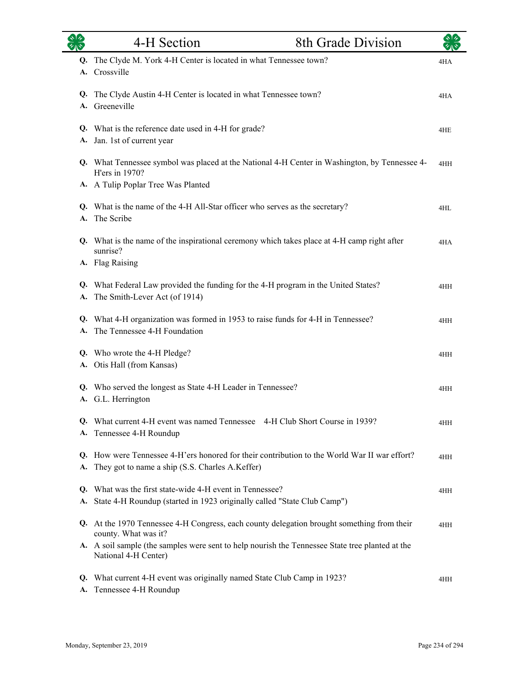|          | 4-H Section                                                                                                                                                                                                                    | 8th Grade Division                                                                            |     |
|----------|--------------------------------------------------------------------------------------------------------------------------------------------------------------------------------------------------------------------------------|-----------------------------------------------------------------------------------------------|-----|
| Q.<br>A. | The Clyde M. York 4-H Center is located in what Tennessee town?<br>Crossville                                                                                                                                                  |                                                                                               | 4HA |
| Q.<br>А. | The Clyde Austin 4-H Center is located in what Tennessee town?<br>Greeneville                                                                                                                                                  |                                                                                               | 4HA |
|          | Q. What is the reference date used in 4-H for grade?<br>A. Jan. 1st of current year                                                                                                                                            |                                                                                               | 4HE |
|          | H'ers in 1970?                                                                                                                                                                                                                 | Q. What Tennessee symbol was placed at the National 4-H Center in Washington, by Tennessee 4- | 4HH |
| А.       | A. A Tulip Poplar Tree Was Planted<br>Q. What is the name of the 4-H All-Star officer who serves as the secretary?<br>The Scribe                                                                                               |                                                                                               | 4HL |
|          | Q. What is the name of the inspirational ceremony which takes place at 4-H camp right after<br>sunrise?<br>A. Flag Raising                                                                                                     |                                                                                               | 4HA |
| Q.<br>А. | What Federal Law provided the funding for the 4-H program in the United States?<br>The Smith-Lever Act (of 1914)                                                                                                               |                                                                                               | 4HH |
| Q.<br>А. | What 4-H organization was formed in 1953 to raise funds for 4-H in Tennessee?<br>The Tennessee 4-H Foundation                                                                                                                  |                                                                                               | 4HH |
| Q.<br>А. | Who wrote the 4-H Pledge?<br>Otis Hall (from Kansas)                                                                                                                                                                           |                                                                                               | 4HH |
| А.       | Q. Who served the longest as State 4-H Leader in Tennessee?<br>G.L. Herrington                                                                                                                                                 |                                                                                               | 4HH |
|          | Q. What current 4-H event was named Tennessee 4-H Club Short Course in 1939?<br>A. Tennessee 4-H Roundup                                                                                                                       |                                                                                               | 4HH |
| А.       | Q. How were Tennessee 4-H'ers honored for their contribution to the World War II war effort?<br>They got to name a ship (S.S. Charles A.Keffer)                                                                                |                                                                                               | 4HH |
| А.       | Q. What was the first state-wide 4-H event in Tennessee?<br>State 4-H Roundup (started in 1923 originally called "State Club Camp")                                                                                            |                                                                                               | 4HH |
|          | Q. At the 1970 Tennessee 4-H Congress, each county delegation brought something from their<br>county. What was it?                                                                                                             |                                                                                               | 4HH |
|          | A. A soil sample (the samples were sent to help nourish the Tennessee State tree planted at the<br>National 4-H Center)<br>Q. What current 4-H event was originally named State Club Camp in 1923?<br>A. Tennessee 4-H Roundup |                                                                                               | 4HH |

L.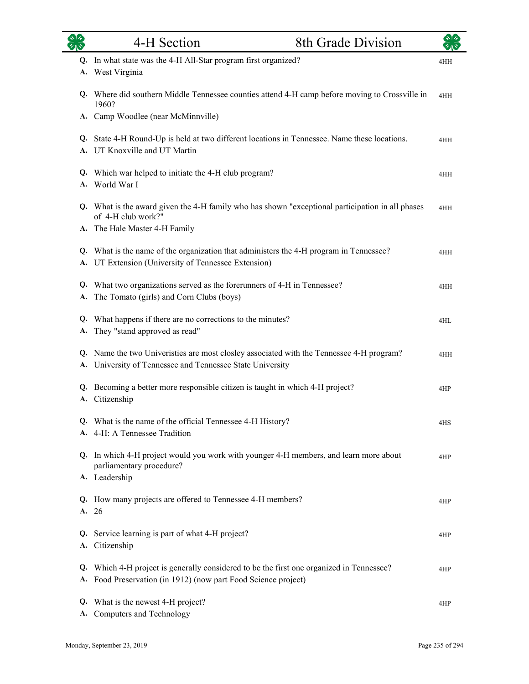| $\overline{\mathscr{C}}$ | 4-H Section                                                                                                                                             | 8th Grade Division |     |
|--------------------------|---------------------------------------------------------------------------------------------------------------------------------------------------------|--------------------|-----|
| Q.<br>А.                 | In what state was the 4-H All-Star program first organized?<br>West Virginia                                                                            |                    | 4HH |
|                          | Q. Where did southern Middle Tennessee counties attend 4-H camp before moving to Crossville in<br>1960?                                                 |                    | 4HH |
|                          | A. Camp Woodlee (near McMinnville)                                                                                                                      |                    |     |
|                          | Q. State 4-H Round-Up is held at two different locations in Tennessee. Name these locations.<br>A. UT Knoxville and UT Martin                           |                    | 4HH |
| Q.<br>A.                 | Which war helped to initiate the 4-H club program?<br>World War I                                                                                       |                    | 4HH |
|                          | Q. What is the award given the 4-H family who has shown "exceptional participation in all phases<br>of 4-H club work?"<br>A. The Hale Master 4-H Family |                    | 4HH |
|                          | Q. What is the name of the organization that administers the 4-H program in Tennessee?<br>A. UT Extension (University of Tennessee Extension)           |                    | 4HH |
| Q.<br>A.                 | What two organizations served as the forerunners of 4-H in Tennessee?<br>The Tomato (girls) and Corn Clubs (boys)                                       |                    | 4HH |
| Q.<br>A.                 | What happens if there are no corrections to the minutes?<br>They "stand approved as read"                                                               |                    | 4HL |
|                          | Q. Name the two Univeristies are most closley associated with the Tennessee 4-H program?<br>A. University of Tennessee and Tennessee State University   |                    | 4HH |
| A.                       | Q. Becoming a better more responsible citizen is taught in which 4-H project?<br>Citizenship                                                            |                    | 4HP |
|                          | Q. What is the name of the official Tennessee 4-H History?<br>A. 4-H: A Tennessee Tradition                                                             |                    | 4HS |
|                          | Q. In which 4-H project would you work with younger 4-H members, and learn more about<br>parliamentary procedure?<br>A. Leadership                      |                    | 4HP |
| Q.                       | How many projects are offered to Tennessee 4-H members?<br>A. 26                                                                                        |                    | 4HP |
|                          | Q. Service learning is part of what 4-H project?<br>A. Citizenship                                                                                      |                    | 4HP |
| Q.                       | Which 4-H project is generally considered to be the first one organized in Tennessee?<br>A. Food Preservation (in 1912) (now part Food Science project) |                    | 4HP |
| Q.<br>А.                 | What is the newest 4-H project?<br>Computers and Technology                                                                                             |                    | 4HP |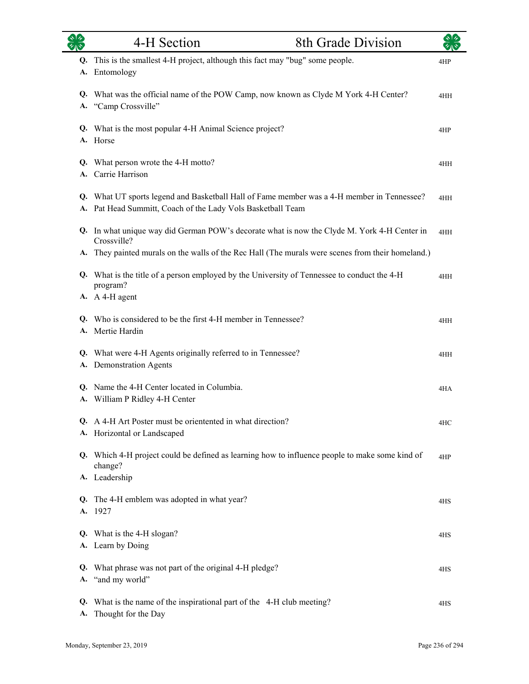| $\overline{\mathscr{C}}$ | 4-H Section<br>8th Grade Division                                                                                                                                                                         |     |
|--------------------------|-----------------------------------------------------------------------------------------------------------------------------------------------------------------------------------------------------------|-----|
| Q.<br>A.                 | This is the smallest 4-H project, although this fact may "bug" some people.<br>Entomology                                                                                                                 | 4HP |
| Q.<br>A.                 | What was the official name of the POW Camp, now known as Clyde M York 4-H Center?<br>"Camp Crossville"                                                                                                    | 4HH |
|                          | Q. What is the most popular 4-H Animal Science project?<br>A. Horse                                                                                                                                       | 4HP |
| Q.<br>A.                 | What person wrote the 4-H motto?<br>Carrie Harrison                                                                                                                                                       | 4HH |
| A.                       | Q. What UT sports legend and Basketball Hall of Fame member was a 4-H member in Tennessee?<br>Pat Head Summitt, Coach of the Lady Vols Basketball Team                                                    | 4HH |
| Q.<br>A.                 | In what unique way did German POW's decorate what is now the Clyde M. York 4-H Center in<br>Crossville?<br>They painted murals on the walls of the Rec Hall (The murals were scenes from their homeland.) | 4HH |
| Q.                       | What is the title of a person employed by the University of Tennessee to conduct the 4-H<br>program?<br>A. A 4-H agent                                                                                    | 4HH |
| Q.                       | Who is considered to be the first 4-H member in Tennessee?<br>A. Mertie Hardin                                                                                                                            | 4HH |
| Q.<br>А.                 | What were 4-H Agents originally referred to in Tennessee?<br><b>Demonstration Agents</b>                                                                                                                  | 4HH |
| A.                       | Q. Name the 4-H Center located in Columbia.<br>William P Ridley 4-H Center                                                                                                                                | 4HA |
|                          | Q. A 4-H Art Poster must be orientented in what direction?<br>A. Horizontal or Landscaped                                                                                                                 | 4HC |
|                          | Q. Which 4-H project could be defined as learning how to influence people to make some kind of<br>change?<br>A. Leadership                                                                                | 4HP |
| Q.                       | The 4-H emblem was adopted in what year?<br>A. 1927                                                                                                                                                       | 4HS |
|                          | Q. What is the 4-H slogan?<br>A. Learn by Doing                                                                                                                                                           | 4HS |
| Q.                       | What phrase was not part of the original 4-H pledge?<br>A. "and my world"                                                                                                                                 | 4HS |
| Q.<br>A.                 | What is the name of the inspirational part of the 4-H club meeting?<br>Thought for the Day                                                                                                                | 4HS |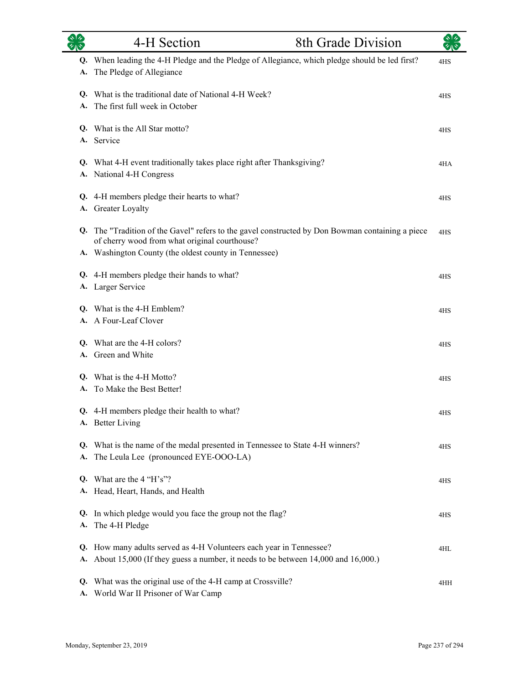|          | 4-H Section                                                                                                                                                                                             | 8th Grade Division |     |
|----------|---------------------------------------------------------------------------------------------------------------------------------------------------------------------------------------------------------|--------------------|-----|
| Q.<br>A. | When leading the 4-H Pledge and the Pledge of Allegiance, which pledge should be led first?<br>The Pledge of Allegiance                                                                                 |                    | 4HS |
| Q.<br>A. | What is the traditional date of National 4-H Week?<br>The first full week in October                                                                                                                    |                    | 4HS |
| А.       | Q. What is the All Star motto?<br>Service                                                                                                                                                               |                    | 4HS |
|          | Q. What 4-H event traditionally takes place right after Thanksgiving?<br>A. National 4-H Congress                                                                                                       |                    | 4HA |
|          | Q. 4-H members pledge their hearts to what?<br>A. Greater Loyalty                                                                                                                                       |                    | 4HS |
| Q.       | The "Tradition of the Gavel" refers to the gavel constructed by Don Bowman containing a piece<br>of cherry wood from what original courthouse?<br>A. Washington County (the oldest county in Tennessee) |                    | 4HS |
|          | Q. 4-H members pledge their hands to what?<br>A. Larger Service                                                                                                                                         |                    | 4HS |
| Q.       | What is the 4-H Emblem?<br>A. A Four-Leaf Clover                                                                                                                                                        |                    | 4HS |
| Q.<br>A. | What are the 4-H colors?<br>Green and White                                                                                                                                                             |                    | 4HS |
| Q.<br>A. | What is the 4-H Motto?<br>To Make the Best Better!                                                                                                                                                      |                    | 4HS |
|          | Q. 4-H members pledge their health to what?<br>A. Better Living                                                                                                                                         |                    | 4HS |
| Q.<br>А. | What is the name of the medal presented in Tennessee to State 4-H winners?<br>The Leula Lee (pronounced EYE-OOO-LA)                                                                                     |                    | 4HS |
| O.       | What are the 4 "H's"?<br>A. Head, Heart, Hands, and Health                                                                                                                                              |                    | 4HS |
| Q.<br>А. | In which pledge would you face the group not the flag?<br>The 4-H Pledge                                                                                                                                |                    | 4HS |
| Q.<br>А. | How many adults served as 4-H Volunteers each year in Tennessee?<br>About 15,000 (If they guess a number, it needs to be between 14,000 and 16,000.)                                                    |                    | 4HL |
| Q.<br>А. | What was the original use of the 4-H camp at Crossville?<br>World War II Prisoner of War Camp                                                                                                           |                    | 4HH |

L.

and a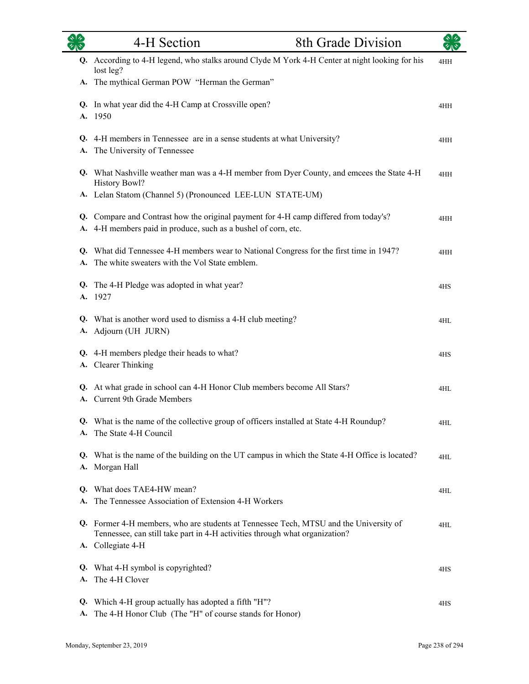| $\sqrt[3]{2}$<br>タルや | 4-H Section<br>8th Grade Division                                                                                                                                    |     |  |
|----------------------|----------------------------------------------------------------------------------------------------------------------------------------------------------------------|-----|--|
|                      | Q. According to 4-H legend, who stalks around Clyde M York 4-H Center at night looking for his<br>lost leg?                                                          | 4HH |  |
|                      | A. The mythical German POW "Herman the German"                                                                                                                       |     |  |
|                      | Q. In what year did the 4-H Camp at Crossville open?<br>A. 1950                                                                                                      | 4HH |  |
| A.                   | Q. 4-H members in Tennessee are in a sense students at what University?<br>The University of Tennessee                                                               | 4HH |  |
|                      | Q. What Nashville weather man was a 4-H member from Dyer County, and emcees the State 4-H<br>History Bowl?                                                           | 4HH |  |
|                      | A. Lelan Statom (Channel 5) (Pronounced LEE-LUN STATE-UM)                                                                                                            |     |  |
| А.                   | Q. Compare and Contrast how the original payment for 4-H camp differed from today's?<br>4-H members paid in produce, such as a bushel of corn, etc.                  | 4HH |  |
|                      | Q. What did Tennessee 4-H members wear to National Congress for the first time in 1947?<br>A. The white sweaters with the Vol State emblem.                          | 4HH |  |
|                      | Q. The 4-H Pledge was adopted in what year?<br>A. 1927                                                                                                               | 4HS |  |
| А.                   | Q. What is another word used to dismiss a 4-H club meeting?<br>Adjourn (UH JURN)                                                                                     | 4HL |  |
| Q.                   | 4-H members pledge their heads to what?<br>A. Clearer Thinking                                                                                                       | 4HS |  |
| A.                   | Q. At what grade in school can 4-H Honor Club members become All Stars?<br>Current 9th Grade Members                                                                 | 4HL |  |
|                      | Q. What is the name of the collective group of officers installed at State 4-H Roundup?<br>A. The State 4-H Council                                                  | 4HL |  |
|                      | Q. What is the name of the building on the UT campus in which the State 4-H Office is located?<br>A. Morgan Hall                                                     | 4HL |  |
| A.                   | Q. What does TAE4-HW mean?<br>The Tennessee Association of Extension 4-H Workers                                                                                     | 4HL |  |
|                      | Q. Former 4-H members, who are students at Tennessee Tech, MTSU and the University of<br>Tennessee, can still take part in 4-H activities through what organization? | 4HL |  |
|                      | A. Collegiate 4-H                                                                                                                                                    |     |  |
|                      | Q. What 4-H symbol is copyrighted?<br>A. The 4-H Clover                                                                                                              | 4HS |  |
| Q.<br>A.             | Which 4-H group actually has adopted a fifth "H"?<br>The 4-H Honor Club (The "H" of course stands for Honor)                                                         | 4HS |  |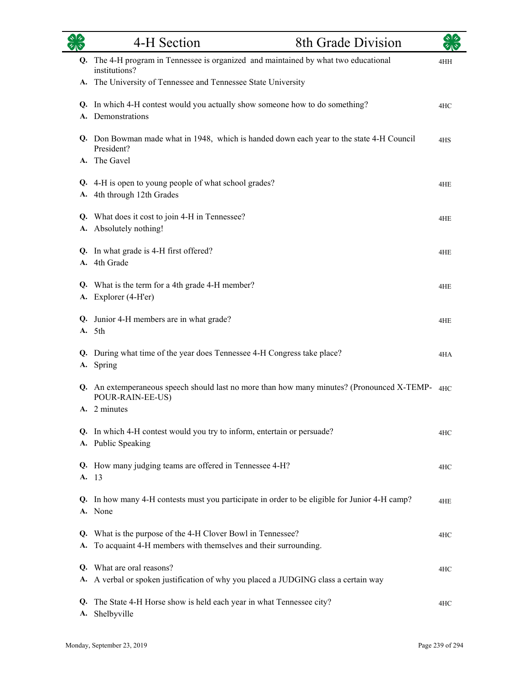| <b>RAS</b> | 4-H Section                                                                                                                   | 8th Grade Division |     |
|------------|-------------------------------------------------------------------------------------------------------------------------------|--------------------|-----|
| Q.         | The 4-H program in Tennessee is organized and maintained by what two educational<br>institutions?                             |                    | 4HH |
|            | A. The University of Tennessee and Tennessee State University                                                                 |                    |     |
|            | Q. In which 4-H contest would you actually show someone how to do something?<br>A. Demonstrations                             |                    | 4HC |
|            | Q. Don Bowman made what in 1948, which is handed down each year to the state 4-H Council<br>President?                        |                    | 4HS |
|            | A. The Gavel                                                                                                                  |                    |     |
| А.         | Q. 4-H is open to young people of what school grades?<br>4th through 12th Grades                                              |                    | 4HE |
|            | Q. What does it cost to join 4-H in Tennessee?<br>A. Absolutely nothing!                                                      |                    | 4HE |
|            | Q. In what grade is 4-H first offered?<br>A. 4th Grade                                                                        |                    | 4HE |
|            | Q. What is the term for a 4th grade 4-H member?<br>A. Explorer (4-H'er)                                                       |                    | 4HE |
|            | Q. Junior 4-H members are in what grade?<br>A. 5th                                                                            |                    | 4HE |
|            | Q. During what time of the year does Tennessee 4-H Congress take place?<br>A. Spring                                          |                    | 4HA |
|            | <b>Q.</b> An extemperaneous speech should last no more than how many minutes? (Pronounced X-TEMP-4HC)<br>POUR-RAIN-EE-US)     |                    |     |
|            | A. 2 minutes                                                                                                                  |                    |     |
|            | Q. In which 4-H contest would you try to inform, entertain or persuade?<br>A. Public Speaking                                 |                    | 4HC |
| А.         | Q. How many judging teams are offered in Tennessee 4-H?<br>-13                                                                |                    | 4HC |
| Q.         | In how many 4-H contests must you participate in order to be eligible for Junior 4-H camp?<br>A. None                         |                    | 4HE |
| А.         | Q. What is the purpose of the 4-H Clover Bowl in Tennessee?<br>To acquaint 4-H members with themselves and their surrounding. |                    | 4HC |
| Q.<br>А.   | What are oral reasons?<br>A verbal or spoken justification of why you placed a JUDGING class a certain way                    |                    | 4HC |
| Q.<br>А.   | The State 4-H Horse show is held each year in what Tennessee city?<br>Shelbyville                                             |                    | 4HC |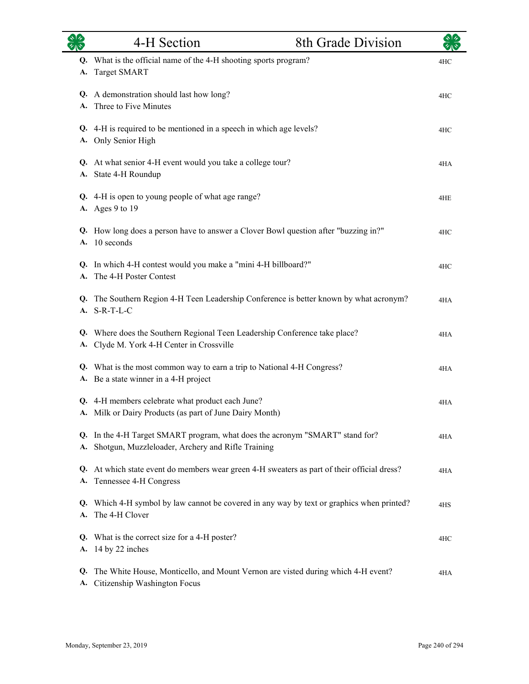|          | 4-H Section                                                                                                                          | 8th Grade Division |     |
|----------|--------------------------------------------------------------------------------------------------------------------------------------|--------------------|-----|
| Q.<br>А. | What is the official name of the 4-H shooting sports program?<br><b>Target SMART</b>                                                 |                    | 4HC |
| А.       | Q. A demonstration should last how long?<br>Three to Five Minutes                                                                    |                    | 4HC |
| А.       | Q. 4-H is required to be mentioned in a speech in which age levels?<br>Only Senior High                                              |                    | 4HC |
|          | Q. At what senior 4-H event would you take a college tour?<br>A. State 4-H Roundup                                                   |                    | 4HA |
|          | Q. 4-H is open to young people of what age range?<br>A. Ages 9 to 19                                                                 |                    | 4HE |
| Q.       | How long does a person have to answer a Clover Bowl question after "buzzing in?"<br>A. 10 seconds                                    |                    | 4HC |
| Q.       | In which 4-H contest would you make a "mini 4-H billboard?"<br>The 4-H Poster Contest                                                |                    | 4HC |
| Q.<br>А. | The Southern Region 4-H Teen Leadership Conference is better known by what acronym?<br>$S-R-T-L-C$                                   |                    | 4HA |
| Q.<br>А. | Where does the Southern Regional Teen Leadership Conference take place?<br>Clyde M. York 4-H Center in Crossville                    |                    | 4HA |
|          | Q. What is the most common way to earn a trip to National 4-H Congress?<br>A. Be a state winner in a 4-H project                     |                    | 4HA |
|          | Q. 4-H members celebrate what product each June?<br>A. Milk or Dairy Products (as part of June Dairy Month)                          |                    | 4HA |
|          | Q. In the 4-H Target SMART program, what does the acronym "SMART" stand for?<br>A. Shotgun, Muzzleloader, Archery and Rifle Training |                    | 4HA |
|          | Q. At which state event do members wear green 4-H sweaters as part of their official dress?<br>A. Tennessee 4-H Congress             |                    | 4HA |
| А.       | Q. Which 4-H symbol by law cannot be covered in any way by text or graphics when printed?<br>The 4-H Clover                          |                    | 4HS |
| А.       | Q. What is the correct size for a 4-H poster?<br>14 by 22 inches                                                                     |                    | 4HC |
| Q.<br>А. | The White House, Monticello, and Mount Vernon are visted during which 4-H event?<br>Citizenship Washington Focus                     |                    | 4HA |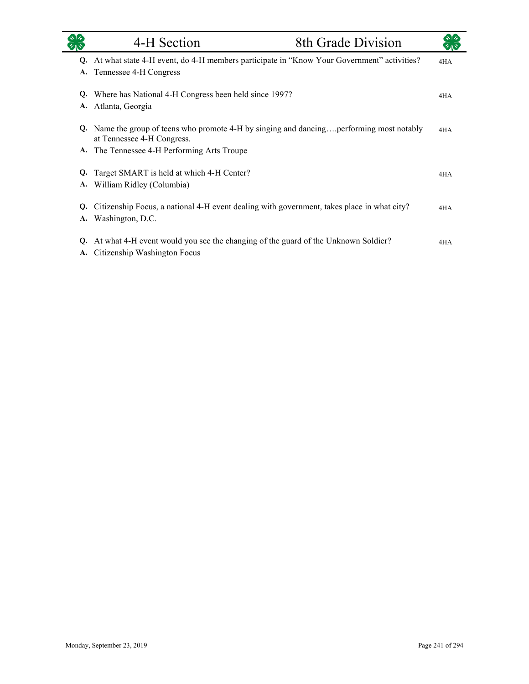|          | 4-H Section                                                                                                            | 8th Grade Division |     |
|----------|------------------------------------------------------------------------------------------------------------------------|--------------------|-----|
|          | Q. At what state 4-H event, do 4-H members participate in "Know Your Government" activities?                           |                    | 4HA |
| A.       | Tennessee 4-H Congress                                                                                                 |                    |     |
| Q.       | Where has National 4-H Congress been held since 1997?                                                                  |                    | 4HA |
| A.       | Atlanta, Georgia                                                                                                       |                    |     |
|          | Q. Name the group of teens who promote 4-H by singing and dancingperforming most notably<br>at Tennessee 4-H Congress. |                    | 4HA |
|          | A. The Tennessee 4-H Performing Arts Troupe                                                                            |                    |     |
| Q.       | Target SMART is held at which 4-H Center?                                                                              |                    | 4HA |
| A.       | William Ridley (Columbia)                                                                                              |                    |     |
| Q.       | Citizenship Focus, a national 4-H event dealing with government, takes place in what city?                             |                    | 4HA |
|          | A. Washington, D.C.                                                                                                    |                    |     |
| Q.<br>A. | At what 4-H event would you see the changing of the guard of the Unknown Soldier?<br>Citizenship Washington Focus      |                    | 4HA |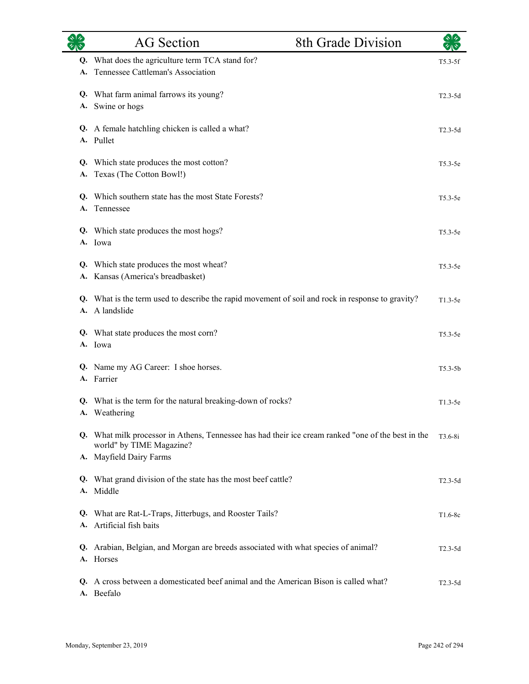|          | <b>AG</b> Section                                                                                                              | 8th Grade Division | $\frac{1}{2}$ |
|----------|--------------------------------------------------------------------------------------------------------------------------------|--------------------|---------------|
| Q.<br>A. | What does the agriculture term TCA stand for?<br>Tennessee Cattleman's Association                                             |                    | $T5.3-5f$     |
|          | Q. What farm animal farrows its young?<br>A. Swine or hogs                                                                     |                    | $T2.3-5d$     |
|          | Q. A female hatchling chicken is called a what?<br>A. Pullet                                                                   |                    | $T2.3-5d$     |
| Q.<br>A. | Which state produces the most cotton?<br>Texas (The Cotton Bowl!)                                                              |                    | T5.3-5e       |
| Q.<br>A. | Which southern state has the most State Forests?<br>Tennessee                                                                  |                    | T5.3-5e       |
|          | Q. Which state produces the most hogs?<br>A. Iowa                                                                              |                    | $T5.3-5e$     |
| Q.       | Which state produces the most wheat?<br>A. Kansas (America's breadbasket)                                                      |                    | $T5.3-5e$     |
|          | Q. What is the term used to describe the rapid movement of soil and rock in response to gravity?<br>A. A landslide             |                    | T1.3-5e       |
|          | Q. What state produces the most corn?<br>A. Iowa                                                                               |                    | $T5.3-5e$     |
|          | Q. Name my AG Career: I shoe horses.<br>A. Farrier                                                                             |                    | $T5.3 - 5b$   |
|          | Q. What is the term for the natural breaking-down of rocks?<br>A. Weathering                                                   |                    | $T1.3-5e$     |
|          | Q. What milk processor in Athens, Tennessee has had their ice cream ranked "one of the best in the<br>world" by TIME Magazine? |                    | $T3.6-8i$     |
|          | A. Mayfield Dairy Farms                                                                                                        |                    |               |
| Q.<br>A. | What grand division of the state has the most beef cattle?<br>Middle                                                           |                    | $T2.3-5d$     |
|          | Q. What are Rat-L-Traps, Jitterbugs, and Rooster Tails?<br>A. Artificial fish baits                                            |                    | T1.6-8c       |
|          | Q. Arabian, Belgian, and Morgan are breeds associated with what species of animal?<br>A. Horses                                |                    | $T2.3-5d$     |
|          | Q. A cross between a domesticated beef animal and the American Bison is called what?<br>A. Beefalo                             |                    | $T2.3-5d$     |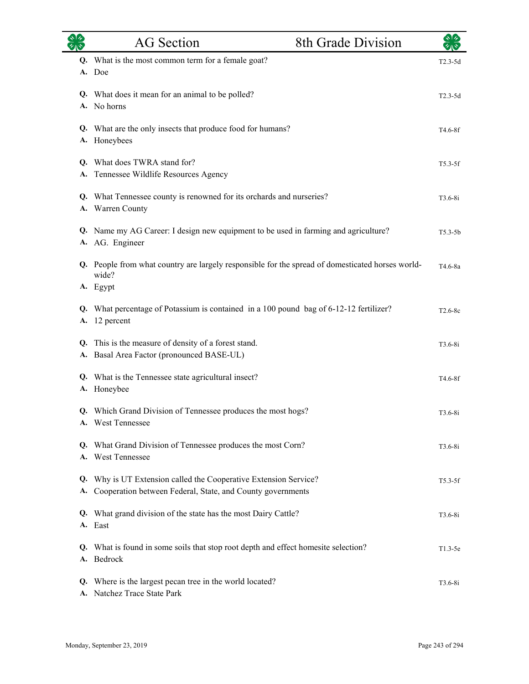|          | <b>AG</b> Section                                                                                                           | 8th Grade Division | $\star$ $\star$ |
|----------|-----------------------------------------------------------------------------------------------------------------------------|--------------------|-----------------|
| Q.       | What is the most common term for a female goat?<br>A. Doe                                                                   |                    | $T2.3-5d$       |
|          | Q. What does it mean for an animal to be polled?<br>A. No horns                                                             |                    | $T2.3-5d$       |
|          | Q. What are the only insects that produce food for humans?<br>A. Honeybees                                                  |                    | T4.6-8f         |
| A.       | Q. What does TWRA stand for?<br>Tennessee Wildlife Resources Agency                                                         |                    | $T5.3-5f$       |
| А.       | Q. What Tennessee county is renowned for its orchards and nurseries?<br>Warren County                                       |                    | $T3.6-8i$       |
|          | Q. Name my AG Career: I design new equipment to be used in farming and agriculture?<br>A. AG. Engineer                      |                    | $T5.3-5b$       |
|          | Q. People from what country are largely responsible for the spread of domesticated horses world-<br>wide?                   |                    | T4.6-8a         |
|          | A. Egypt                                                                                                                    |                    |                 |
| A.       | Q. What percentage of Potassium is contained in a 100 pound bag of 6-12-12 fertilizer?<br>12 percent                        |                    | T2.6-8c         |
| Q.<br>А. | This is the measure of density of a forest stand.<br>Basal Area Factor (pronounced BASE-UL)                                 |                    | $T3.6-8i$       |
|          | Q. What is the Tennessee state agricultural insect?<br>A. Honeybee                                                          |                    | T4.6-8f         |
|          | Q. Which Grand Division of Tennessee produces the most hogs?<br>A. West Tennessee                                           |                    | $T3.6-8i$       |
|          | Q. What Grand Division of Tennessee produces the most Corn?<br>A. West Tennessee                                            |                    | $T3.6-8i$       |
| Q.<br>A. | Why is UT Extension called the Cooperative Extension Service?<br>Cooperation between Federal, State, and County governments |                    | $T5.3-5f$       |
|          | Q. What grand division of the state has the most Dairy Cattle?<br>A. East                                                   |                    | T3.6-8i         |
|          | Q. What is found in some soils that stop root depth and effect homesite selection?<br>A. Bedrock                            |                    | $T1.3-5e$       |
| Q.       | Where is the largest pecan tree in the world located?<br>A. Natchez Trace State Park                                        |                    | $T3.6-8i$       |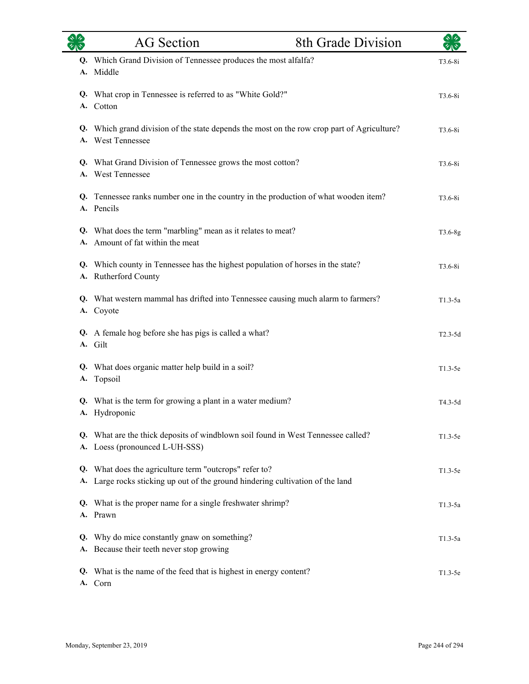|    | <b>AG</b> Section                                                                                                                     | 8th Grade Division |             |
|----|---------------------------------------------------------------------------------------------------------------------------------------|--------------------|-------------|
| А. | Q. Which Grand Division of Tennessee produces the most alfalfa?<br>Middle                                                             |                    | $T3.6 - 8i$ |
|    | Q. What crop in Tennessee is referred to as "White Gold?"<br>A. Cotton                                                                |                    | $T3.6 - 8i$ |
|    | Q. Which grand division of the state depends the most on the row crop part of Agriculture?<br>A. West Tennessee                       |                    | $T3.6 - 8i$ |
|    | Q. What Grand Division of Tennessee grows the most cotton?<br>A. West Tennessee                                                       |                    | $T3.6 - 8i$ |
|    | Q. Tennessee ranks number one in the country in the production of what wooden item?<br>A. Pencils                                     |                    | $T3.6 - 8i$ |
|    | Q. What does the term "marbling" mean as it relates to meat?<br>A. Amount of fat within the meat                                      |                    | T3.6-8g     |
|    | Q. Which county in Tennessee has the highest population of horses in the state?<br>A. Rutherford County                               |                    | $T3.6-8i$   |
| А. | Q. What western mammal has drifted into Tennessee causing much alarm to farmers?<br>Coyote                                            |                    | $T1.3-5a$   |
|    | Q. A female hog before she has pigs is called a what?<br>A. Gilt                                                                      |                    | $T2.3-5d$   |
| A. | Q. What does organic matter help build in a soil?<br>Topsoil                                                                          |                    | $T1.3-5e$   |
|    | Q. What is the term for growing a plant in a water medium?<br>A. Hydroponic                                                           |                    | T4.3-5d     |
|    | Q. What are the thick deposits of windblown soil found in West Tennessee called?<br>A. Loess (pronounced L-UH-SSS)                    |                    | $T1.3-5e$   |
| Q. | What does the agriculture term "outcrops" refer to?<br>A. Large rocks sticking up out of the ground hindering cultivation of the land |                    | $T1.3-5e$   |
|    | Q. What is the proper name for a single freshwater shrimp?<br>A. Prawn                                                                |                    | $T1.3-5a$   |
|    | Q. Why do mice constantly gnaw on something?<br>A. Because their teeth never stop growing                                             |                    | $T1.3-5a$   |
|    | Q. What is the name of the feed that is highest in energy content?<br>A. Corn                                                         |                    | T1.3-5e     |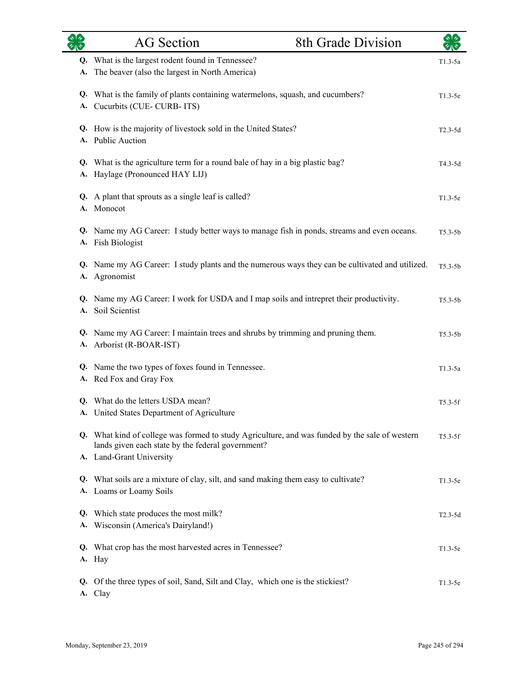|    | <b>AG</b> Section                                                                                                                                                               | 8th Grade Division | $\sqrt{2}$  |
|----|---------------------------------------------------------------------------------------------------------------------------------------------------------------------------------|--------------------|-------------|
| А. | Q. What is the largest rodent found in Tennessee?<br>The beaver (also the largest in North America)                                                                             |                    | $T1.3-5a$   |
| А. | Q. What is the family of plants containing watermelons, squash, and cucumbers?<br>Cucurbits (CUE-CURB-ITS)                                                                      |                    | $T1.3-5e$   |
|    | Q. How is the majority of livestock sold in the United States?<br>A. Public Auction                                                                                             |                    | $T2.3-5d$   |
| A. | Q. What is the agriculture term for a round bale of hay in a big plastic bag?<br>Haylage (Pronounced HAY LIJ)                                                                   |                    | T4.3-5d     |
| А. | Q. A plant that sprouts as a single leaf is called?<br>Monocot                                                                                                                  |                    | $T1.3-5e$   |
|    | Q. Name my AG Career: I study better ways to manage fish in ponds, streams and even oceans.<br>A. Fish Biologist                                                                |                    | $T5.3 - 5b$ |
|    | Q. Name my AG Career: I study plants and the numerous ways they can be cultivated and utilized.<br>A. Agronomist                                                                |                    | $T5.3 - 5b$ |
| А. | Q. Name my AG Career: I work for USDA and I map soils and intrepret their productivity.<br>Soil Scientist                                                                       |                    | $T5.3 - 5b$ |
|    | Q. Name my AG Career: I maintain trees and shrubs by trimming and pruning them.<br>A. Arborist (R-BOAR-IST)                                                                     |                    | $T5.3 - 5b$ |
| А. | Q. Name the two types of foxes found in Tennessee.<br>Red Fox and Gray Fox                                                                                                      |                    | $T1.3-5a$   |
|    | Q. What do the letters USDA mean?<br>A. United States Department of Agriculture                                                                                                 |                    | $T5.3-5f$   |
|    | Q. What kind of college was formed to study Agriculture, and was funded by the sale of western<br>lands given each state by the federal government?<br>A. Land-Grant University |                    | $T5.3-5f$   |
|    | Q. What soils are a mixture of clay, silt, and sand making them easy to cultivate?<br>A. Loams or Loamy Soils                                                                   |                    | $T1.3-5e$   |
|    | Q. Which state produces the most milk?<br>A. Wisconsin (America's Dairyland!)                                                                                                   |                    | $T2.3-5d$   |
|    | Q. What crop has the most harvested acres in Tennessee?<br>A. Hay                                                                                                               |                    | $T1.3-5e$   |
|    | Q. Of the three types of soil, Sand, Silt and Clay, which one is the stickiest?<br>A. Clay                                                                                      |                    | $T1.3-5e$   |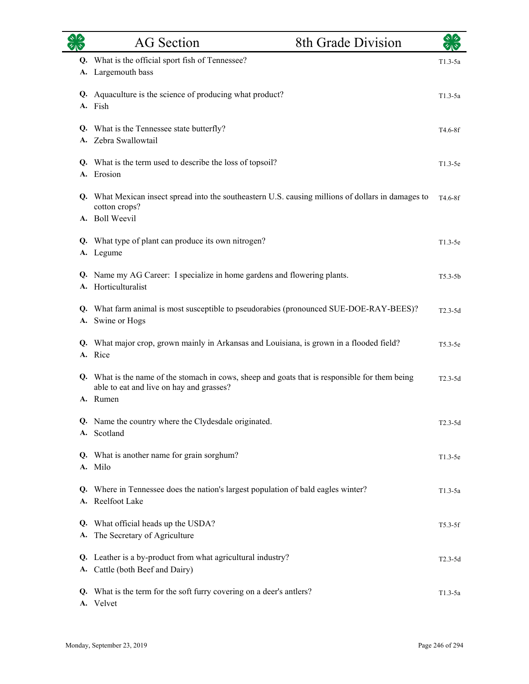|          | <b>AG</b> Section                                                                                                                                      | 8th Grade Division |             |
|----------|--------------------------------------------------------------------------------------------------------------------------------------------------------|--------------------|-------------|
| Q.<br>А. | What is the official sport fish of Tennessee?<br>Largemouth bass                                                                                       |                    | $T1.3-5a$   |
| Q.       | Aquaculture is the science of producing what product?<br>A. Fish                                                                                       |                    | $T1.3-5a$   |
|          | Q. What is the Tennessee state butterfly?<br>A. Zebra Swallowtail                                                                                      |                    | $T4.6-8f$   |
| Q.<br>A. | What is the term used to describe the loss of topsoil?<br>Erosion                                                                                      |                    | $T1.3-5e$   |
|          | Q. What Mexican insect spread into the southeastern U.S. causing millions of dollars in damages to<br>cotton crops?<br>A. Boll Weevil                  |                    | T4.6-8f     |
|          | Q. What type of plant can produce its own nitrogen?<br>A. Legume                                                                                       |                    | $T1.3-5e$   |
| Q.       | Name my AG Career: I specialize in home gardens and flowering plants.<br>A. Horticulturalist                                                           |                    | $T5.3 - 5b$ |
|          | Q. What farm animal is most susceptible to pseudorabies (pronounced SUE-DOE-RAY-BEES)?<br>A. Swine or Hogs                                             |                    | $T2.3-5d$   |
|          | Q. What major crop, grown mainly in Arkansas and Louisiana, is grown in a flooded field?<br>A. Rice                                                    |                    | $T5.3-5e$   |
|          | Q. What is the name of the stomach in cows, sheep and goats that is responsible for them being<br>able to eat and live on hay and grasses?<br>A. Rumen |                    | $T2.3-5d$   |
|          | Q. Name the country where the Clydesdale originated.<br>A. Scotland                                                                                    |                    | $T2.3-5d$   |
|          | Q. What is another name for grain sorghum?<br>A. Milo                                                                                                  |                    | $T1.3-5e$   |
| Q.       | Where in Tennessee does the nation's largest population of bald eagles winter?<br>A. Reelfoot Lake                                                     |                    | $T1.3-5a$   |
| А.       | Q. What official heads up the USDA?<br>The Secretary of Agriculture                                                                                    |                    | $T5.3-5f$   |
|          | Q. Leather is a by-product from what agricultural industry?<br>A. Cattle (both Beef and Dairy)                                                         |                    | $T2.3-5d$   |
|          | Q. What is the term for the soft furry covering on a deer's antlers?<br>A. Velvet                                                                      |                    | $T1.3-5a$   |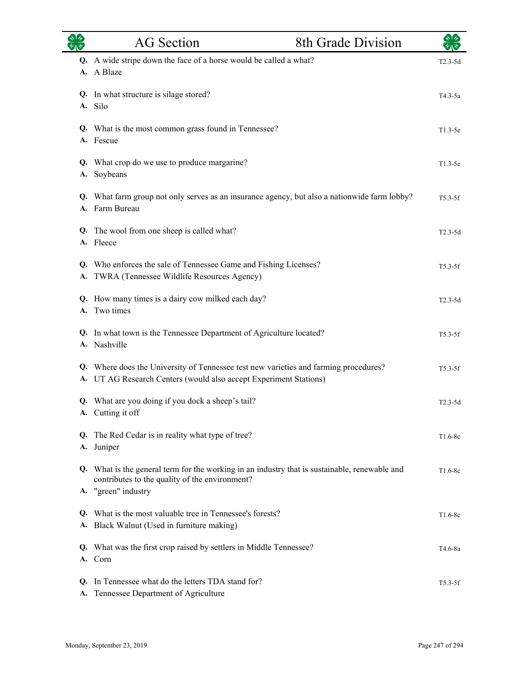| 红心       | <b>AG</b> Section                                                                                                                                                      | 8th Grade Division | $\frac{1}{2}$ |
|----------|------------------------------------------------------------------------------------------------------------------------------------------------------------------------|--------------------|---------------|
|          | Q. A wide stripe down the face of a horse would be called a what?<br>A. A Blaze                                                                                        |                    | $T2.3-5d$     |
| А.       | Q. In what structure is silage stored?<br>Silo                                                                                                                         |                    | $T4.3-5a$     |
|          | Q. What is the most common grass found in Tennessee?<br>A. Fescue                                                                                                      |                    | $T1.3-5e$     |
| А.       | Q. What crop do we use to produce margarine?<br>Soybeans                                                                                                               |                    | $T1.3-5e$     |
|          | Q. What farm group not only serves as an insurance agency, but also a nationwide farm lobby?<br>A. Farm Bureau                                                         |                    | $T5.3-5f$     |
|          | Q. The wool from one sheep is called what?<br>A. Fleece                                                                                                                |                    | $T2.3-5d$     |
|          | Q. Who enforces the sale of Tennessee Game and Fishing Licenses?<br>A. TWRA (Tennessee Wildlife Resources Agency)                                                      |                    | $T5.3-5f$     |
| A.       | Q. How many times is a dairy cow milked each day?<br>Two times                                                                                                         |                    | $T2.3-5d$     |
|          | Q. In what town is the Tennessee Department of Agriculture located?<br>A. Nashville                                                                                    |                    | $T5.3-5f$     |
|          | Q. Where does the University of Tennessee test new varieties and farming procedures?<br>A. UT AG Research Centers (would also accept Experiment Stations)              |                    | $T5.3-5f$     |
|          | Q. What are you doing if you dock a sheep's tail?<br>A. Cutting it off                                                                                                 |                    | $T2.3-5d$     |
|          | Q. The Red Cedar is in reality what type of tree?<br>A. Juniper                                                                                                        |                    | $T1.6-8c$     |
|          | Q. What is the general term for the working in an industry that is sustainable, renewable and<br>contributes to the quality of the environment?<br>A. "green" industry |                    | $T1.6-8c$     |
|          | Q. What is the most valuable tree in Tennessee's forests?<br>A. Black Walnut (Used in furniture making)                                                                |                    | $T1.6-8c$     |
|          | Q. What was the first crop raised by settlers in Middle Tennessee?<br>A. Corn                                                                                          |                    | T4.6-8a       |
| Q.<br>А. | In Tennessee what do the letters TDA stand for?<br>Tennessee Department of Agriculture                                                                                 |                    | $T5.3-5f$     |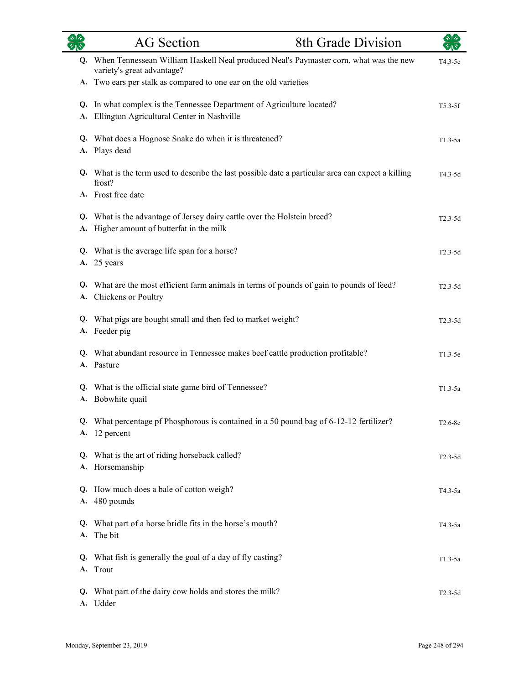|    | <b>8th Grade Division</b><br>AG Section                                                                              | $\sqrt[3]{2}$ |
|----|----------------------------------------------------------------------------------------------------------------------|---------------|
| Q. | When Tennessean William Haskell Neal produced Neal's Paymaster corn, what was the new<br>variety's great advantage?  | T4.3-5c       |
|    | A. Two ears per stalk as compared to one ear on the old varieties                                                    |               |
| A. | Q. In what complex is the Tennessee Department of Agriculture located?<br>Ellington Agricultural Center in Nashville | $T5.3-5f$     |
| Q. | What does a Hognose Snake do when it is threatened?<br>A. Plays dead                                                 | $T1.3-5a$     |
|    | Q. What is the term used to describe the last possible date a particular area can expect a killing<br>frost?         | T4.3-5d       |
|    | A. Frost free date                                                                                                   |               |
| A. | Q. What is the advantage of Jersey dairy cattle over the Holstein breed?<br>Higher amount of butterfat in the milk   | $T2.3-5d$     |
|    | Q. What is the average life span for a horse?<br>A. 25 years                                                         | $T2.3-5d$     |
|    | Q. What are the most efficient farm animals in terms of pounds of gain to pounds of feed?<br>A. Chickens or Poultry  | $T2.3-5d$     |
|    | Q. What pigs are bought small and then fed to market weight?<br>A. Feeder pig                                        | $T2.3-5d$     |
|    | Q. What abundant resource in Tennessee makes beef cattle production profitable?<br>A. Pasture                        | $T1.3-5e$     |
|    | Q. What is the official state game bird of Tennessee?<br>A. Bobwhite quail                                           | $T1.3-5a$     |
|    | Q. What percentage pf Phosphorous is contained in a 50 pound bag of 6-12-12 fertilizer?<br>A. 12 percent             | T2.6-8c       |
|    | Q. What is the art of riding horseback called?<br>A. Horsemanship                                                    | $T2.3-5d$     |
|    | Q. How much does a bale of cotton weigh?<br>A. 480 pounds                                                            | T4.3-5a       |
|    | Q. What part of a horse bridle fits in the horse's mouth?<br>A. The bit                                              | T4.3-5a       |
|    | Q. What fish is generally the goal of a day of fly casting?<br>A. Trout                                              | $T1.3-5a$     |
|    | Q. What part of the dairy cow holds and stores the milk?<br>A. Udder                                                 | $T2.3-5d$     |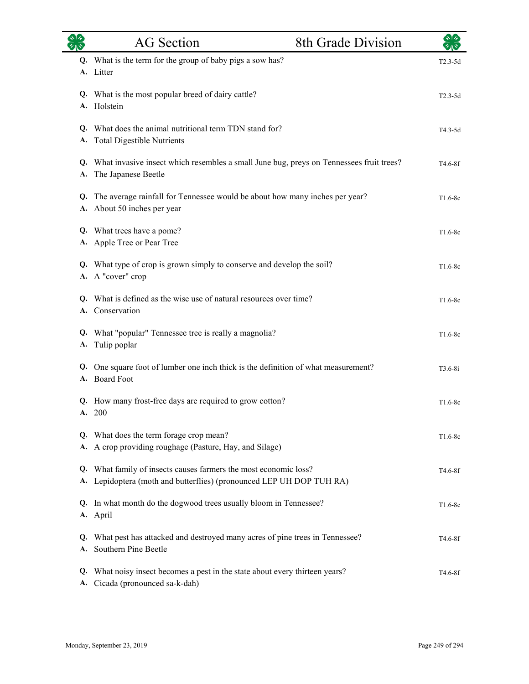|                 | <b>AG</b> Section                                                                                                                  | 8th Grade Division |                      |
|-----------------|------------------------------------------------------------------------------------------------------------------------------------|--------------------|----------------------|
|                 | Q. What is the term for the group of baby pigs a sow has?<br>A. Litter                                                             |                    | $T2.3-5d$            |
|                 | Q. What is the most popular breed of dairy cattle?<br>A. Holstein                                                                  |                    | $T2.3-5d$            |
| А.              | Q. What does the animal nutritional term TDN stand for?<br><b>Total Digestible Nutrients</b>                                       |                    | T4.3-5d              |
| Q.<br>A.        | What invasive insect which resembles a small June bug, preys on Tennessees fruit trees?<br>The Japanese Beetle                     |                    | T4.6-8f              |
| Q.<br>А.        | The average rainfall for Tennessee would be about how many inches per year?<br>About 50 inches per year                            |                    | $T1.6-8c$            |
|                 | Q. What trees have a pome?<br>A. Apple Tree or Pear Tree                                                                           |                    | $T1.6-8c$            |
| Q.              | What type of crop is grown simply to conserve and develop the soil?<br>A. A "cover" crop                                           |                    | T1.6-8c              |
| Q.              | What is defined as the wise use of natural resources over time?<br>A. Conservation                                                 |                    | $T1.6-8c$            |
| Q.<br>A.        | What "popular" Tennessee tree is really a magnolia?<br>Tulip poplar                                                                |                    | $T1.6-8c$            |
| Q.              | One square foot of lumber one inch thick is the definition of what measurement?<br>A. Board Foot                                   |                    | $T3.6 - 8i$          |
|                 | Q. How many frost-free days are required to grow cotton?<br>A. 200                                                                 |                    | $T1.6-8c$            |
| A.              | Q. What does the term forage crop mean?<br>A crop providing roughage (Pasture, Hay, and Silage)                                    |                    | $T1.6-8c$            |
| Q.<br><b>A.</b> | What family of insects causes farmers the most economic loss?<br>Lepidoptera (moth and butterflies) (pronounced LEP UH DOP TUH RA) |                    | T4.6-8f              |
| Q.              | In what month do the dogwood trees usually bloom in Tennessee?<br>A. April                                                         |                    | $T1.6-8c$            |
| Q.<br>A.        | What pest has attacked and destroyed many acres of pine trees in Tennessee?<br>Southern Pine Beetle                                |                    | T4.6-8f              |
| Q.<br>A.        | What noisy insect becomes a pest in the state about every thirteen years?<br>Cicada (pronounced sa-k-dah)                          |                    | T <sub>4.6</sub> -8f |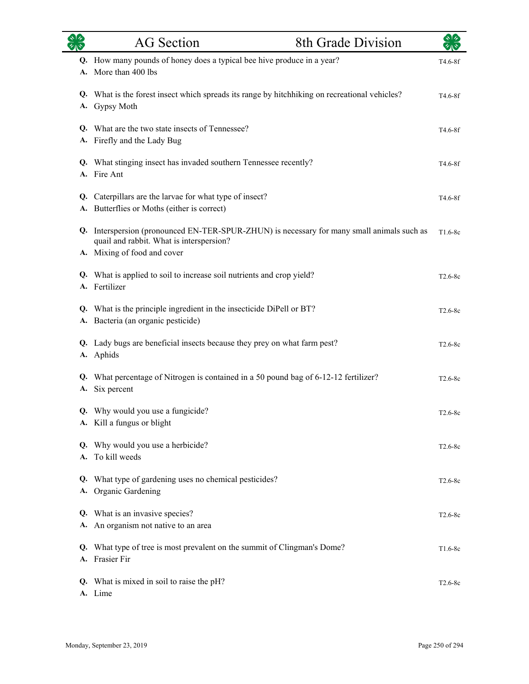|    | <b>AG</b> Section                                                                                                                      | 8th Grade Division | $\star$ 1 $\star$ |
|----|----------------------------------------------------------------------------------------------------------------------------------------|--------------------|-------------------|
|    | Q. How many pounds of honey does a typical bee hive produce in a year?<br>A. More than 400 lbs                                         |                    | T4.6-8f           |
|    | Q. What is the forest insect which spreads its range by hitchhiking on recreational vehicles?<br>A. Gypsy Moth                         |                    | T4.6-8f           |
|    | Q. What are the two state insects of Tennessee?<br>A. Firefly and the Lady Bug                                                         |                    | T4.6-8f           |
|    | Q. What stinging insect has invaded southern Tennessee recently?<br>A. Fire Ant                                                        |                    | T4.6-8f           |
| Q. | Caterpillars are the larvae for what type of insect?<br>A. Butterflies or Moths (either is correct)                                    |                    | T4.6-8f           |
|    | Q. Interspersion (pronounced EN-TER-SPUR-ZHUN) is necessary for many small animals such as<br>quail and rabbit. What is interspersion? |                    | $T1.6-8c$         |
|    | A. Mixing of food and cover<br>Q. What is applied to soil to increase soil nutrients and crop yield?<br>A. Fertilizer                  |                    | $T2.6-8c$         |
| А. | Q. What is the principle ingredient in the insecticide DiPell or BT?<br>Bacteria (an organic pesticide)                                |                    | $T2.6-8c$         |
|    | Q. Lady bugs are beneficial insects because they prey on what farm pest?<br>A. Aphids                                                  |                    | $T2.6-8c$         |
| А. | Q. What percentage of Nitrogen is contained in a 50 pound bag of 6-12-12 fertilizer?<br>Six percent                                    |                    | $T2.6-8c$         |
|    | Q. Why would you use a fungicide?<br>A. Kill a fungus or blight                                                                        |                    | $T2.6-8c$         |
| Q. | Why would you use a herbicide?<br>A. To kill weeds                                                                                     |                    | $T2.6-8c$         |
| Q. | What type of gardening uses no chemical pesticides?<br>A. Organic Gardening                                                            |                    | $T2.6-8c$         |
|    | Q. What is an invasive species?<br>A. An organism not native to an area                                                                |                    | $T2.6-8c$         |
| Q. | What type of tree is most prevalent on the summit of Clingman's Dome?<br>A. Frasier Fir                                                |                    | $T1.6-8c$         |
|    | Q. What is mixed in soil to raise the pH?<br>A. Lime                                                                                   |                    | $T2.6-8c$         |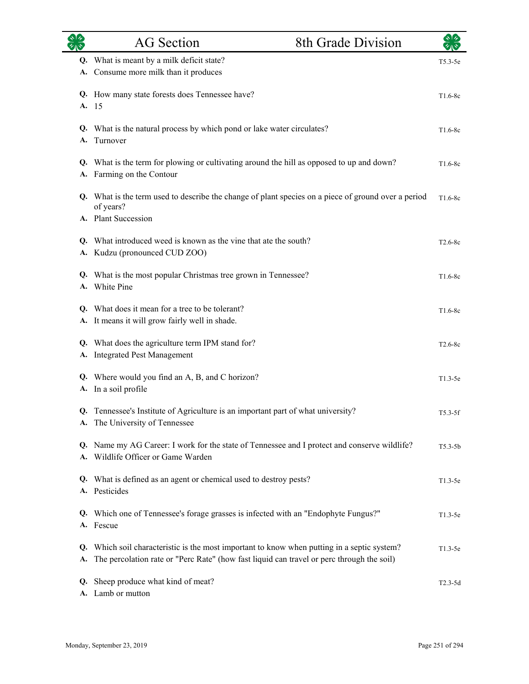|    | <b>AG</b> Section                                                                                                                                                                        | 8th Grade Division |             |
|----|------------------------------------------------------------------------------------------------------------------------------------------------------------------------------------------|--------------------|-------------|
|    | Q. What is meant by a milk deficit state?<br>A. Consume more milk than it produces                                                                                                       |                    | $T5.3-5e$   |
| Q. | How many state forests does Tennessee have?<br>A. 15                                                                                                                                     |                    | $T1.6-8c$   |
| A. | Q. What is the natural process by which pond or lake water circulates?<br>Turnover                                                                                                       |                    | $T1.6-8c$   |
|    | Q. What is the term for plowing or cultivating around the hill as opposed to up and down?<br>A. Farming on the Contour                                                                   |                    | $T1.6-8c$   |
|    | Q. What is the term used to describe the change of plant species on a piece of ground over a period<br>of years?<br>A. Plant Succession                                                  |                    | $T1.6-8c$   |
|    | Q. What introduced weed is known as the vine that ate the south?<br>A. Kudzu (pronounced CUD ZOO)                                                                                        |                    | $T2.6-8c$   |
|    | Q. What is the most popular Christmas tree grown in Tennessee?<br>A. White Pine                                                                                                          |                    | $T1.6-8c$   |
|    | Q. What does it mean for a tree to be tolerant?<br>A. It means it will grow fairly well in shade.                                                                                        |                    | $T1.6-8c$   |
|    | Q. What does the agriculture term IPM stand for?<br>A. Integrated Pest Management                                                                                                        |                    | $T2.6-8c$   |
|    | Q. Where would you find an A, B, and C horizon?<br>A. In a soil profile                                                                                                                  |                    | $T1.3-5e$   |
|    | Q. Tennessee's Institute of Agriculture is an important part of what university?<br>A. The University of Tennessee                                                                       |                    | $T5.3-5f$   |
|    | Q. Name my AG Career: I work for the state of Tennessee and I protect and conserve wildlife?<br>A. Wildlife Officer or Game Warden                                                       |                    | $T5.3 - 5b$ |
|    | Q. What is defined as an agent or chemical used to destroy pests?<br>A. Pesticides                                                                                                       |                    | $T1.3-5e$   |
|    | Q. Which one of Tennessee's forage grasses is infected with an "Endophyte Fungus?"<br>A. Fescue                                                                                          |                    | $T1.3-5e$   |
| A. | Q. Which soil characteristic is the most important to know when putting in a septic system?<br>The percolation rate or "Perc Rate" (how fast liquid can travel or perc through the soil) |                    | $T1.3-5e$   |
| Q. | Sheep produce what kind of meat?<br>A. Lamb or mutton                                                                                                                                    |                    | $T2.3-5d$   |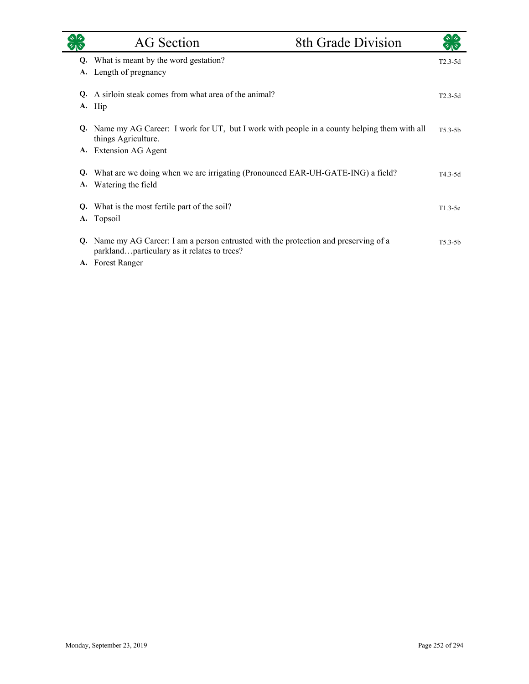|    | <b>AG</b> Section                                                                                                                 | 8th Grade Division |             |
|----|-----------------------------------------------------------------------------------------------------------------------------------|--------------------|-------------|
|    | Q. What is meant by the word gestation?                                                                                           |                    | $T2.3 - 5d$ |
| A. | Length of pregnancy                                                                                                               |                    |             |
| O. | A sirloin steak comes from what area of the animal?                                                                               |                    | $T2.3-5d$   |
|    | A. Hip                                                                                                                            |                    |             |
|    | Q. Name my AG Career: I work for UT, but I work with people in a county helping them with all<br>things Agriculture.              |                    | $T5.3-5h$   |
|    | A. Extension AG Agent                                                                                                             |                    |             |
| Q. | What are we doing when we are irrigating (Pronounced EAR-UH-GATE-ING) a field?<br>A. Watering the field                           |                    | $T4.3 - 5d$ |
| Q. | What is the most fertile part of the soil?                                                                                        |                    | $T1.3-5e$   |
| A. | Topsoil                                                                                                                           |                    |             |
| Q. | Name my AG Career: I am a person entrusted with the protection and preserving of a<br>parklandparticulary as it relates to trees? |                    | $T5.3 - 5b$ |
|    | A. Forest Ranger                                                                                                                  |                    |             |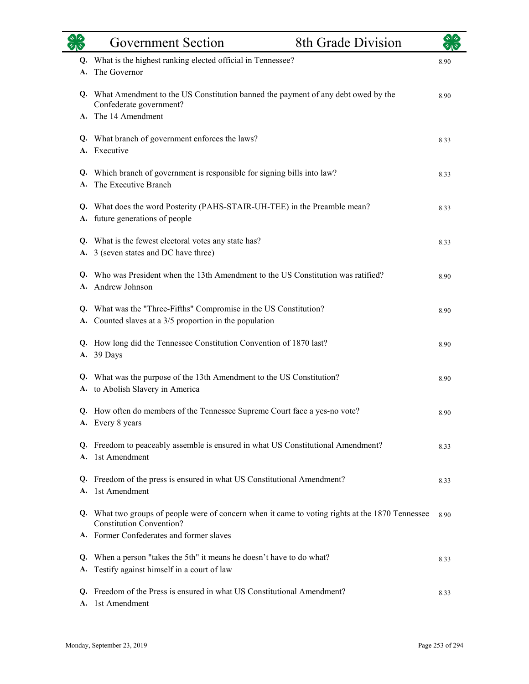|          | <b>Government Section</b>                                                                                                           | 8th Grade Division |      |
|----------|-------------------------------------------------------------------------------------------------------------------------------------|--------------------|------|
| Q.       | What is the highest ranking elected official in Tennessee?                                                                          |                    | 8.90 |
| A.       | The Governor                                                                                                                        |                    |      |
|          | Q. What Amendment to the US Constitution banned the payment of any debt owed by the<br>Confederate government?                      |                    | 8.90 |
|          | The 14 Amendment                                                                                                                    |                    |      |
|          | Q. What branch of government enforces the laws?                                                                                     |                    | 8.33 |
|          | A. Executive                                                                                                                        |                    |      |
| Q.       | Which branch of government is responsible for signing bills into law?<br>The Executive Branch                                       |                    | 8.33 |
|          |                                                                                                                                     |                    |      |
| А.       | Q. What does the word Posterity (PAHS-STAIR-UH-TEE) in the Preamble mean?<br>future generations of people                           |                    | 8.33 |
|          | Q. What is the fewest electoral votes any state has?                                                                                |                    | 8.33 |
| А.       | 3 (seven states and DC have three)                                                                                                  |                    |      |
| Q.       | Who was President when the 13th Amendment to the US Constitution was ratified?                                                      |                    | 8.90 |
|          | A. Andrew Johnson                                                                                                                   |                    |      |
|          | Q. What was the "Three-Fifths" Compromise in the US Constitution?                                                                   |                    | 8.90 |
| А.       | Counted slaves at a 3/5 proportion in the population                                                                                |                    |      |
| A.       | Q. How long did the Tennessee Constitution Convention of 1870 last?<br>39 Days                                                      |                    | 8.90 |
|          | Q. What was the purpose of the 13th Amendment to the US Constitution?                                                               |                    |      |
|          | A. to Abolish Slavery in America                                                                                                    |                    | 8.90 |
|          | Q. How often do members of the Tennessee Supreme Court face a yes-no vote?                                                          |                    | 8.90 |
|          | A. Every 8 years                                                                                                                    |                    |      |
|          | Q. Freedom to peaceably assemble is ensured in what US Constitutional Amendment?                                                    |                    | 8.33 |
| A.       | 1st Amendment                                                                                                                       |                    |      |
| А.       | Q. Freedom of the press is ensured in what US Constitutional Amendment?<br>1st Amendment                                            |                    | 8.33 |
|          |                                                                                                                                     |                    |      |
|          | Q. What two groups of people were of concern when it came to voting rights at the 1870 Tennessee<br><b>Constitution Convention?</b> |                    | 8.90 |
|          | Former Confederates and former slaves                                                                                               |                    |      |
| Q.       | When a person "takes the 5th" it means he doesn't have to do what?                                                                  |                    | 8.33 |
| А.       | Testify against himself in a court of law                                                                                           |                    |      |
| Q.<br>A. | Freedom of the Press is ensured in what US Constitutional Amendment?<br>1st Amendment                                               |                    | 8.33 |
|          |                                                                                                                                     |                    |      |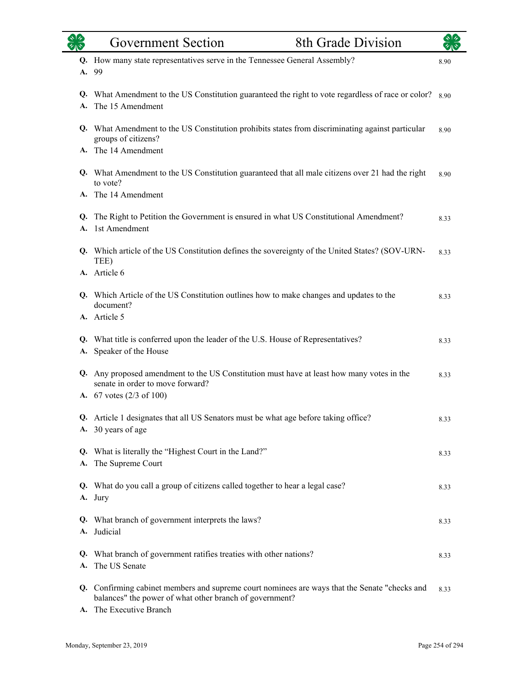|          | Government Section                                                                                                                                                                  | <b>8th Grade Division</b> |      |
|----------|-------------------------------------------------------------------------------------------------------------------------------------------------------------------------------------|---------------------------|------|
| А.       | Q. How many state representatives serve in the Tennessee General Assembly?<br>99                                                                                                    |                           | 8.90 |
| Q.<br>А. | What Amendment to the US Constitution guaranteed the right to vote regardless of race or color?<br>The 15 Amendment                                                                 |                           | 8.90 |
|          | Q. What Amendment to the US Constitution prohibits states from discriminating against particular<br>groups of citizens?                                                             |                           | 8.90 |
|          | A. The 14 Amendment                                                                                                                                                                 |                           |      |
|          | Q. What Amendment to the US Constitution guaranteed that all male citizens over 21 had the right<br>to vote?                                                                        |                           | 8.90 |
|          | A. The 14 Amendment                                                                                                                                                                 |                           |      |
| A.       | Q. The Right to Petition the Government is ensured in what US Constitutional Amendment?<br>1st Amendment                                                                            |                           | 8.33 |
|          | Q. Which article of the US Constitution defines the sovereignty of the United States? (SOV-URN-<br>TEE)                                                                             |                           | 8.33 |
|          | A. Article 6                                                                                                                                                                        |                           |      |
|          | Q. Which Article of the US Constitution outlines how to make changes and updates to the<br>document?                                                                                |                           | 8.33 |
|          | A. Article 5                                                                                                                                                                        |                           |      |
| А.       | Q. What title is conferred upon the leader of the U.S. House of Representatives?<br>Speaker of the House                                                                            |                           | 8.33 |
|          | Q. Any proposed amendment to the US Constitution must have at least how many votes in the<br>senate in order to move forward?<br>A. $67$ votes $(2/3 \text{ of } 100)$              |                           | 8.33 |
|          | Article 1 designates that all US Senators must be what age before taking office?<br>A. 30 years of age                                                                              |                           | 8.33 |
|          | Q. What is literally the "Highest Court in the Land?"<br>A. The Supreme Court                                                                                                       |                           | 8.33 |
|          | Q. What do you call a group of citizens called together to hear a legal case?<br>A. Jury                                                                                            |                           | 8.33 |
|          | Q. What branch of government interprets the laws?<br>A. Judicial                                                                                                                    |                           | 8.33 |
|          | Q. What branch of government ratifies treaties with other nations?<br>A. The US Senate                                                                                              |                           | 8.33 |
|          | Q. Confirming cabinet members and supreme court nominees are ways that the Senate "checks and<br>balances" the power of what other branch of government?<br>A. The Executive Branch |                           | 8.33 |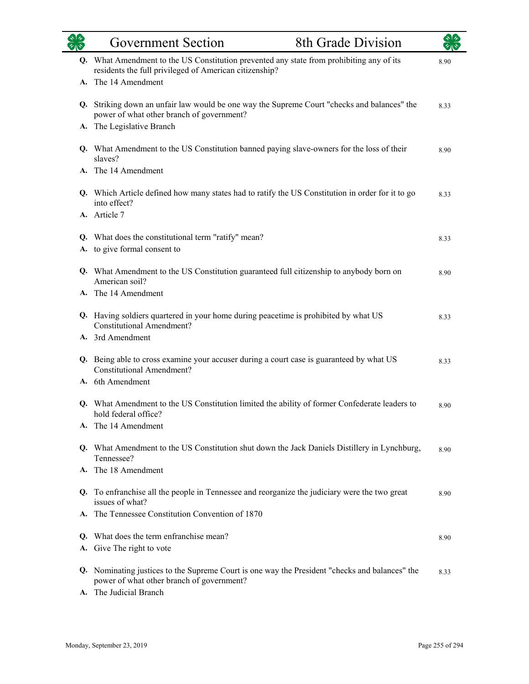|    | <b>Government Section</b>                                                                                                                          | 8th Grade Division |      |
|----|----------------------------------------------------------------------------------------------------------------------------------------------------|--------------------|------|
|    | Q. What Amendment to the US Constitution prevented any state from prohibiting any of its<br>residents the full privileged of American citizenship? |                    | 8.90 |
|    | A. The 14 Amendment                                                                                                                                |                    |      |
|    | Q. Striking down an unfair law would be one way the Supreme Court "checks and balances" the<br>power of what other branch of government?           |                    | 8.33 |
| А. | The Legislative Branch                                                                                                                             |                    |      |
|    | Q. What Amendment to the US Constitution banned paying slave-owners for the loss of their<br>slaves?                                               |                    | 8.90 |
|    | A. The 14 Amendment                                                                                                                                |                    |      |
|    | Q. Which Article defined how many states had to ratify the US Constitution in order for it to go<br>into effect?                                   |                    | 8.33 |
|    | A. Article 7                                                                                                                                       |                    |      |
|    | Q. What does the constitutional term "ratify" mean?                                                                                                |                    | 8.33 |
|    | A. to give formal consent to                                                                                                                       |                    |      |
|    | Q. What Amendment to the US Constitution guaranteed full citizenship to anybody born on<br>American soil?                                          |                    | 8.90 |
|    | A. The 14 Amendment                                                                                                                                |                    |      |
|    | Q. Having soldiers quartered in your home during peacetime is prohibited by what US<br><b>Constitutional Amendment?</b>                            |                    | 8.33 |
|    | A. 3rd Amendment                                                                                                                                   |                    |      |
|    | Q. Being able to cross examine your accuser during a court case is guaranteed by what US<br><b>Constitutional Amendment?</b>                       |                    | 8.33 |
|    | A. 6th Amendment                                                                                                                                   |                    |      |
| Q. | What Amendment to the US Constitution limited the ability of former Confederate leaders to<br>hold federal office?                                 |                    | 8.90 |
|    | A. The 14 Amendment                                                                                                                                |                    |      |
|    | Q. What Amendment to the US Constitution shut down the Jack Daniels Distillery in Lynchburg,<br>Tennessee?                                         |                    | 8.90 |
|    | A. The 18 Amendment                                                                                                                                |                    |      |
|    | Q. To enfranchise all the people in Tennessee and reorganize the judiciary were the two great<br>issues of what?                                   |                    | 8.90 |
| А. | The Tennessee Constitution Convention of 1870                                                                                                      |                    |      |
| Q. | What does the term enfranchise mean?                                                                                                               |                    | 8.90 |
| A. | Give The right to vote                                                                                                                             |                    |      |
| Q. | Nominating justices to the Supreme Court is one way the President "checks and balances" the<br>power of what other branch of government?           |                    | 8.33 |
|    | A. The Judicial Branch                                                                                                                             |                    |      |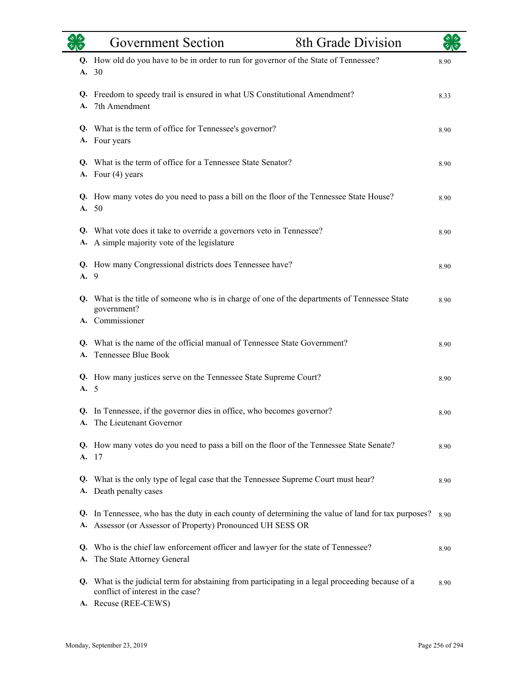| 40 <sup>o</sup> | <b>Government Section</b>                                                                                                                                      | 8th Grade Division |      |
|-----------------|----------------------------------------------------------------------------------------------------------------------------------------------------------------|--------------------|------|
| A.              | Q. How old do you have to be in order to run for governor of the State of Tennessee?<br>30                                                                     |                    | 8.90 |
| Q.<br>A.        | Freedom to speedy trail is ensured in what US Constitutional Amendment?<br>7th Amendment                                                                       |                    | 8.33 |
|                 | Q. What is the term of office for Tennessee's governor?<br>A. Four years                                                                                       |                    | 8.90 |
| Q.<br>А.        | What is the term of office for a Tennessee State Senator?<br>Four (4) years                                                                                    |                    | 8.90 |
|                 | Q. How many votes do you need to pass a bill on the floor of the Tennessee State House?<br>A. 50                                                               |                    | 8.90 |
| Q.<br>А.        | What vote does it take to override a governors veto in Tennessee?<br>A simple majority vote of the legislature                                                 |                    | 8.90 |
| Q.<br>A. 9      | How many Congressional districts does Tennessee have?                                                                                                          |                    | 8.90 |
| Q.              | What is the title of someone who is in charge of one of the departments of Tennessee State<br>government?<br>A. Commissioner                                   |                    | 8.90 |
| Q.<br>A.        | What is the name of the official manual of Tennessee State Government?<br>Tennessee Blue Book                                                                  |                    | 8.90 |
| A. 5            | Q. How many justices serve on the Tennessee State Supreme Court?                                                                                               |                    | 8.90 |
|                 | Q. In Tennessee, if the governor dies in office, who becomes governor?<br>A. The Lieutenant Governor                                                           |                    | 8.90 |
|                 | Q. How many votes do you need to pass a bill on the floor of the Tennessee State Senate?<br>A. 17                                                              |                    | 8.90 |
| Q.<br>А.        | What is the only type of legal case that the Tennessee Supreme Court must hear?<br>Death penalty cases                                                         |                    | 8.90 |
| Q.<br>A.        | In Tennessee, who has the duty in each county of determining the value of land for tax purposes?<br>Assessor (or Assessor of Property) Pronounced UH SESS OR   |                    | 8.90 |
| Q.<br>А.        | Who is the chief law enforcement officer and lawyer for the state of Tennessee?<br>The State Attorney General                                                  |                    | 8.90 |
|                 | Q. What is the judicial term for abstaining from participating in a legal proceeding because of a<br>conflict of interest in the case?<br>A. Recuse (REE-CEWS) |                    | 8.90 |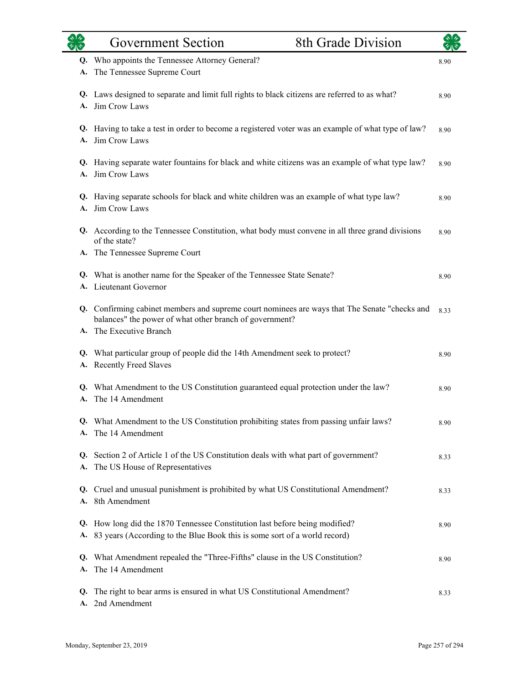|          | <b>Government Section</b>                                                                                                                                | 8th Grade Division |      |
|----------|----------------------------------------------------------------------------------------------------------------------------------------------------------|--------------------|------|
| Q.<br>А. | Who appoints the Tennessee Attorney General?<br>The Tennessee Supreme Court                                                                              |                    | 8.90 |
| Q.<br>А. | Laws designed to separate and limit full rights to black citizens are referred to as what?<br>Jim Crow Laws                                              |                    | 8.90 |
| Q.<br>A. | Having to take a test in order to become a registered voter was an example of what type of law?<br>Jim Crow Laws                                         |                    | 8.90 |
| Q.<br>A. | Having separate water fountains for black and white citizens was an example of what type law?<br>Jim Crow Laws                                           |                    | 8.90 |
| A.       | Q. Having separate schools for black and white children was an example of what type law?<br>Jim Crow Laws                                                |                    | 8.90 |
|          | Q. According to the Tennessee Constitution, what body must convene in all three grand divisions<br>of the state?                                         |                    | 8.90 |
|          | A. The Tennessee Supreme Court                                                                                                                           |                    |      |
| Q.       | What is another name for the Speaker of the Tennessee State Senate?<br>A. Lieutenant Governor                                                            |                    | 8.90 |
|          | Q. Confirming cabinet members and supreme court nominees are ways that The Senate "checks and<br>balances" the power of what other branch of government? |                    | 8.33 |
|          | A. The Executive Branch                                                                                                                                  |                    |      |
| Q.<br>А. | What particular group of people did the 14th Amendment seek to protect?<br><b>Recently Freed Slaves</b>                                                  |                    | 8.90 |
| Q.<br>A. | What Amendment to the US Constitution guaranteed equal protection under the law?<br>The 14 Amendment                                                     |                    | 8.90 |
| A.       | Q. What Amendment to the US Constitution prohibiting states from passing unfair laws?<br>The 14 Amendment                                                |                    | 8.90 |
| А.       | Q. Section 2 of Article 1 of the US Constitution deals with what part of government?<br>The US House of Representatives                                  |                    | 8.33 |
| Q.<br>А. | Cruel and unusual punishment is prohibited by what US Constitutional Amendment?<br>8th Amendment                                                         |                    | 8.33 |
| Q.<br>А. | How long did the 1870 Tennessee Constitution last before being modified?<br>83 years (According to the Blue Book this is some sort of a world record)    |                    | 8.90 |
| Q.<br>A. | What Amendment repealed the "Three-Fifths" clause in the US Constitution?<br>The 14 Amendment                                                            |                    | 8.90 |
| Q.<br>А. | The right to bear arms is ensured in what US Constitutional Amendment?<br>2nd Amendment                                                                  |                    | 8.33 |

L.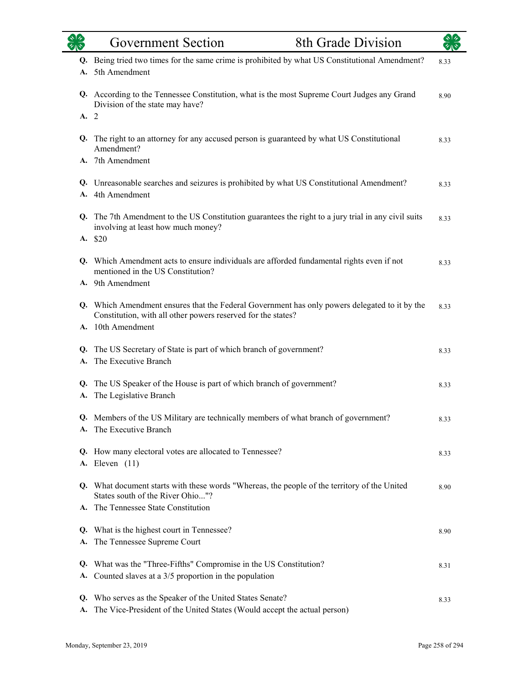| 78       | <b>Government Section</b>                                                                                                                                                          | <b>8th Grade Division</b> |      |
|----------|------------------------------------------------------------------------------------------------------------------------------------------------------------------------------------|---------------------------|------|
| Q.<br>A. | Being tried two times for the same crime is prohibited by what US Constitutional Amendment?<br>5th Amendment                                                                       |                           | 8.33 |
|          | Q. According to the Tennessee Constitution, what is the most Supreme Court Judges any Grand<br>Division of the state may have?                                                     |                           | 8.90 |
| A.       | $\overline{2}$                                                                                                                                                                     |                           |      |
| Q.       | The right to an attorney for any accused person is guaranteed by what US Constitutional<br>Amendment?                                                                              |                           | 8.33 |
| A.       | 7th Amendment                                                                                                                                                                      |                           |      |
| A.       | Q. Unreasonable searches and seizures is prohibited by what US Constitutional Amendment?<br>4th Amendment                                                                          |                           | 8.33 |
|          | Q. The 7th Amendment to the US Constitution guarantees the right to a jury trial in any civil suits<br>involving at least how much money?                                          |                           | 8.33 |
|          | A. \$20                                                                                                                                                                            |                           |      |
| Q.       | Which Amendment acts to ensure individuals are afforded fundamental rights even if not<br>mentioned in the US Constitution?                                                        |                           | 8.33 |
|          | A. 9th Amendment                                                                                                                                                                   |                           |      |
|          | Q. Which Amendment ensures that the Federal Government has only powers delegated to it by the<br>Constitution, with all other powers reserved for the states?<br>A. 10th Amendment |                           | 8.33 |
| Q.<br>A. | The US Secretary of State is part of which branch of government?<br>The Executive Branch                                                                                           |                           | 8.33 |
| Q.<br>A. | The US Speaker of the House is part of which branch of government?<br>The Legislative Branch                                                                                       |                           | 8.33 |
| A.       | Members of the US Military are technically members of what branch of government?<br>The Executive Branch                                                                           |                           | 8.33 |
|          | Q. How many electoral votes are allocated to Tennessee?<br><b>A.</b> Eleven (11)                                                                                                   |                           | 8.33 |
|          | Q. What document starts with these words "Whereas, the people of the territory of the United<br>States south of the River Ohio"?                                                   |                           | 8.90 |
| A.       | The Tennessee State Constitution                                                                                                                                                   |                           |      |
| Q.       | What is the highest court in Tennessee?                                                                                                                                            |                           | 8.90 |
| A.       | The Tennessee Supreme Court                                                                                                                                                        |                           |      |
| Q.<br>A. | What was the "Three-Fifths" Compromise in the US Constitution?<br>Counted slaves at a 3/5 proportion in the population                                                             |                           | 8.31 |
| Q.<br>А. | Who serves as the Speaker of the United States Senate?<br>The Vice-President of the United States (Would accept the actual person)                                                 |                           | 8.33 |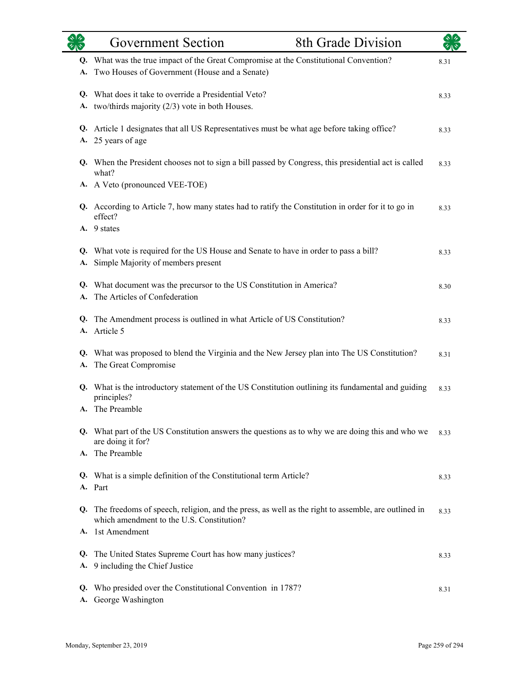| <b>els</b><br>Vie | 8th Grade Division<br><b>Government Section</b>                                                                                                 |      |
|-------------------|-------------------------------------------------------------------------------------------------------------------------------------------------|------|
| Q.<br>A.          | What was the true impact of the Great Compromise at the Constitutional Convention?<br>Two Houses of Government (House and a Senate)             | 8.31 |
| Q.                | What does it take to override a Presidential Veto?<br>A. two/thirds majority (2/3) vote in both Houses.                                         | 8.33 |
|                   | Q. Article 1 designates that all US Representatives must be what age before taking office?<br>A. 25 years of age                                | 8.33 |
|                   | Q. When the President chooses not to sign a bill passed by Congress, this presidential act is called<br>what?                                   | 8.33 |
|                   | A. A Veto (pronounced VEE-TOE)                                                                                                                  |      |
|                   | Q. According to Article 7, how many states had to ratify the Constitution in order for it to go in<br>effect?                                   | 8.33 |
|                   | A. 9 states                                                                                                                                     |      |
| Q.<br>A.          | What vote is required for the US House and Senate to have in order to pass a bill?<br>Simple Majority of members present                        | 8.33 |
| A.                | Q. What document was the precursor to the US Constitution in America?<br>The Articles of Confederation                                          | 8.30 |
| Q.<br>A.          | The Amendment process is outlined in what Article of US Constitution?<br>Article 5                                                              | 8.33 |
| Q.<br>A.          | What was proposed to blend the Virginia and the New Jersey plan into The US Constitution?<br>The Great Compromise                               | 8.31 |
| Q.                | What is the introductory statement of the US Constitution outlining its fundamental and guiding<br>principles?                                  | 8.33 |
|                   | A. The Preamble<br>Q. What part of the US Constitution answers the questions as to why we are doing this and who we                             | 8.33 |
| A.                | are doing it for?<br>The Preamble                                                                                                               |      |
| Q.                | What is a simple definition of the Constitutional term Article?                                                                                 | 8.33 |
|                   | A. Part                                                                                                                                         |      |
| Q.                | The freedoms of speech, religion, and the press, as well as the right to assemble, are outlined in<br>which amendment to the U.S. Constitution? | 8.33 |
| A.                | 1st Amendment                                                                                                                                   |      |
| Q.                | The United States Supreme Court has how many justices?                                                                                          | 8.33 |
| A.                | 9 including the Chief Justice                                                                                                                   |      |
| Q.<br>A.          | Who presided over the Constitutional Convention in 1787?<br>George Washington                                                                   | 8.31 |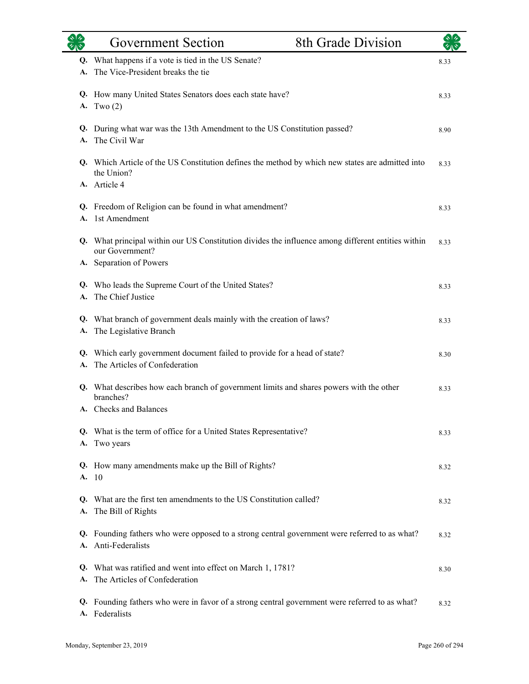|          | <b>Government Section</b>                                                                                             | 8th Grade Division |      |
|----------|-----------------------------------------------------------------------------------------------------------------------|--------------------|------|
| Q.<br>А. | What happens if a vote is tied in the US Senate?<br>The Vice-President breaks the tie                                 |                    | 8.33 |
|          | Q. How many United States Senators does each state have?<br>A. Two $(2)$                                              |                    | 8.33 |
|          | Q. During what war was the 13th Amendment to the US Constitution passed?<br>A. The Civil War                          |                    | 8.90 |
|          | Q. Which Article of the US Constitution defines the method by which new states are admitted into<br>the Union?        |                    | 8.33 |
|          | A. Article 4                                                                                                          |                    |      |
|          | Q. Freedom of Religion can be found in what amendment?<br>A. 1st Amendment                                            |                    | 8.33 |
|          | Q. What principal within our US Constitution divides the influence among different entities within<br>our Government? |                    | 8.33 |
|          | A. Separation of Powers                                                                                               |                    |      |
| Q.<br>A. | Who leads the Supreme Court of the United States?<br>The Chief Justice                                                |                    | 8.33 |
|          | Q. What branch of government deals mainly with the creation of laws?<br>A. The Legislative Branch                     |                    | 8.33 |
|          | Q. Which early government document failed to provide for a head of state?<br>A. The Articles of Confederation         |                    | 8.30 |
|          | Q. What describes how each branch of government limits and shares powers with the other<br>branches?                  |                    | 8.33 |
|          | A. Checks and Balances                                                                                                |                    |      |
|          | Q. What is the term of office for a United States Representative?<br>A. Two years                                     |                    | 8.33 |
|          | Q. How many amendments make up the Bill of Rights?<br>A. 10                                                           |                    | 8.32 |
| O.       | What are the first ten amendments to the US Constitution called?<br>A. The Bill of Rights                             |                    | 8.32 |
| Q.       | Founding fathers who were opposed to a strong central government were referred to as what?<br>A. Anti-Federalists     |                    | 8.32 |
| A.       | Q. What was ratified and went into effect on March 1, 1781?<br>The Articles of Confederation                          |                    | 8.30 |
|          | Q. Founding fathers who were in favor of a strong central government were referred to as what?<br>A. Federalists      |                    | 8.32 |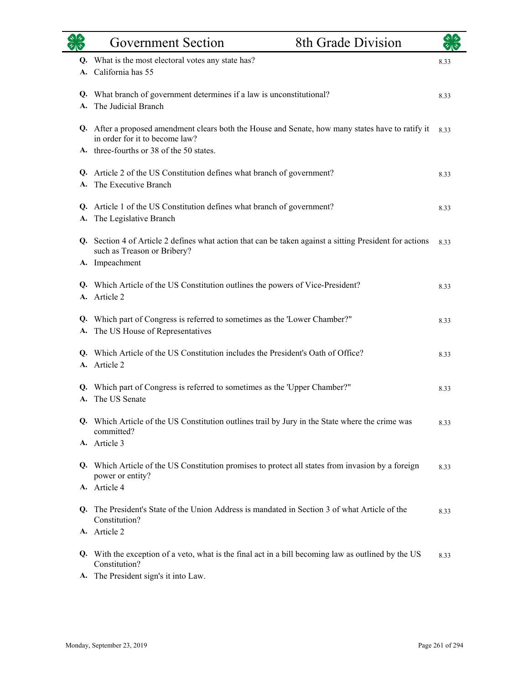|    | <b>Government Section</b>                                                                                                                                | 8th Grade Division |      |
|----|----------------------------------------------------------------------------------------------------------------------------------------------------------|--------------------|------|
| A. | Q. What is the most electoral votes any state has?<br>California has 55                                                                                  |                    | 8.33 |
|    | Q. What branch of government determines if a law is unconstitutional?<br>The Judicial Branch                                                             |                    | 8.33 |
|    | Q. After a proposed amendment clears both the House and Senate, how many states have to ratify it<br>in order for it to become law?                      |                    | 8.33 |
|    | A. three-fourths or 38 of the 50 states.                                                                                                                 |                    |      |
| A. | Q. Article 2 of the US Constitution defines what branch of government?<br>The Executive Branch                                                           |                    | 8.33 |
| А. | Q. Article 1 of the US Constitution defines what branch of government?<br>The Legislative Branch                                                         |                    | 8.33 |
|    | Q. Section 4 of Article 2 defines what action that can be taken against a sitting President for actions<br>such as Treason or Bribery?<br>A. Impeachment |                    | 8.33 |
|    | Q. Which Article of the US Constitution outlines the powers of Vice-President?<br>A. Article 2                                                           |                    | 8.33 |
| А. | Q. Which part of Congress is referred to sometimes as the 'Lower Chamber?"<br>The US House of Representatives                                            |                    | 8.33 |
|    | Q. Which Article of the US Constitution includes the President's Oath of Office?<br>A. Article 2                                                         |                    | 8.33 |
| A. | Q. Which part of Congress is referred to sometimes as the 'Upper Chamber?"<br>The US Senate                                                              |                    | 8.33 |
|    | Q. Which Article of the US Constitution outlines trail by Jury in the State where the crime was<br>committed?                                            |                    | 8.33 |
|    | A. Article 3                                                                                                                                             |                    |      |
|    | Q. Which Article of the US Constitution promises to protect all states from invasion by a foreign<br>power or entity?                                    |                    | 8.33 |
|    | A. Article 4                                                                                                                                             |                    |      |
|    | Q. The President's State of the Union Address is mandated in Section 3 of what Article of the<br>Constitution?                                           |                    | 8.33 |
|    | A. Article 2                                                                                                                                             |                    |      |
|    | Q. With the exception of a veto, what is the final act in a bill becoming law as outlined by the US<br>Constitution?                                     |                    | 8.33 |
|    | A. The President sign's it into Law.                                                                                                                     |                    |      |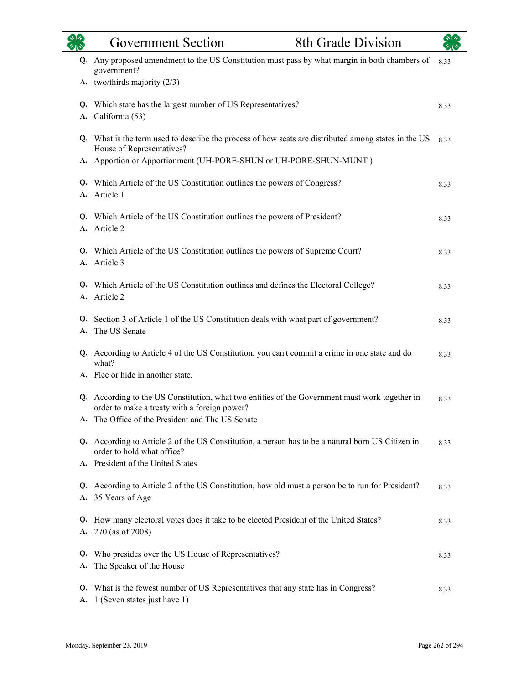|          | <b>Government Section</b>                                                                                                                                            | <b>8th Grade Division</b> |      |
|----------|----------------------------------------------------------------------------------------------------------------------------------------------------------------------|---------------------------|------|
| Q.       | Any proposed amendment to the US Constitution must pass by what margin in both chambers of<br>government?                                                            |                           | 8.33 |
|          | A. two/thirds majority (2/3)                                                                                                                                         |                           |      |
| Q.<br>A. | Which state has the largest number of US Representatives?<br>California (53)                                                                                         |                           | 8.33 |
|          | Q. What is the term used to describe the process of how seats are distributed among states in the US<br>House of Representatives?                                    |                           | 8.33 |
|          | A. Apportion or Apportionment (UH-PORE-SHUN or UH-PORE-SHUN-MUNT)                                                                                                    |                           |      |
| Q.<br>A. | Which Article of the US Constitution outlines the powers of Congress?<br>Article 1                                                                                   |                           | 8.33 |
|          | Q. Which Article of the US Constitution outlines the powers of President?<br>A. Article 2                                                                            |                           | 8.33 |
| Q.<br>A. | Which Article of the US Constitution outlines the powers of Supreme Court?<br>Article 3                                                                              |                           | 8.33 |
| Q.       | Which Article of the US Constitution outlines and defines the Electoral College?<br>A. Article 2                                                                     |                           | 8.33 |
| Q.<br>A. | Section 3 of Article 1 of the US Constitution deals with what part of government?<br>The US Senate                                                                   |                           | 8.33 |
|          | Q. According to Article 4 of the US Constitution, you can't commit a crime in one state and do<br>what?                                                              |                           | 8.33 |
|          | A. Flee or hide in another state.                                                                                                                                    |                           |      |
| Q.       | According to the US Constitution, what two entities of the Government must work together in<br>order to make a treaty with a foreign power?                          |                           | 8.33 |
| А.       | The Office of the President and The US Senate                                                                                                                        |                           |      |
|          | Q. According to Article 2 of the US Constitution, a person has to be a natural born US Citizen in<br>order to hold what office?<br>A. President of the United States |                           | 8.33 |
|          |                                                                                                                                                                      |                           |      |
| А.       | Q. According to Article 2 of the US Constitution, how old must a person be to run for President?<br>35 Years of Age                                                  |                           | 8.33 |
| Q.<br>А. | How many electoral votes does it take to be elected President of the United States?<br>270 (as of 2008)                                                              |                           | 8.33 |
| Q.<br>A. | Who presides over the US House of Representatives?<br>The Speaker of the House                                                                                       |                           | 8.33 |
|          | Q. What is the fewest number of US Representatives that any state has in Congress?<br>A. 1 (Seven states just have 1)                                                |                           | 8.33 |

L.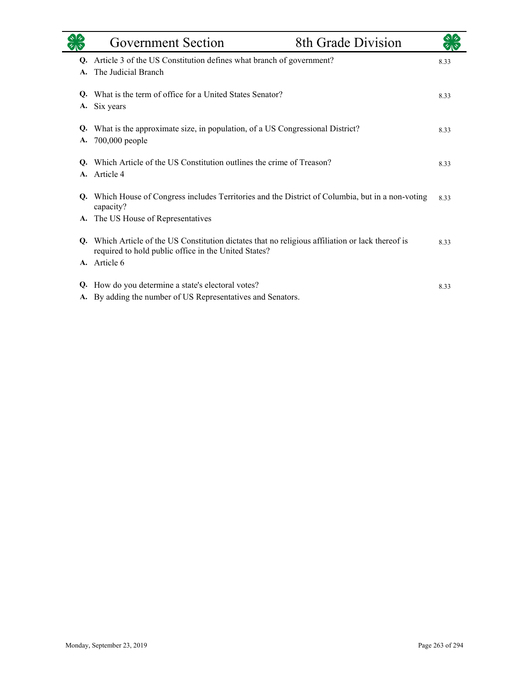|          | Government Section                                                                                                                                     | 8th Grade Division |      |
|----------|--------------------------------------------------------------------------------------------------------------------------------------------------------|--------------------|------|
| Q.<br>A. | Article 3 of the US Constitution defines what branch of government?<br>The Judicial Branch                                                             |                    | 8.33 |
| O.<br>A. | What is the term of office for a United States Senator?<br>Six years                                                                                   |                    | 8.33 |
| Q.<br>A. | What is the approximate size, in population, of a US Congressional District?<br>700,000 people                                                         |                    | 8.33 |
| Q.<br>A. | Which Article of the US Constitution outlines the crime of Treason?<br>Article 4                                                                       |                    | 8.33 |
| Q.       | Which House of Congress includes Territories and the District of Columbia, but in a non-voting<br>capacity?                                            |                    | 8.33 |
| A.       | The US House of Representatives                                                                                                                        |                    |      |
| O.       | Which Article of the US Constitution dictates that no religious affiliation or lack thereof is<br>required to hold public office in the United States? |                    | 8.33 |
| A.       | Article 6                                                                                                                                              |                    |      |
| Q.<br>A. | How do you determine a state's electoral votes?<br>By adding the number of US Representatives and Senators.                                            |                    | 8.33 |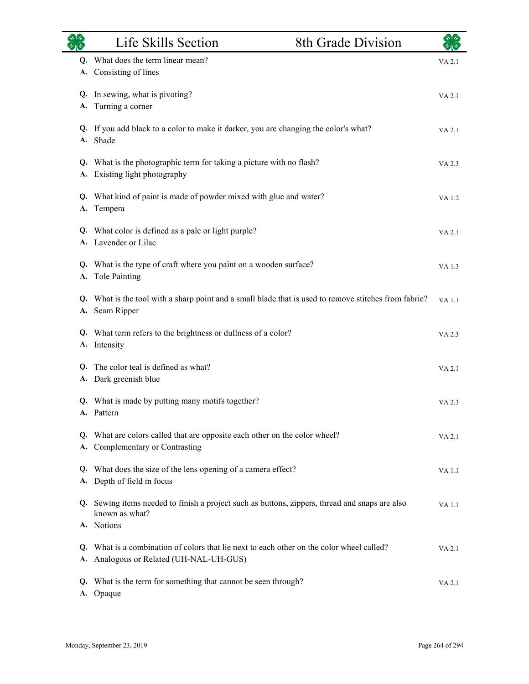|          | Life Skills Section                                                                                                               | 8th Grade Division |              |
|----------|-----------------------------------------------------------------------------------------------------------------------------------|--------------------|--------------|
|          | Q. What does the term linear mean?<br>A. Consisting of lines                                                                      |                    | VA 2.1       |
| А.       | Q. In sewing, what is pivoting?<br>Turning a corner                                                                               |                    | VA 2.1       |
|          | Q. If you add black to a color to make it darker, you are changing the color's what?<br>A. Shade                                  |                    | VA 2.1       |
|          | Q. What is the photographic term for taking a picture with no flash?<br>A. Existing light photography                             |                    | VA 2.3       |
| A.       | Q. What kind of paint is made of powder mixed with glue and water?<br>Tempera                                                     |                    | VA 1.2       |
|          | Q. What color is defined as a pale or light purple?<br>A. Lavender or Lilac                                                       |                    | VA 2.1       |
| А.       | Q. What is the type of craft where you paint on a wooden surface?<br>Tole Painting                                                |                    | VA 1.3       |
|          | Q. What is the tool with a sharp point and a small blade that is used to remove stitches from fabric?<br>A. Seam Ripper           |                    | <b>VA1.1</b> |
|          | Q. What term refers to the brightness or dullness of a color?<br>A. Intensity                                                     |                    | VA 2.3       |
|          | Q. The color teal is defined as what?<br>A. Dark greenish blue                                                                    |                    | VA 2.1       |
|          | Q. What is made by putting many motifs together?<br>A. Pattern                                                                    |                    | VA 2.3       |
| Q.<br>А. | What are colors called that are opposite each other on the color wheel?<br>Complementary or Contrasting                           |                    | VA 2.1       |
| Q.<br>A. | What does the size of the lens opening of a camera effect?<br>Depth of field in focus                                             |                    | VA 1.1       |
|          | Q. Sewing items needed to finish a project such as buttons, zippers, thread and snaps are also<br>known as what?                  |                    | <b>VA1.1</b> |
|          | A. Notions                                                                                                                        |                    |              |
| А.       | Q. What is a combination of colors that lie next to each other on the color wheel called?<br>Analogous or Related (UH-NAL-UH-GUS) |                    | VA 2.1       |
| Q.       | What is the term for something that cannot be seen through?<br>A. Opaque                                                          |                    | VA 2.1       |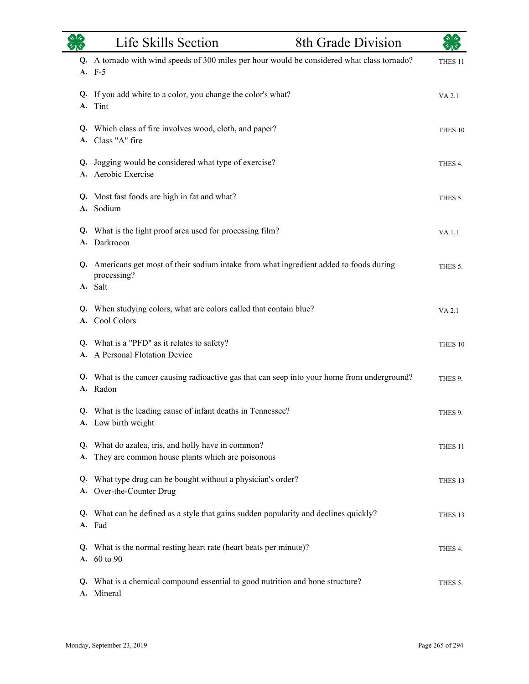|    | Life Skills Section                                                                                               | 8th Grade Division |                    |
|----|-------------------------------------------------------------------------------------------------------------------|--------------------|--------------------|
|    | Q. A tornado with wind speeds of 300 miles per hour would be considered what class tornado?<br>A. F-5             |                    | THES <sub>11</sub> |
| A. | Q. If you add white to a color, you change the color's what?<br>Tint                                              |                    | VA 2.1             |
|    | Q. Which class of fire involves wood, cloth, and paper?<br>A. Class "A" fire                                      |                    | THES 10            |
|    | Q. Jogging would be considered what type of exercise?<br>A. Aerobic Exercise                                      |                    | THES 4.            |
|    | Q. Most fast foods are high in fat and what?<br>A. Sodium                                                         |                    | THES 5.            |
|    | Q. What is the light proof area used for processing film?<br>A. Darkroom                                          |                    | VA 1.1             |
|    | Q. Americans get most of their sodium intake from what ingredient added to foods during<br>processing?<br>A. Salt |                    | THES 5.            |
|    | Q. When studying colors, what are colors called that contain blue?<br>A. Cool Colors                              |                    | VA 2.1             |
|    | Q. What is a "PFD" as it relates to safety?<br>A. A Personal Flotation Device                                     |                    | THES 10            |
|    | Q. What is the cancer causing radioactive gas that can seep into your home from underground?<br>A. Radon          |                    | THES 9.            |
|    | Q. What is the leading cause of infant deaths in Tennessee?<br>A. Low birth weight                                |                    | THES 9.            |
| А. | Q. What do azalea, iris, and holly have in common?<br>They are common house plants which are poisonous            |                    | THES <sub>11</sub> |
| Q. | What type drug can be bought without a physician's order?<br>A. Over-the-Counter Drug                             |                    | THES 13            |
|    | Q. What can be defined as a style that gains sudden popularity and declines quickly?<br>A. Fad                    |                    | THES <sub>13</sub> |
| Q. | What is the normal resting heart rate (heart beats per minute)?<br>A. 60 to 90                                    |                    | THES 4.            |
|    | Q. What is a chemical compound essential to good nutrition and bone structure?<br>A. Mineral                      |                    | THES 5.            |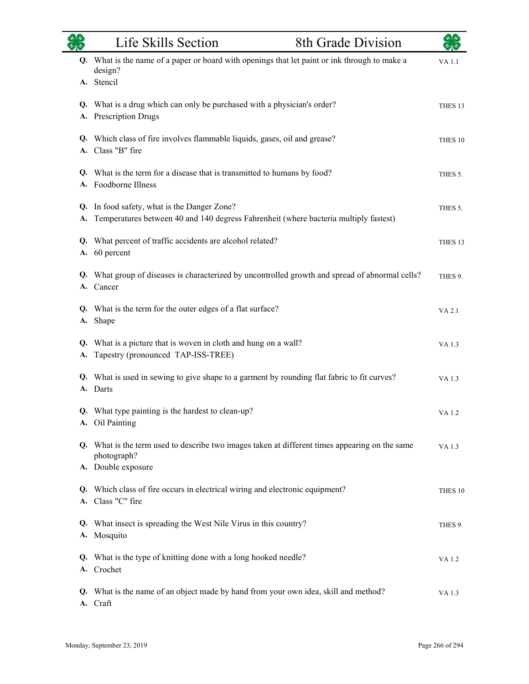|          | Life Skills Section                                                                                                                 | 8th Grade Division | $\sqrt[3]{2}$      |
|----------|-------------------------------------------------------------------------------------------------------------------------------------|--------------------|--------------------|
|          | Q. What is the name of a paper or board with openings that let paint or ink through to make a<br>design?<br>A. Stencil              |                    | VA 1.1             |
| А.       | Q. What is a drug which can only be purchased with a physician's order?<br>Prescription Drugs                                       |                    | THES <sub>13</sub> |
|          | Q. Which class of fire involves flammable liquids, gases, oil and grease?<br>A. Class "B" fire                                      |                    | THES 10            |
| Q.       | What is the term for a disease that is transmitted to humans by food?<br>A. Foodborne Illness                                       |                    | THES 5.            |
| Q.<br>А. | In food safety, what is the Danger Zone?<br>Temperatures between 40 and 140 degress Fahrenheit (where bacteria multiply fastest)    |                    | THES 5.            |
| А.       | Q. What percent of traffic accidents are alcohol related?<br>60 percent                                                             |                    | THES <sub>13</sub> |
|          | Q. What group of diseases is characterized by uncontrolled growth and spread of abnormal cells?<br>A. Cancer                        |                    | THES 9.            |
| A.       | Q. What is the term for the outer edges of a flat surface?<br>Shape                                                                 |                    | VA 2.1             |
| А.       | Q. What is a picture that is woven in cloth and hung on a wall?<br>Tapestry (pronounced TAP-ISS-TREE)                               |                    | VA 1.3             |
|          | Q. What is used in sewing to give shape to a garment by rounding flat fabric to fit curves?<br>A. Darts                             |                    | VA 1.3             |
|          | Q. What type painting is the hardest to clean-up?<br>A. Oil Painting                                                                |                    | VA 1.2             |
|          | Q. What is the term used to describe two images taken at different times appearing on the same<br>photograph?<br>A. Double exposure |                    | VA 1.3             |
| Q.       | Which class of fire occurs in electrical wiring and electronic equipment?<br>A. Class "C" fire                                      |                    | THES 10            |
|          | Q. What insect is spreading the West Nile Virus in this country?<br>A. Mosquito                                                     |                    | THES 9.            |
|          | Q. What is the type of knitting done with a long hooked needle?<br>A. Crochet                                                       |                    | VA 1.2             |
|          | Q. What is the name of an object made by hand from your own idea, skill and method?<br>A. Craft                                     |                    | VA 1.3             |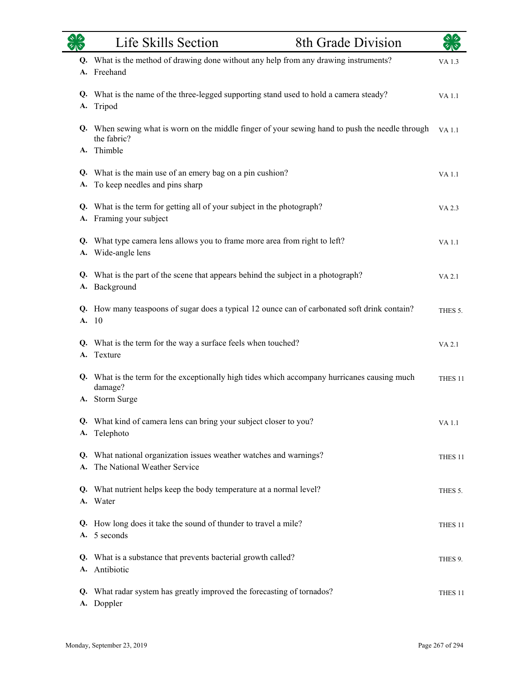| $\star$ $\star$ | Life Skills Section<br>8th Grade Division                                                                                 | ৯13                |
|-----------------|---------------------------------------------------------------------------------------------------------------------------|--------------------|
|                 | Q. What is the method of drawing done without any help from any drawing instruments?<br>A. Freehand                       | VA 1.3             |
| <b>A.</b>       | Q. What is the name of the three-legged supporting stand used to hold a camera steady?<br>Tripod                          | <b>VA1.1</b>       |
|                 | Q. When sewing what is worn on the middle finger of your sewing hand to push the needle through<br>the fabric?            | <b>VA1.1</b>       |
| A.              | Thimble                                                                                                                   |                    |
|                 | Q. What is the main use of an emery bag on a pin cushion?<br>A. To keep needles and pins sharp                            | <b>VA1.1</b>       |
|                 | Q. What is the term for getting all of your subject in the photograph?<br>A. Framing your subject                         | VA 2.3             |
|                 | Q. What type camera lens allows you to frame more area from right to left?<br>A. Wide-angle lens                          | VA 1.1             |
|                 | Q. What is the part of the scene that appears behind the subject in a photograph?<br>A. Background                        | <b>VA 2.1</b>      |
|                 | Q. How many teaspoons of sugar does a typical 12 ounce can of carbonated soft drink contain?<br>A. 10                     | THES 5.            |
|                 | Q. What is the term for the way a surface feels when touched?<br>A. Texture                                               | VA 2.1             |
|                 | Q. What is the term for the exceptionally high tides which accompany hurricanes causing much<br>damage?<br>A. Storm Surge | THES <sub>11</sub> |
|                 | Q. What kind of camera lens can bring your subject closer to you?<br>A. Telephoto                                         | <b>VA1.1</b>       |
|                 | Q. What national organization issues weather watches and warnings?<br>A. The National Weather Service                     | THES <sub>11</sub> |
|                 | Q. What nutrient helps keep the body temperature at a normal level?<br>A. Water                                           | THES 5.            |
|                 | Q. How long does it take the sound of thunder to travel a mile?<br>A. 5 seconds                                           | THES <sub>11</sub> |
|                 | Q. What is a substance that prevents bacterial growth called?<br>A. Antibiotic                                            | THES 9.            |
|                 | Q. What radar system has greatly improved the forecasting of tornados?<br>A. Doppler                                      | THES <sub>11</sub> |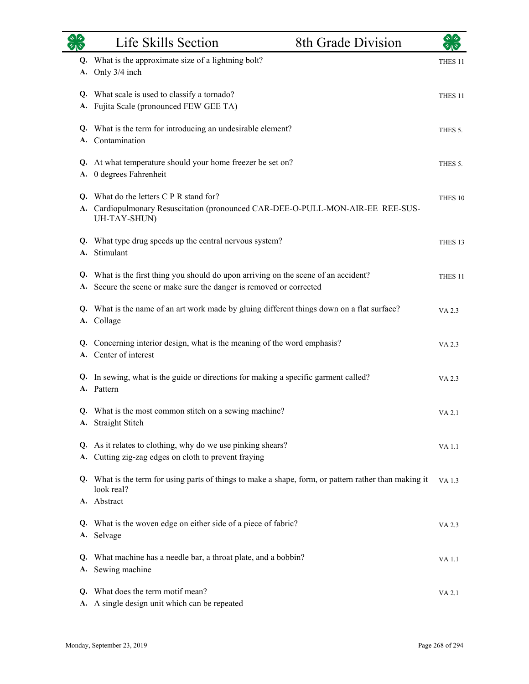|          | Life Skills Section                                                                                                                                  | 8th Grade Division |                    |
|----------|------------------------------------------------------------------------------------------------------------------------------------------------------|--------------------|--------------------|
| Q.<br>А. | What is the approximate size of a lightning bolt?<br>Only 3/4 inch                                                                                   |                    | THES <sub>11</sub> |
| А.       | Q. What scale is used to classify a tornado?<br>Fujita Scale (pronounced FEW GEE TA)                                                                 |                    | THES 11            |
| Q.<br>A. | What is the term for introducing an undesirable element?<br>Contamination                                                                            |                    | THES 5.            |
| А.       | Q. At what temperature should your home freezer be set on?<br>0 degrees Fahrenheit                                                                   |                    | THES 5.            |
|          | Q. What do the letters C P R stand for?<br>A. Cardiopulmonary Resuscitation (pronounced CAR-DEE-O-PULL-MON-AIR-EE REE-SUS-<br>UH-TAY-SHUN)           |                    | THES 10            |
| Q.<br>А. | What type drug speeds up the central nervous system?<br>Stimulant                                                                                    |                    | THES <sub>13</sub> |
| Q.<br>А. | What is the first thing you should do upon arriving on the scene of an accident?<br>Secure the scene or make sure the danger is removed or corrected |                    | THES 11            |
| А.       | Q. What is the name of an art work made by gluing different things down on a flat surface?<br>Collage                                                |                    | VA 2.3             |
| Q.<br>А. | Concerning interior design, what is the meaning of the word emphasis?<br>Center of interest                                                          |                    | VA 2.3             |
|          | Q. In sewing, what is the guide or directions for making a specific garment called?<br>A. Pattern                                                    |                    | VA 2.3             |
|          | Q. What is the most common stitch on a sewing machine?<br>A. Straight Stitch                                                                         |                    | VA 2.1             |
| А.       | Q. As it relates to clothing, why do we use pinking shears?<br>Cutting zig-zag edges on cloth to prevent fraying                                     |                    | VA 1.1             |
|          | Q. What is the term for using parts of things to make a shape, form, or pattern rather than making it<br>look real?                                  |                    | VA 1.3             |
|          | A. Abstract                                                                                                                                          |                    |                    |
| А.       | Q. What is the woven edge on either side of a piece of fabric?<br>Selvage                                                                            |                    | VA 2.3             |
| Q.<br>А. | What machine has a needle bar, a throat plate, and a bobbin?<br>Sewing machine                                                                       |                    | VA 1.1             |
| Q.<br>А. | What does the term motif mean?<br>A single design unit which can be repeated                                                                         |                    | VA 2.1             |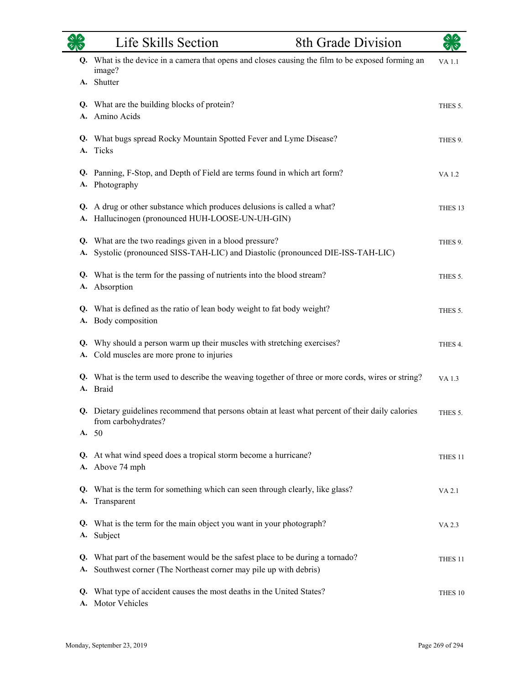| タルや      | Life Skills Section                                                                                                                            | 8th Grade Division | ৰ বি               |
|----------|------------------------------------------------------------------------------------------------------------------------------------------------|--------------------|--------------------|
| Q.       | What is the device in a camera that opens and closes causing the film to be exposed forming an<br>image?<br>A. Shutter                         |                    | VA 1.1             |
| A.       | Q. What are the building blocks of protein?<br>Amino Acids                                                                                     |                    | THES 5.            |
| A.       | Q. What bugs spread Rocky Mountain Spotted Fever and Lyme Disease?<br>Ticks                                                                    |                    | THES 9.            |
| A.       | Q. Panning, F-Stop, and Depth of Field are terms found in which art form?<br>Photography                                                       |                    | VA 1.2             |
| A.       | Q. A drug or other substance which produces delusions is called a what?<br>Hallucinogen (pronounced HUH-LOOSE-UN-UH-GIN)                       |                    | THES <sub>13</sub> |
| Q.       | What are the two readings given in a blood pressure?<br>A. Systolic (pronounced SISS-TAH-LIC) and Diastolic (pronounced DIE-ISS-TAH-LIC)       |                    | THES 9.            |
| Q.       | What is the term for the passing of nutrients into the blood stream?<br>A. Absorption                                                          |                    | THES 5.            |
| A.       | Q. What is defined as the ratio of lean body weight to fat body weight?<br>Body composition                                                    |                    | THES 5.            |
| Q.<br>А. | Why should a person warm up their muscles with stretching exercises?<br>Cold muscles are more prone to injuries                                |                    | THES 4.            |
|          | Q. What is the term used to describe the weaving together of three or more cords, wires or string?<br>A. Braid                                 |                    | VA 1.3             |
| A.       | Q. Dietary guidelines recommend that persons obtain at least what percent of their daily calories<br>from carbohydrates?<br>50                 |                    | THES 5.            |
|          | Q. At what wind speed does a tropical storm become a hurricane?<br>A. Above 74 mph                                                             |                    | THES <sub>11</sub> |
| Q.<br>А. | What is the term for something which can seen through clearly, like glass?<br>Transparent                                                      |                    | VA 2.1             |
|          | Q. What is the term for the main object you want in your photograph?<br>A. Subject                                                             |                    | VA 2.3             |
| Q.<br>A. | What part of the basement would be the safest place to be during a tornado?<br>Southwest corner (The Northeast corner may pile up with debris) |                    | THES <sub>11</sub> |
| Q.<br>A. | What type of accident causes the most deaths in the United States?<br>Motor Vehicles                                                           |                    | THES 10            |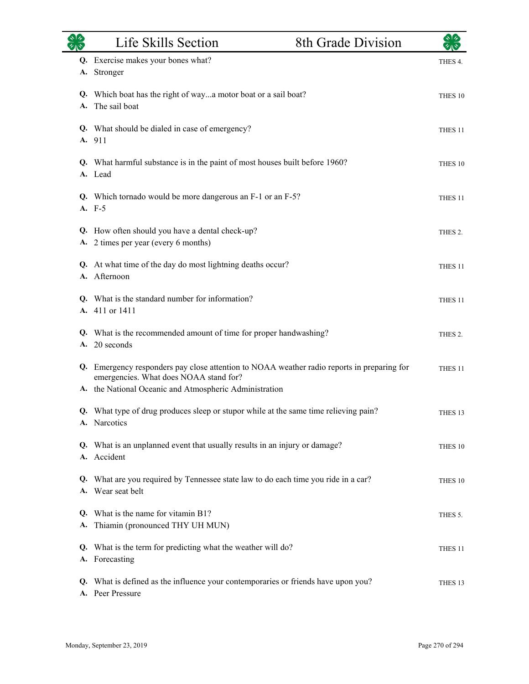|    | Life Skills Section                                                                                                                                                                         | 8th Grade Division | $\sqrt[3]{2}$      |
|----|---------------------------------------------------------------------------------------------------------------------------------------------------------------------------------------------|--------------------|--------------------|
| А. | Q. Exercise makes your bones what?<br>Stronger                                                                                                                                              |                    | THES 4.            |
|    | Q. Which boat has the right of waya motor boat or a sail boat?<br>A. The sail boat                                                                                                          |                    | THES 10            |
|    | Q. What should be dialed in case of emergency?<br>A. 911                                                                                                                                    |                    | THES <sub>11</sub> |
|    | Q. What harmful substance is in the paint of most houses built before 1960?<br>A. Lead                                                                                                      |                    | THES 10            |
|    | Q. Which tornado would be more dangerous an F-1 or an F-5?<br>A. F-5                                                                                                                        |                    | THES <sub>11</sub> |
| А. | Q. How often should you have a dental check-up?<br>2 times per year (every 6 months)                                                                                                        |                    | THES 2.            |
|    | Q. At what time of the day do most lightning deaths occur?<br>A. Afternoon                                                                                                                  |                    | THES <sub>11</sub> |
|    | Q. What is the standard number for information?<br>A. 411 or 1411                                                                                                                           |                    | THES <sub>11</sub> |
|    | Q. What is the recommended amount of time for proper handwashing?<br>A. 20 seconds                                                                                                          |                    | THES 2.            |
| Q. | Emergency responders pay close attention to NOAA weather radio reports in preparing for<br>emergencies. What does NOAA stand for?<br>A. the National Oceanic and Atmospheric Administration |                    | THES 11            |
|    | Q. What type of drug produces sleep or stupor while at the same time relieving pain?<br>A. Narcotics                                                                                        |                    | THES <sub>13</sub> |
|    | Q. What is an unplanned event that usually results in an injury or damage?<br>A. Accident                                                                                                   |                    | THES 10            |
|    | Q. What are you required by Tennessee state law to do each time you ride in a car?<br>A. Wear seat belt                                                                                     |                    | THES 10            |
|    | Q. What is the name for vitamin B1?<br>A. Thiamin (pronounced THY UH MUN)                                                                                                                   |                    | THES 5.            |
|    | Q. What is the term for predicting what the weather will do?<br>A. Forecasting                                                                                                              |                    | THES 11            |
|    | Q. What is defined as the influence your contemporaries or friends have upon you?<br>A. Peer Pressure                                                                                       |                    | THES 13            |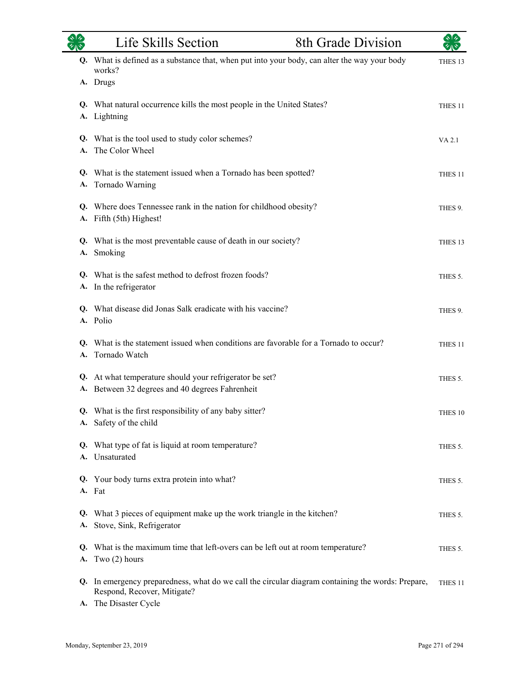| $\frac{1}{\sqrt{2}}$ | Life Skills Section<br>8th Grade Division                                                                                                           |                     |  |
|----------------------|-----------------------------------------------------------------------------------------------------------------------------------------------------|---------------------|--|
|                      | Q. What is defined as a substance that, when put into your body, can alter the way your body<br>works?<br>A. Drugs                                  | THES <sub>13</sub>  |  |
| А.                   | Q. What natural occurrence kills the most people in the United States?<br>Lightning                                                                 | THES <sub>11</sub>  |  |
| A.                   | Q. What is the tool used to study color schemes?<br>The Color Wheel                                                                                 | VA 2.1              |  |
|                      | Q. What is the statement issued when a Tornado has been spotted?<br>A. Tornado Warning                                                              | THES <sub>11</sub>  |  |
| A.                   | Q. Where does Tennessee rank in the nation for childhood obesity?<br>Fifth (5th) Highest!                                                           | THES <sub>9</sub> . |  |
| A.                   | Q. What is the most preventable cause of death in our society?<br>Smoking                                                                           | THES 13             |  |
|                      | Q. What is the safest method to defrost frozen foods?<br>A. In the refrigerator                                                                     | THES 5.             |  |
|                      | Q. What disease did Jonas Salk eradicate with his vaccine?<br>A. Polio                                                                              | THES 9.             |  |
|                      | Q. What is the statement issued when conditions are favorable for a Tornado to occur?<br>A. Tornado Watch                                           | THES <sub>11</sub>  |  |
|                      | Q. At what temperature should your refrigerator be set?<br>A. Between 32 degrees and 40 degrees Fahrenheit                                          | THES 5.             |  |
|                      | Q. What is the first responsibility of any baby sitter?<br>A. Safety of the child                                                                   | THES 10             |  |
| Q.<br>A.             | What type of fat is liquid at room temperature?<br>Unsaturated                                                                                      | THES 5.             |  |
| Q.                   | Your body turns extra protein into what?<br>A. Fat                                                                                                  | THES 5.             |  |
| Q.<br>A.             | What 3 pieces of equipment make up the work triangle in the kitchen?<br>Stove, Sink, Refrigerator                                                   | THES 5.             |  |
| Q.<br>A.             | What is the maximum time that left-overs can be left out at room temperature?<br>Two $(2)$ hours                                                    | THES 5.             |  |
| Q.<br><b>A.</b>      | In emergency preparedness, what do we call the circular diagram containing the words: Prepare,<br>Respond, Recover, Mitigate?<br>The Disaster Cycle | THES <sub>11</sub>  |  |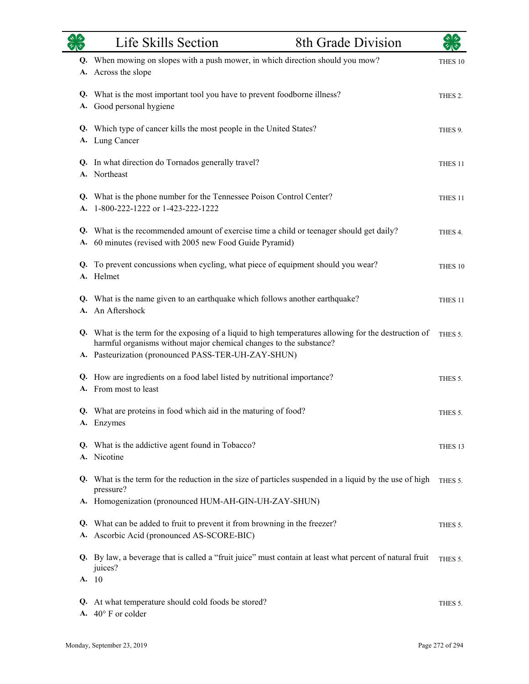|          | Life Skills Section                                                                                                                                                                                                                | <b>8th Grade Division</b> | কাক                |
|----------|------------------------------------------------------------------------------------------------------------------------------------------------------------------------------------------------------------------------------------|---------------------------|--------------------|
|          | Q. When mowing on slopes with a push mower, in which direction should you mow?<br>A. Across the slope                                                                                                                              |                           | THES 10            |
| А.       | Q. What is the most important tool you have to prevent foodborne illness?<br>Good personal hygiene                                                                                                                                 |                           | THES 2.            |
|          | Q. Which type of cancer kills the most people in the United States?<br>A. Lung Cancer                                                                                                                                              |                           | THES 9.            |
|          | Q. In what direction do Tornados generally travel?<br>A. Northeast                                                                                                                                                                 |                           | THES <sub>11</sub> |
| A.       | Q. What is the phone number for the Tennessee Poison Control Center?<br>1-800-222-1222 or 1-423-222-1222                                                                                                                           |                           | THES 11            |
|          | Q. What is the recommended amount of exercise time a child or teenager should get daily?<br>A. 60 minutes (revised with 2005 new Food Guide Pyramid)                                                                               |                           | THES 4.            |
|          | Q. To prevent concussions when cycling, what piece of equipment should you wear?<br>A. Helmet                                                                                                                                      |                           | THES 10            |
|          | Q. What is the name given to an earthquake which follows another earthquake?<br>A. An Aftershock                                                                                                                                   |                           | THES <sub>11</sub> |
|          | Q. What is the term for the exposing of a liquid to high temperatures allowing for the destruction of<br>harmful organisms without major chemical changes to the substance?<br>A. Pasteurization (pronounced PASS-TER-UH-ZAY-SHUN) |                           | THES 5.            |
| Q.       | How are ingredients on a food label listed by nutritional importance?<br>A. From most to least                                                                                                                                     |                           | THES 5.            |
|          | Q. What are proteins in food which aid in the maturing of food?<br>A. Enzymes                                                                                                                                                      |                           | THES 5.            |
| Q.<br>А. | What is the addictive agent found in Tobacco?<br>Nicotine                                                                                                                                                                          |                           | THES <sub>13</sub> |
| Q.       | What is the term for the reduction in the size of particles suspended in a liquid by the use of high<br>pressure?<br>A. Homogenization (pronounced HUM-AH-GIN-UH-ZAY-SHUN)                                                         |                           | THES 5.            |
| Q.<br>А. | What can be added to fruit to prevent it from browning in the freezer?<br>Ascorbic Acid (pronounced AS-SCORE-BIC)                                                                                                                  |                           | THES 5.            |
|          | Q. By law, a beverage that is called a "fruit juice" must contain at least what percent of natural fruit<br>juices?<br>A. 10                                                                                                       |                           | THES 5.            |
| Q.<br>А. | At what temperature should cold foods be stored?<br>40° F or colder                                                                                                                                                                |                           | THES 5.            |

 $\overline{\phantom{0}}$ 

÷.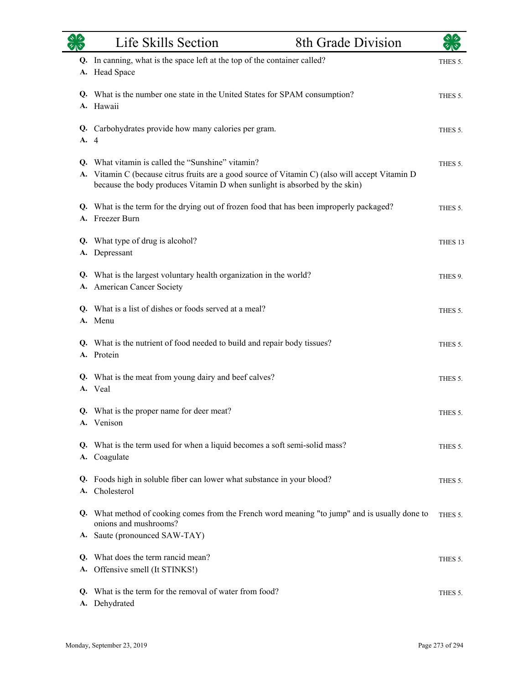| $rac{\sqrt{2}}{\sqrt{2}}$ | Life Skills Section                                                                                                                                                                                                             | 8th Grade Division | $\star$ $\star$    |
|---------------------------|---------------------------------------------------------------------------------------------------------------------------------------------------------------------------------------------------------------------------------|--------------------|--------------------|
|                           | Q. In canning, what is the space left at the top of the container called?<br>A. Head Space                                                                                                                                      |                    | THES 5.            |
|                           | Q. What is the number one state in the United States for SPAM consumption?<br>A. Hawaii                                                                                                                                         |                    | THES 5.            |
| A.                        | Q. Carbohydrates provide how many calories per gram.<br>$\overline{4}$                                                                                                                                                          |                    | THES 5.            |
| A.                        | Q. What vitamin is called the "Sunshine" vitamin?<br>Vitamin C (because citrus fruits are a good source of Vitamin C) (also will accept Vitamin D<br>because the body produces Vitamin D when sunlight is absorbed by the skin) |                    | THES 5.            |
|                           | Q. What is the term for the drying out of frozen food that has been improperly packaged?<br>A. Freezer Burn                                                                                                                     |                    | THES 5.            |
|                           | Q. What type of drug is alcohol?<br>A. Depressant                                                                                                                                                                               |                    | THES <sub>13</sub> |
|                           | Q. What is the largest voluntary health organization in the world?<br>A. American Cancer Society                                                                                                                                |                    | THES 9.            |
|                           | Q. What is a list of dishes or foods served at a meal?<br>A. Menu                                                                                                                                                               |                    | THES 5.            |
|                           | Q. What is the nutrient of food needed to build and repair body tissues?<br>A. Protein                                                                                                                                          |                    | THES 5.            |
|                           | Q. What is the meat from young dairy and beef calves?<br>A. Veal                                                                                                                                                                |                    | THES 5.            |
|                           | Q. What is the proper name for deer meat?<br>A. Venison                                                                                                                                                                         |                    | THES 5.            |
| А.                        | Q. What is the term used for when a liquid becomes a soft semi-solid mass?<br>Coagulate                                                                                                                                         |                    | THES 5.            |
| Q.<br>A.                  | Foods high in soluble fiber can lower what substance in your blood?<br>Cholesterol                                                                                                                                              |                    | THES 5.            |
|                           | Q. What method of cooking comes from the French word meaning "to jump" and is usually done to<br>onions and mushrooms?                                                                                                          |                    | THES 5.            |
|                           | A. Saute (pronounced SAW-TAY)                                                                                                                                                                                                   |                    |                    |
| Q.<br>А.                  | What does the term rancid mean?<br>Offensive smell (It STINKS!)                                                                                                                                                                 |                    | THES 5.            |
| Q.                        | What is the term for the removal of water from food?<br>A. Dehydrated                                                                                                                                                           |                    | THES 5.            |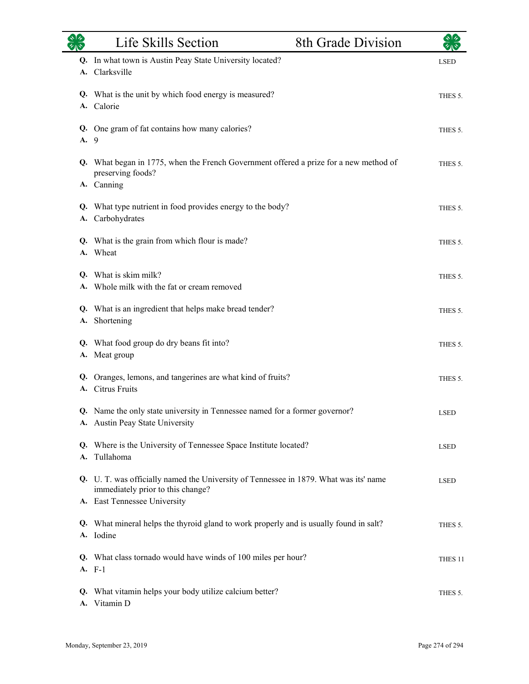|          | Life Skills Section                                                                                                                                        | 8th Grade Division | $\sqrt{4}$         |
|----------|------------------------------------------------------------------------------------------------------------------------------------------------------------|--------------------|--------------------|
| Q.<br>A. | In what town is Austin Peay State University located?<br>Clarksville                                                                                       |                    | <b>LSED</b>        |
|          | Q. What is the unit by which food energy is measured?<br>A. Calorie                                                                                        |                    | THES 5.            |
| A. 9     | Q. One gram of fat contains how many calories?                                                                                                             |                    | THES 5.            |
|          | Q. What began in 1775, when the French Government offered a prize for a new method of<br>preserving foods?<br>A. Canning                                   |                    | THES 5.            |
| А.       | Q. What type nutrient in food provides energy to the body?<br>Carbohydrates                                                                                |                    | THES 5.            |
|          | Q. What is the grain from which flour is made?<br>A. Wheat                                                                                                 |                    | THES 5.            |
|          | Q. What is skim milk?<br>A. Whole milk with the fat or cream removed                                                                                       |                    | THES 5.            |
| А.       | Q. What is an ingredient that helps make bread tender?<br>Shortening                                                                                       |                    | THES 5.            |
| А.       | Q. What food group do dry beans fit into?<br>Meat group                                                                                                    |                    | THES 5.            |
| Q.<br>A. | Oranges, lemons, and tangerines are what kind of fruits?<br><b>Citrus Fruits</b>                                                                           |                    | THES 5.            |
|          | Q. Name the only state university in Tennessee named for a former governor?<br>A. Austin Peay State University                                             |                    | <b>LSED</b>        |
| А.       | Q. Where is the University of Tennessee Space Institute located?<br>Tullahoma                                                                              |                    | <b>LSED</b>        |
|          | Q. U. T. was officially named the University of Tennessee in 1879. What was its' name<br>immediately prior to this change?<br>A. East Tennessee University |                    | <b>LSED</b>        |
|          | Q. What mineral helps the thyroid gland to work properly and is usually found in salt?<br>A. Iodine                                                        |                    | THES 5.            |
|          | Q. What class tornado would have winds of 100 miles per hour?<br>A. F-1                                                                                    |                    | THES <sub>11</sub> |
| Q.       | What vitamin helps your body utilize calcium better?<br>A. Vitamin D                                                                                       |                    | THES 5.            |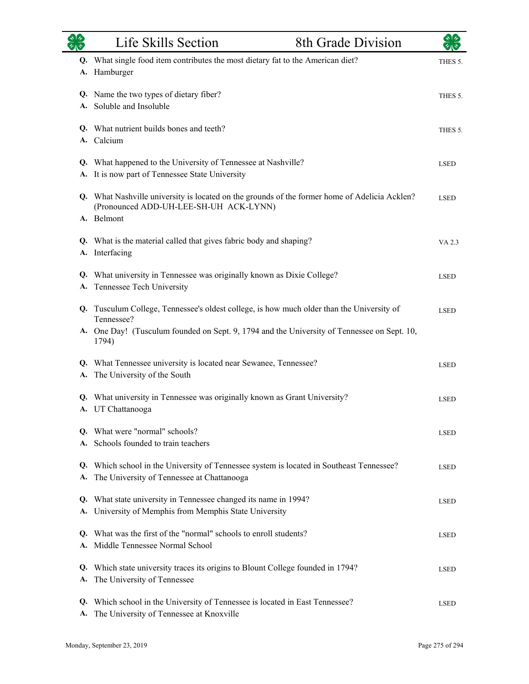| $\overline{\mathscr{C}}$ | Life Skills Section                                                                                                                                                                                             | 8th Grade Division |             |
|--------------------------|-----------------------------------------------------------------------------------------------------------------------------------------------------------------------------------------------------------------|--------------------|-------------|
| А.                       | Q. What single food item contributes the most dietary fat to the American diet?<br>Hamburger                                                                                                                    |                    | THES 5.     |
|                          | Q. Name the two types of dietary fiber?<br>A. Soluble and Insoluble                                                                                                                                             |                    | THES 5.     |
|                          | Q. What nutrient builds bones and teeth?<br>A. Calcium                                                                                                                                                          |                    | THES 5.     |
| A.                       | Q. What happened to the University of Tennessee at Nashville?<br>It is now part of Tennessee State University                                                                                                   |                    | <b>LSED</b> |
|                          | Q. What Nashville university is located on the grounds of the former home of Adelicia Acklen?<br>(Pronounced ADD-UH-LEE-SH-UH ACK-LYNN)<br>A. Belmont                                                           |                    | <b>LSED</b> |
|                          | Q. What is the material called that gives fabric body and shaping?<br>A. Interfacing                                                                                                                            |                    | VA 2.3      |
| A.                       | Q. What university in Tennessee was originally known as Dixie College?<br>Tennessee Tech University                                                                                                             |                    | <b>LSED</b> |
|                          | Q. Tusculum College, Tennessee's oldest college, is how much older than the University of<br>Tennessee?<br>A. One Day! (Tusculum founded on Sept. 9, 1794 and the University of Tennessee on Sept. 10,<br>1794) |                    | <b>LSED</b> |
|                          | Q. What Tennessee university is located near Sewanee, Tennessee?<br>A. The University of the South                                                                                                              |                    | <b>LSED</b> |
|                          | Q. What university in Tennessee was originally known as Grant University?<br>A. UT Chattanooga                                                                                                                  |                    | <b>LSED</b> |
|                          | Q. What were "normal" schools?<br>Schools founded to train teachers                                                                                                                                             |                    | <b>LSED</b> |
| A.                       | Q. Which school in the University of Tennessee system is located in Southeast Tennessee?<br>The University of Tennessee at Chattanooga                                                                          |                    | <b>LSED</b> |
| Q.<br>A.                 | What state university in Tennessee changed its name in 1994?<br>University of Memphis from Memphis State University                                                                                             |                    | <b>LSED</b> |
|                          | Q. What was the first of the "normal" schools to enroll students?<br>A. Middle Tennessee Normal School                                                                                                          |                    | <b>LSED</b> |
| Q.<br>A.                 | Which state university traces its origins to Blount College founded in 1794?<br>The University of Tennessee                                                                                                     |                    | <b>LSED</b> |
| Q.<br>А.                 | Which school in the University of Tennessee is located in East Tennessee?<br>The University of Tennessee at Knoxville                                                                                           |                    | <b>LSED</b> |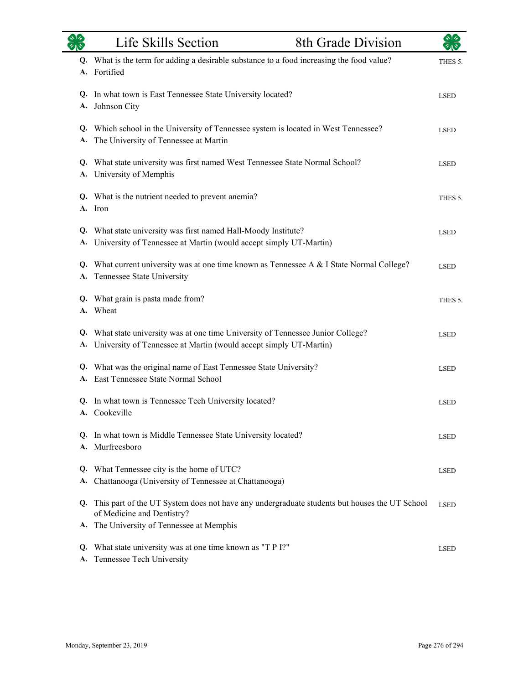|          | Life Skills Section                                                                                                                                | 8th Grade Division | $\sqrt[3]{2}$ |
|----------|----------------------------------------------------------------------------------------------------------------------------------------------------|--------------------|---------------|
|          | Q. What is the term for adding a desirable substance to a food increasing the food value?<br>A. Fortified                                          |                    | THES 5.       |
| A.       | Q. In what town is East Tennessee State University located?<br>Johnson City                                                                        |                    | <b>LSED</b>   |
| A.       | Q. Which school in the University of Tennessee system is located in West Tennessee?<br>The University of Tennessee at Martin                       |                    | <b>LSED</b>   |
| Q.<br>А. | What state university was first named West Tennessee State Normal School?<br>University of Memphis                                                 |                    | <b>LSED</b>   |
|          | Q. What is the nutrient needed to prevent anemia?<br>A. Iron                                                                                       |                    | THES 5.       |
| Q.<br>A. | What state university was first named Hall-Moody Institute?<br>University of Tennessee at Martin (would accept simply UT-Martin)                   |                    | <b>LSED</b>   |
| Q.<br>A. | What current university was at one time known as Tennessee A & I State Normal College?<br>Tennessee State University                               |                    | <b>LSED</b>   |
| A.       | Q. What grain is pasta made from?<br>Wheat                                                                                                         |                    | THES 5.       |
| Q.<br>A. | What state university was at one time University of Tennessee Junior College?<br>University of Tennessee at Martin (would accept simply UT-Martin) |                    | <b>LSED</b>   |
| A.       | Q. What was the original name of East Tennessee State University?<br>East Tennessee State Normal School                                            |                    | <b>LSED</b>   |
|          | Q. In what town is Tennessee Tech University located?<br>A. Cookeville                                                                             |                    | <b>LSED</b>   |
|          | Q. In what town is Middle Tennessee State University located?<br>A. Murfreesboro                                                                   |                    | <b>LSED</b>   |
| Q.<br>A. | What Tennessee city is the home of UTC?<br>Chattanooga (University of Tennessee at Chattanooga)                                                    |                    | <b>LSED</b>   |
|          | Q. This part of the UT System does not have any undergraduate students but houses the UT School<br>of Medicine and Dentistry?                      |                    | <b>LSED</b>   |
| A.       | The University of Tennessee at Memphis                                                                                                             |                    |               |
| Q.<br>А. | What state university was at one time known as "T P I?"<br>Tennessee Tech University                                                               |                    | <b>LSED</b>   |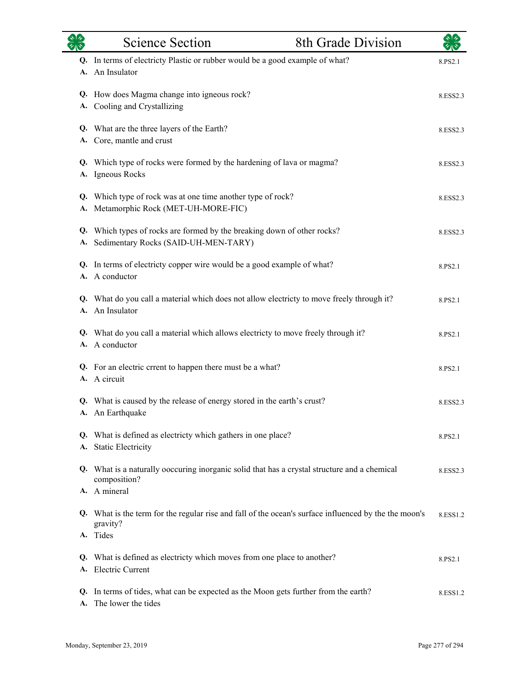| それや      | <b>Science Section</b>                                                                                                        | 8th Grade Division |          |
|----------|-------------------------------------------------------------------------------------------------------------------------------|--------------------|----------|
| А.       | Q. In terms of electricty Plastic or rubber would be a good example of what?<br>An Insulator                                  |                    | 8.PS2.1  |
| А.       | Q. How does Magma change into igneous rock?<br>Cooling and Crystallizing                                                      |                    | 8.ESS2.3 |
| А.       | Q. What are the three layers of the Earth?<br>Core, mantle and crust                                                          |                    | 8.ESS2.3 |
| А.       | Q. Which type of rocks were formed by the hardening of lava or magma?<br>Igneous Rocks                                        |                    | 8.ESS2.3 |
| А.       | Q. Which type of rock was at one time another type of rock?<br>Metamorphic Rock (MET-UH-MORE-FIC)                             |                    | 8.ESS2.3 |
| Q.       | Which types of rocks are formed by the breaking down of other rocks?<br>A. Sedimentary Rocks (SAID-UH-MEN-TARY)               |                    | 8.ESS2.3 |
|          | Q. In terms of electricty copper wire would be a good example of what?<br>A. A conductor                                      |                    | 8.PS2.1  |
|          | Q. What do you call a material which does not allow electricty to move freely through it?<br>A. An Insulator                  |                    | 8.PS2.1  |
|          | Q. What do you call a material which allows electricty to move freely through it?<br>A. A conductor                           |                    | 8.PS2.1  |
|          | Q. For an electric crrent to happen there must be a what?<br>A. A circuit                                                     |                    | 8.PS2.1  |
|          | Q. What is caused by the release of energy stored in the earth's crust?<br>A. An Earthquake                                   |                    | 8.ESS2.3 |
| А.       | Q. What is defined as electricty which gathers in one place?<br><b>Static Electricity</b>                                     |                    | 8.PS2.1  |
| Q.       | What is a naturally ooccuring inorganic solid that has a crystal structure and a chemical<br>composition?                     |                    | 8.ESS2.3 |
|          | A. A mineral                                                                                                                  |                    |          |
|          | Q. What is the term for the regular rise and fall of the ocean's surface influenced by the the moon's<br>gravity?<br>A. Tides |                    | 8.ESS1.2 |
| Q.       | What is defined as electricty which moves from one place to another?<br>A. Electric Current                                   |                    | 8.PS2.1  |
| Q.<br>А. | In terms of tides, what can be expected as the Moon gets further from the earth?<br>The lower the tides                       |                    | 8.ESS1.2 |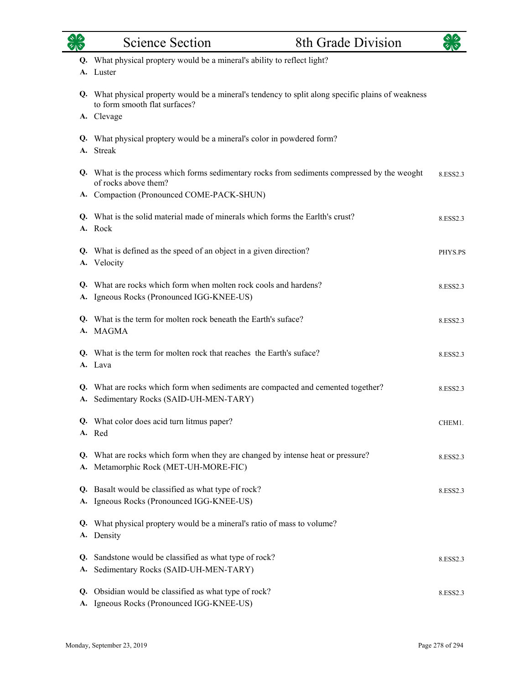|          | <b>Science Section</b>                                                                                                              | 8th Grade Division |          |
|----------|-------------------------------------------------------------------------------------------------------------------------------------|--------------------|----------|
|          | Q. What physical proptery would be a mineral's ability to reflect light?<br>A. Luster                                               |                    |          |
|          | Q. What physical property would be a mineral's tendency to split along specific plains of weakness<br>to form smooth flat surfaces? |                    |          |
|          | A. Clevage                                                                                                                          |                    |          |
|          | Q. What physical proptery would be a mineral's color in powdered form?<br>A. Streak                                                 |                    |          |
|          | Q. What is the process which forms sedimentary rocks from sediments compressed by the weoght<br>of rocks above them?                |                    | 8.ESS2.3 |
|          | A. Compaction (Pronounced COME-PACK-SHUN)                                                                                           |                    |          |
|          | Q. What is the solid material made of minerals which forms the Earlth's crust?<br>A. Rock                                           |                    | 8.ESS2.3 |
|          | Q. What is defined as the speed of an object in a given direction?<br>A. Velocity                                                   |                    | PHYS.PS  |
|          | Q. What are rocks which form when molten rock cools and hardens?<br>A. Igneous Rocks (Pronounced IGG-KNEE-US)                       |                    | 8.ESS2.3 |
|          | Q. What is the term for molten rock beneath the Earth's suface?<br>A. MAGMA                                                         |                    | 8.ESS2.3 |
|          | Q. What is the term for molten rock that reaches the Earth's suface?<br>A. Lava                                                     |                    | 8.ESS2.3 |
|          | Q. What are rocks which form when sediments are compacted and cemented together?<br>A. Sedimentary Rocks (SAID-UH-MEN-TARY)         |                    | 8.ESS2.3 |
|          | Q. What color does acid turn litmus paper?<br>A. Red                                                                                |                    | CHEM1.   |
| Q.       | What are rocks which form when they are changed by intense heat or pressure?<br>A. Metamorphic Rock (MET-UH-MORE-FIC)               |                    | 8.ESS2.3 |
|          | Q. Basalt would be classified as what type of rock?<br>A. Igneous Rocks (Pronounced IGG-KNEE-US)                                    |                    | 8.ESS2.3 |
| Q.<br>А. | What physical proptery would be a mineral's ratio of mass to volume?<br>Density                                                     |                    |          |
| Q.<br>A. | Sandstone would be classified as what type of rock?<br>Sedimentary Rocks (SAID-UH-MEN-TARY)                                         |                    | 8.ESS2.3 |
|          | Q. Obsidian would be classified as what type of rock?<br>A. Igneous Rocks (Pronounced IGG-KNEE-US)                                  |                    | 8.ESS2.3 |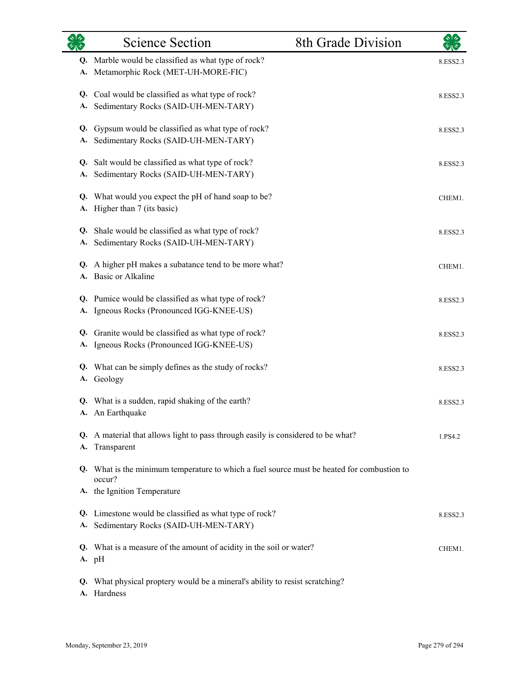| それや             | <b>Science Section</b>                                                                               | 8th Grade Division | $\sqrt[3]{2}$ |
|-----------------|------------------------------------------------------------------------------------------------------|--------------------|---------------|
| Q.<br>А.        | Marble would be classified as what type of rock?<br>Metamorphic Rock (MET-UH-MORE-FIC)               |                    | 8.ESS2.3      |
| Q.<br>А.        | Coal would be classified as what type of rock?<br>Sedimentary Rocks (SAID-UH-MEN-TARY)               |                    | 8.ESS2.3      |
| Q.<br>А.        | Gypsum would be classified as what type of rock?<br>Sedimentary Rocks (SAID-UH-MEN-TARY)             |                    | 8.ESS2.3      |
| Q.<br>А.        | Salt would be classified as what type of rock?<br>Sedimentary Rocks (SAID-UH-MEN-TARY)               |                    | 8.ESS2.3      |
| Q.<br>А.        | What would you expect the pH of hand soap to be?<br>Higher than 7 (its basic)                        |                    | CHEM1.        |
| Q.<br>А.        | Shale would be classified as what type of rock?<br>Sedimentary Rocks (SAID-UH-MEN-TARY)              |                    | 8.ESS2.3      |
| Q.<br>А.        | A higher pH makes a subatance tend to be more what?<br>Basic or Alkaline                             |                    | CHEM1.        |
| А.              | Q. Pumice would be classified as what type of rock?<br>Igneous Rocks (Pronounced IGG-KNEE-US)        |                    | 8.ESS2.3      |
| Q.<br>А.        | Granite would be classified as what type of rock?<br>Igneous Rocks (Pronounced IGG-KNEE-US)          |                    | 8.ESS2.3      |
| Q.<br><b>A.</b> | What can be simply defines as the study of rocks?<br>Geology                                         |                    | 8.ESS2.3      |
|                 | Q. What is a sudden, rapid shaking of the earth?<br>A. An Earthquake                                 |                    | 8.ESS2.3      |
| А.              | Q. A material that allows light to pass through easily is considered to be what?<br>Transparent      |                    | 1.PS4.2       |
|                 | Q. What is the minimum temperature to which a fuel source must be heated for combustion to<br>occur? |                    |               |
|                 | A. the Ignition Temperature                                                                          |                    |               |
| А.              | Q. Limestone would be classified as what type of rock?<br>Sedimentary Rocks (SAID-UH-MEN-TARY)       |                    | 8.ESS2.3      |
|                 | Q. What is a measure of the amount of acidity in the soil or water?<br>A. pH                         |                    | CHEM1.        |
| Q.              | What physical proptery would be a mineral's ability to resist scratching?<br>A. Hardness             |                    |               |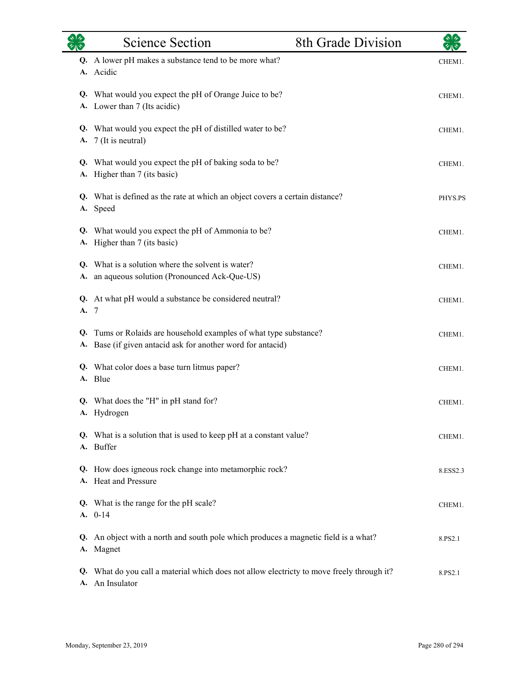|          | <b>Science Section</b>                                                                                                        | 8th Grade Division | ゃーク      |
|----------|-------------------------------------------------------------------------------------------------------------------------------|--------------------|----------|
|          | Q. A lower pH makes a substance tend to be more what?<br>A. Acidic                                                            |                    | CHEM1.   |
|          | Q. What would you expect the pH of Orange Juice to be?<br>A. Lower than 7 (Its acidic)                                        |                    | CHEM1.   |
|          | Q. What would you expect the pH of distilled water to be?<br>A. 7 (It is neutral)                                             |                    | CHEM1.   |
|          | Q. What would you expect the pH of baking soda to be?<br>A. Higher than 7 (its basic)                                         |                    | CHEM1.   |
|          | Q. What is defined as the rate at which an object covers a certain distance?<br>A. Speed                                      |                    | PHYS.PS  |
|          | Q. What would you expect the pH of Ammonia to be?<br>A. Higher than 7 (its basic)                                             |                    | CHEM1.   |
| А.       | Q. What is a solution where the solvent is water?<br>an aqueous solution (Pronounced Ack-Que-US)                              |                    | CHEM1.   |
| A. 7     | Q. At what pH would a substance be considered neutral?                                                                        |                    | CHEM1.   |
| Q.       | Tums or Rolaids are household examples of what type substance?<br>A. Base (if given antacid ask for another word for antacid) |                    | CHEM1.   |
|          | Q. What color does a base turn litmus paper?<br>A. Blue                                                                       |                    | CHEM1.   |
|          | Q. What does the "H" in pH stand for?<br>A. Hydrogen                                                                          |                    | CHEM1.   |
| А.       | Q. What is a solution that is used to keep pH at a constant value?<br>Buffer                                                  |                    | CHEM1.   |
| A.       | Q. How does igneous rock change into metamorphic rock?<br>Heat and Pressure                                                   |                    | 8.ESS2.3 |
|          | Q. What is the range for the pH scale?<br>$A. 0-14$                                                                           |                    | CHEM1.   |
| Q.       | An object with a north and south pole which produces a magnetic field is a what?<br>A. Magnet                                 |                    | 8.PS2.1  |
| Q.<br>А. | What do you call a material which does not allow electricty to move freely through it?<br>An Insulator                        |                    | 8.PS2.1  |

 $\overline{\phantom{0}}$ 

eri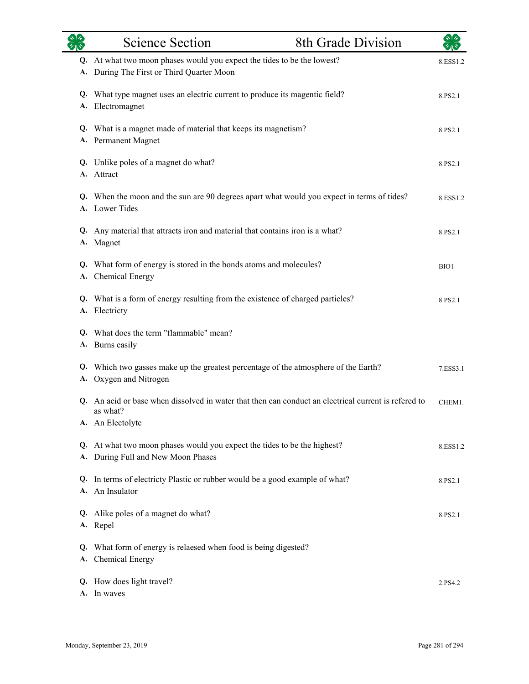|          | <b>Science Section</b>                                                                                                            | 8th Grade Division |          |
|----------|-----------------------------------------------------------------------------------------------------------------------------------|--------------------|----------|
|          | Q. At what two moon phases would you expect the tides to be the lowest?<br>A. During The First or Third Quarter Moon              |                    | 8.ESS1.2 |
|          | Q. What type magnet uses an electric current to produce its magentic field?<br>A. Electromagnet                                   |                    | 8.PS2.1  |
|          | Q. What is a magnet made of material that keeps its magnetism?<br>A. Permanent Magnet                                             |                    | 8.PS2.1  |
|          | Q. Unlike poles of a magnet do what?<br>A. Attract                                                                                |                    | 8.PS2.1  |
|          | Q. When the moon and the sun are 90 degrees apart what would you expect in terms of tides?<br>A. Lower Tides                      |                    | 8.ESS1.2 |
|          | Q. Any material that attracts iron and material that contains iron is a what?<br>A. Magnet                                        |                    | 8.PS2.1  |
|          | Q. What form of energy is stored in the bonds atoms and molecules?<br>A. Chemical Energy                                          |                    | BIO1     |
|          | Q. What is a form of energy resulting from the existence of charged particles?<br>A. Electricty                                   |                    | 8.PS2.1  |
|          | Q. What does the term "flammable" mean?<br>A. Burns easily                                                                        |                    |          |
| A.       | Q. Which two gasses make up the greatest percentage of the atmosphere of the Earth?<br>Oxygen and Nitrogen                        |                    | 7.ESS3.1 |
| Q.       | An acid or base when dissolved in water that then can conduct an electrical current is refered to<br>as what?<br>A. An Electolyte |                    | CHEM1.   |
| Q.       | At what two moon phases would you expect the tides to be the highest?<br>A. During Full and New Moon Phases                       |                    | 8.ESS1.2 |
| Q.       | In terms of electricty Plastic or rubber would be a good example of what?<br>A. An Insulator                                      |                    | 8.PS2.1  |
|          | Q. Alike poles of a magnet do what?<br>A. Repel                                                                                   |                    | 8.PS2.1  |
| Q.<br>A. | What form of energy is relaesed when food is being digested?<br><b>Chemical Energy</b>                                            |                    |          |
|          | Q. How does light travel?<br>A. In waves                                                                                          |                    | 2.PS4.2  |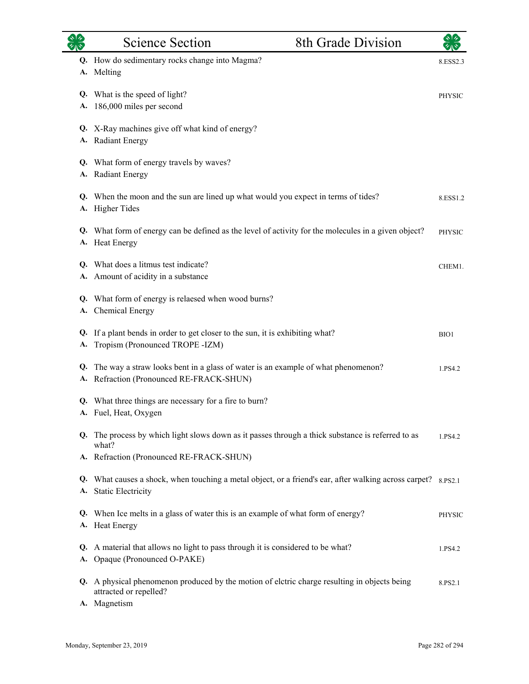|           | <b>Science Section</b>                                                                                                                        | 8th Grade Division |               |
|-----------|-----------------------------------------------------------------------------------------------------------------------------------------------|--------------------|---------------|
| <b>A.</b> | Q. How do sedimentary rocks change into Magma?<br>Melting                                                                                     |                    | 8.ESS2.3      |
| Q.<br>А.  | What is the speed of light?<br>186,000 miles per second                                                                                       |                    | <b>PHYSIC</b> |
| А.        | Q. X-Ray machines give off what kind of energy?<br><b>Radiant Energy</b>                                                                      |                    |               |
| А.        | Q. What form of energy travels by waves?<br><b>Radiant Energy</b>                                                                             |                    |               |
| А.        | Q. When the moon and the sun are lined up what would you expect in terms of tides?<br><b>Higher Tides</b>                                     |                    | 8.ESS1.2      |
|           | Q. What form of energy can be defined as the level of activity for the molecules in a given object?<br>A. Heat Energy                         |                    | <b>PHYSIC</b> |
|           | Q. What does a litmus test indicate?<br>A. Amount of acidity in a substance                                                                   |                    | CHEM1.        |
| А.        | Q. What form of energy is relaesed when wood burns?<br><b>Chemical Energy</b>                                                                 |                    |               |
| Q.<br>А.  | If a plant bends in order to get closer to the sun, it is exhibiting what?<br>Tropism (Pronounced TROPE -IZM)                                 |                    | BIO1          |
| Q.<br>А.  | The way a straw looks bent in a glass of water is an example of what phenomenon?<br>Refraction (Pronounced RE-FRACK-SHUN)                     |                    | 1.PS4.2       |
|           | Q. What three things are necessary for a fire to burn?<br>A. Fuel, Heat, Oxygen                                                               |                    |               |
|           | Q. The process by which light slows down as it passes through a thick substance is referred to as<br>what?                                    |                    | 1.PS4.2       |
|           | A. Refraction (Pronounced RE-FRACK-SHUN)                                                                                                      |                    |               |
|           | <b>Q.</b> What causes a shock, when touching a metal object, or a friend's ear, after walking across carpet? 8.PS2.1<br>A. Static Electricity |                    |               |
|           | Q. When Ice melts in a glass of water this is an example of what form of energy?<br>A. Heat Energy                                            |                    | <b>PHYSIC</b> |
| Q.<br>А.  | A material that allows no light to pass through it is considered to be what?<br>Opaque (Pronounced O-PAKE)                                    |                    | 1.PS4.2       |
| Q.        | A physical phenomenon produced by the motion of eletric charge resulting in objects being<br>attracted or repelled?                           |                    | 8.PS2.1       |
|           | A. Magnetism                                                                                                                                  |                    |               |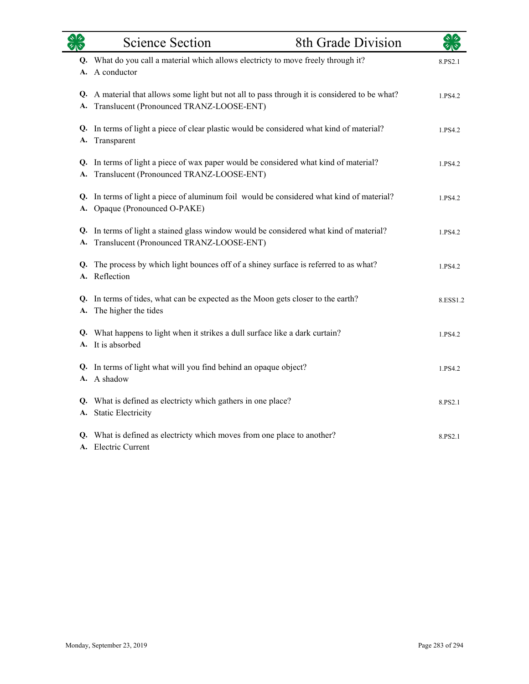| <b>OR</b> | <b>Science Section</b>                                                                                                                       | 8th Grade Division | やみ       |
|-----------|----------------------------------------------------------------------------------------------------------------------------------------------|--------------------|----------|
|           | Q. What do you call a material which allows electricty to move freely through it?<br>A. A conductor                                          |                    | 8.PS2.1  |
|           | Q. A material that allows some light but not all to pass through it is considered to be what?<br>A. Translucent (Pronounced TRANZ-LOOSE-ENT) |                    | 1.PS4.2  |
|           | Q. In terms of light a piece of clear plastic would be considered what kind of material?<br>A. Transparent                                   |                    | 1.PS4.2  |
|           | Q. In terms of light a piece of wax paper would be considered what kind of material?<br>A. Translucent (Pronounced TRANZ-LOOSE-ENT)          |                    | 1.PS4.2  |
|           | Q. In terms of light a piece of aluminum foil would be considered what kind of material?<br>A. Opaque (Pronounced O-PAKE)                    |                    | 1.PS4.2  |
|           | Q. In terms of light a stained glass window would be considered what kind of material?<br>A. Translucent (Pronounced TRANZ-LOOSE-ENT)        |                    | 1.PS4.2  |
|           | Q. The process by which light bounces off of a shiney surface is referred to as what?<br>A. Reflection                                       |                    | 1.PS4.2  |
|           | Q. In terms of tides, what can be expected as the Moon gets closer to the earth?<br>A. The higher the tides                                  |                    | 8.ESS1.2 |
|           | Q. What happens to light when it strikes a dull surface like a dark curtain?<br>A. It is absorbed                                            |                    | 1.PS4.2  |
|           | Q. In terms of light what will you find behind an opaque object?<br>A. A shadow                                                              |                    | 1.PS4.2  |
|           | Q. What is defined as electricty which gathers in one place?<br>A. Static Electricity                                                        |                    | 8.PS2.1  |
|           | Q. What is defined as electricty which moves from one place to another?<br>A. Electric Current                                               |                    | 8.PS2.1  |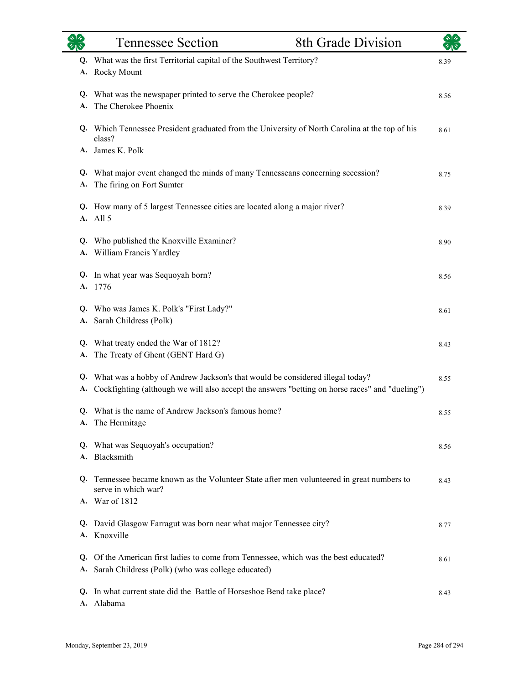|          | <b>Tennessee Section</b>                                                                                                                                                       | 8th Grade Division |      |
|----------|--------------------------------------------------------------------------------------------------------------------------------------------------------------------------------|--------------------|------|
| Q.<br>А. | What was the first Territorial capital of the Southwest Territory?<br><b>Rocky Mount</b>                                                                                       |                    | 8.39 |
| А.       | Q. What was the newspaper printed to serve the Cherokee people?<br>The Cherokee Phoenix                                                                                        |                    | 8.56 |
|          | Q. Which Tennessee President graduated from the University of North Carolina at the top of his<br>class?<br>A. James K. Polk                                                   |                    | 8.61 |
| Q.<br>А. | What major event changed the minds of many Tennesseans concerning secession?<br>The firing on Fort Sumter                                                                      |                    | 8.75 |
|          | Q. How many of 5 largest Tennessee cities are located along a major river?<br>A. All 5                                                                                         |                    | 8.39 |
| Q.       | Who published the Knoxville Examiner?<br>A. William Francis Yardley                                                                                                            |                    | 8.90 |
| Q.<br>А. | In what year was Sequoyah born?<br>1776                                                                                                                                        |                    | 8.56 |
|          | Q. Who was James K. Polk's "First Lady?"<br>A. Sarah Childress (Polk)                                                                                                          |                    | 8.61 |
| Q.<br>А. | What treaty ended the War of 1812?<br>The Treaty of Ghent (GENT Hard G)                                                                                                        |                    | 8.43 |
| Q.<br>А. | What was a hobby of Andrew Jackson's that would be considered illegal today?<br>Cockfighting (although we will also accept the answers "betting on horse races" and "dueling") |                    | 8.55 |
| А.       | Q. What is the name of Andrew Jackson's famous home?<br>The Hermitage                                                                                                          |                    | 8.55 |
| Q.<br>A. | What was Sequoyah's occupation?<br>Blacksmith                                                                                                                                  |                    | 8.56 |
| O.       | Tennessee became known as the Volunteer State after men volunteered in great numbers to<br>serve in which war?                                                                 |                    | 8.43 |
| Q.       | A. War of 1812<br>David Glasgow Farragut was born near what major Tennessee city?                                                                                              |                    | 8.77 |
| A.<br>Q. | Knoxville<br>Of the American first ladies to come from Tennessee, which was the best educated?                                                                                 |                    | 8.61 |
| А.       | Sarah Childress (Polk) (who was college educated)                                                                                                                              |                    |      |
| Q.<br>А. | In what current state did the Battle of Horseshoe Bend take place?<br>Alabama                                                                                                  |                    | 8.43 |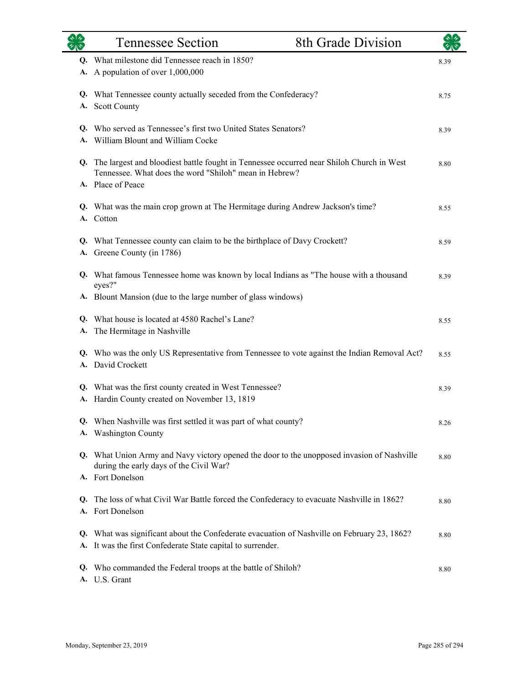|    | <b>Tennessee Section</b>                                                                                                                                                   | 8th Grade Division |      |
|----|----------------------------------------------------------------------------------------------------------------------------------------------------------------------------|--------------------|------|
|    | Q. What milestone did Tennessee reach in 1850?<br>A. A population of over 1,000,000                                                                                        |                    | 8.39 |
| A. | Q. What Tennessee county actually seceded from the Confederacy?<br><b>Scott County</b>                                                                                     |                    | 8.75 |
| A. | Q. Who served as Tennessee's first two United States Senators?<br>William Blount and William Cocke                                                                         |                    |      |
|    | Q. The largest and bloodiest battle fought in Tennessee occurred near Shiloh Church in West<br>Tennessee. What does the word "Shiloh" mean in Hebrew?<br>A. Place of Peace |                    | 8.80 |
|    | Q. What was the main crop grown at The Hermitage during Andrew Jackson's time?<br>A. Cotton                                                                                |                    | 8.55 |
|    | Q. What Tennessee county can claim to be the birthplace of Davy Crockett?<br>A. Greene County (in 1786)                                                                    |                    | 8.59 |
|    | Q. What famous Tennessee home was known by local Indians as "The house with a thousand<br>eyes?"                                                                           |                    | 8.39 |
|    | A. Blount Mansion (due to the large number of glass windows)                                                                                                               |                    |      |
|    | Q. What house is located at 4580 Rachel's Lane?<br>A. The Hermitage in Nashville                                                                                           |                    | 8.55 |
|    | Q. Who was the only US Representative from Tennessee to vote against the Indian Removal Act?<br>A. David Crockett                                                          |                    | 8.55 |
| A. | Q. What was the first county created in West Tennessee?<br>Hardin County created on November 13, 1819                                                                      |                    | 8.39 |
|    | Q. When Nashville was first settled it was part of what county?<br>A. Washington County                                                                                    |                    | 8.26 |
|    | Q. What Union Army and Navy victory opened the door to the unopposed invasion of Nashville<br>during the early days of the Civil War?                                      |                    | 8.80 |
|    | A. Fort Donelson                                                                                                                                                           |                    |      |
| Q. | The loss of what Civil War Battle forced the Confederacy to evacuate Nashville in 1862?<br>A. Fort Donelson                                                                |                    | 8.80 |
|    | Q. What was significant about the Confederate evacuation of Nashville on February 23, 1862?<br>A. It was the first Confederate State capital to surrender.                 |                    | 8.80 |
|    | Q. Who commanded the Federal troops at the battle of Shiloh?<br>A. U.S. Grant                                                                                              |                    | 8.80 |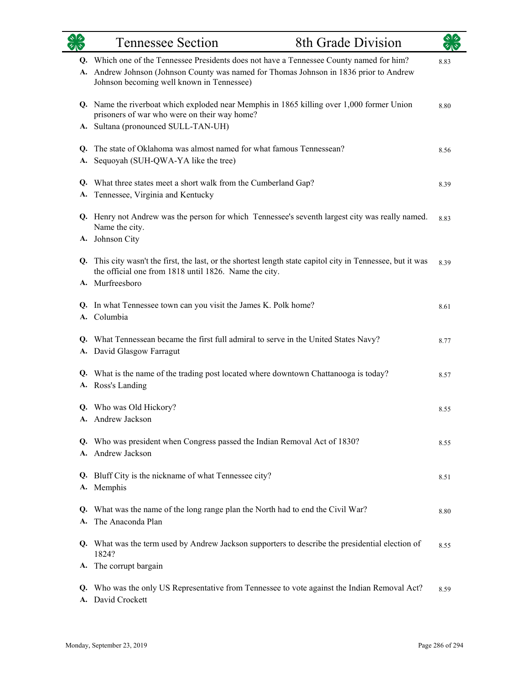|          | 8th Grade Division<br><b>Tennessee Section</b>                                                                                                                                                                                  |      |
|----------|---------------------------------------------------------------------------------------------------------------------------------------------------------------------------------------------------------------------------------|------|
|          | Q. Which one of the Tennessee Presidents does not have a Tennessee County named for him?<br>A. Andrew Johnson (Johnson County was named for Thomas Johnson in 1836 prior to Andrew<br>Johnson becoming well known in Tennessee) | 8.83 |
|          | Q. Name the riverboat which exploded near Memphis in 1865 killing over 1,000 former Union<br>prisoners of war who were on their way home?<br>A. Sultana (pronounced SULL-TAN-UH)                                                | 8.80 |
| Q.<br>A. | The state of Oklahoma was almost named for what famous Tennessean?<br>Sequoyah (SUH-QWA-YA like the tree)                                                                                                                       | 8.56 |
| Q.<br>А. | What three states meet a short walk from the Cumberland Gap?<br>Tennessee, Virginia and Kentucky                                                                                                                                | 8.39 |
|          | Q. Henry not Andrew was the person for which Tennessee's seventh largest city was really named.<br>Name the city.                                                                                                               | 8.83 |
|          | A. Johnson City<br>Q. This city wasn't the first, the last, or the shortest length state capitol city in Tennessee, but it was<br>the official one from 1818 until 1826. Name the city.                                         | 8.39 |
|          | A. Murfreesboro                                                                                                                                                                                                                 |      |
| Q.<br>A. | In what Tennessee town can you visit the James K. Polk home?<br>Columbia                                                                                                                                                        | 8.61 |
| Q.       | What Tennessean became the first full admiral to serve in the United States Navy?<br>A. David Glasgow Farragut                                                                                                                  | 8.77 |
| Q.       | What is the name of the trading post located where downtown Chattanooga is today?<br>A. Ross's Landing                                                                                                                          | 8.57 |
|          | Q. Who was Old Hickory?<br>A. Andrew Jackson                                                                                                                                                                                    | 8.55 |
| Q.<br>А. | Who was president when Congress passed the Indian Removal Act of 1830?<br>Andrew Jackson                                                                                                                                        | 8.55 |
| Q.       | Bluff City is the nickname of what Tennessee city?<br>A. Memphis                                                                                                                                                                | 8.51 |
| Q.<br>A. | What was the name of the long range plan the North had to end the Civil War?<br>The Anaconda Plan                                                                                                                               | 8.80 |
| Q.       | What was the term used by Andrew Jackson supporters to describe the presidential election of<br>1824?                                                                                                                           | 8.55 |
| А.       | The corrupt bargain                                                                                                                                                                                                             |      |
| Q.<br>А. | Who was the only US Representative from Tennessee to vote against the Indian Removal Act?<br>David Crockett                                                                                                                     | 8.59 |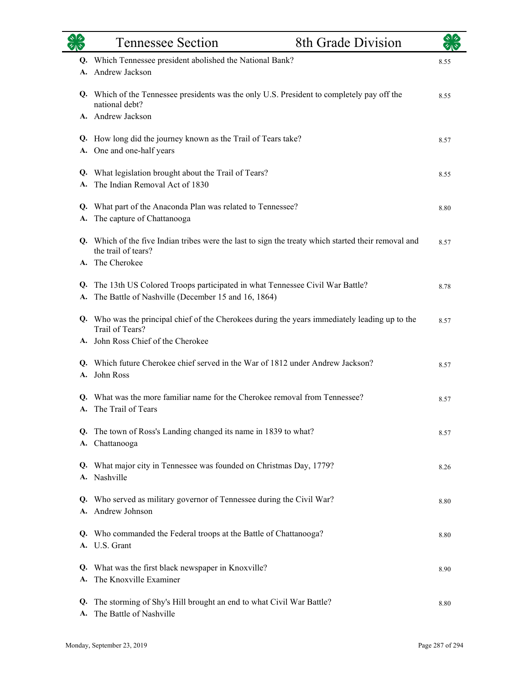|          | <b>Tennessee Section</b>                                                                                                             | 8th Grade Division |      |
|----------|--------------------------------------------------------------------------------------------------------------------------------------|--------------------|------|
| A.       | Q. Which Tennessee president abolished the National Bank?<br>Andrew Jackson                                                          |                    | 8.55 |
|          | Q. Which of the Tennessee presidents was the only U.S. President to completely pay off the<br>national debt?                         |                    | 8.55 |
|          | A. Andrew Jackson                                                                                                                    |                    |      |
|          | Q. How long did the journey known as the Trail of Tears take?<br>A. One and one-half years                                           |                    | 8.57 |
|          | Q. What legislation brought about the Trail of Tears?<br>The Indian Removal Act of 1830                                              |                    | 8.55 |
| A.       | Q. What part of the Anaconda Plan was related to Tennessee?<br>The capture of Chattanooga                                            |                    | 8.80 |
|          | Q. Which of the five Indian tribes were the last to sign the treaty which started their removal and<br>the trail of tears?           |                    | 8.57 |
|          | A. The Cherokee                                                                                                                      |                    |      |
| A.       | Q. The 13th US Colored Troops participated in what Tennessee Civil War Battle?<br>The Battle of Nashville (December 15 and 16, 1864) |                    | 8.78 |
|          | Q. Who was the principal chief of the Cherokees during the years immediately leading up to the<br>Trail of Tears?                    |                    | 8.57 |
|          | A. John Ross Chief of the Cherokee                                                                                                   |                    |      |
|          | Q. Which future Cherokee chief served in the War of 1812 under Andrew Jackson?<br>A. John Ross                                       |                    | 8.57 |
| Q.<br>A. | What was the more familiar name for the Cherokee removal from Tennessee?<br>The Trail of Tears                                       |                    | 8.57 |
|          | Q. The town of Ross's Landing changed its name in 1839 to what?<br>A. Chattanooga                                                    |                    | 8.57 |
| A.       | Q. What major city in Tennessee was founded on Christmas Day, 1779?<br>Nashville                                                     |                    | 8.26 |
| Q.       | Who served as military governor of Tennessee during the Civil War?<br>Andrew Johnson                                                 |                    | 8.80 |
|          | Q. Who commanded the Federal troops at the Battle of Chattanooga?<br>A. U.S. Grant                                                   |                    | 8.80 |
| Q.<br>A. | What was the first black newspaper in Knoxville?<br>The Knoxville Examiner                                                           |                    | 8.90 |
| Q.       | The storming of Shy's Hill brought an end to what Civil War Battle?<br>The Battle of Nashville                                       |                    | 8.80 |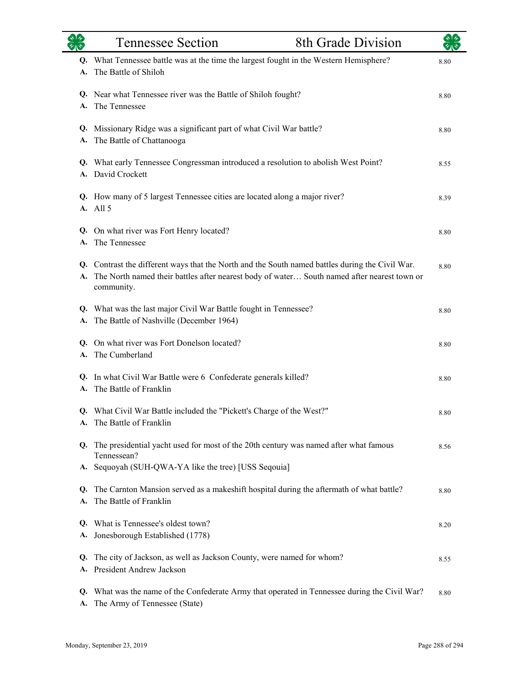| $\overline{\mathscr{C}}$ | <b>Tennessee Section</b>                                                                                                                                                                                        | 8th Grade Division |      |
|--------------------------|-----------------------------------------------------------------------------------------------------------------------------------------------------------------------------------------------------------------|--------------------|------|
| Q.<br>A.                 | What Tennessee battle was at the time the largest fought in the Western Hemisphere?<br>The Battle of Shiloh                                                                                                     |                    | 8.80 |
| A.                       | Q. Near what Tennessee river was the Battle of Shiloh fought?<br>The Tennessee                                                                                                                                  |                    | 8.80 |
| A.                       | Q. Missionary Ridge was a significant part of what Civil War battle?<br>The Battle of Chattanooga                                                                                                               |                    | 8.80 |
| A.                       | Q. What early Tennessee Congressman introduced a resolution to abolish West Point?<br>David Crockett                                                                                                            |                    | 8.55 |
|                          | Q. How many of 5 largest Tennessee cities are located along a major river?<br>A. All 5                                                                                                                          |                    | 8.39 |
| Q.<br>A.                 | On what river was Fort Henry located?<br>The Tennessee                                                                                                                                                          |                    | 8.80 |
|                          | Q. Contrast the different ways that the North and the South named battles during the Civil War.<br>A. The North named their battles after nearest body of water South named after nearest town or<br>community. |                    | 8.80 |
| A.                       | Q. What was the last major Civil War Battle fought in Tennessee?<br>The Battle of Nashville (December 1964)                                                                                                     |                    | 8.80 |
| A.                       | Q. On what river was Fort Donelson located?<br>The Cumberland                                                                                                                                                   |                    | 8.80 |
| A.                       | Q. In what Civil War Battle were 6 Confederate generals killed?<br>The Battle of Franklin                                                                                                                       |                    | 8.80 |
|                          | Q. What Civil War Battle included the "Pickett's Charge of the West?"<br>The Battle of Franklin                                                                                                                 |                    | 8.80 |
| Q.<br>А.                 | The presidential yacht used for most of the 20th century was named after what famous<br>Tennessean?<br>Sequoyah (SUH-QWA-YA like the tree) [USS Seqouia]                                                        |                    | 8.56 |
| Q.<br>A.                 | The Carnton Mansion served as a makeshift hospital during the aftermath of what battle?<br>The Battle of Franklin                                                                                               |                    | 8.80 |
| Q.<br>А.                 | What is Tennessee's oldest town?<br>Jonesborough Established (1778)                                                                                                                                             |                    | 8.20 |
| Q.<br>А.                 | The city of Jackson, as well as Jackson County, were named for whom?<br>President Andrew Jackson                                                                                                                |                    | 8.55 |
| Q.<br>A.                 | What was the name of the Confederate Army that operated in Tennessee during the Civil War?<br>The Army of Tennessee (State)                                                                                     |                    | 8.80 |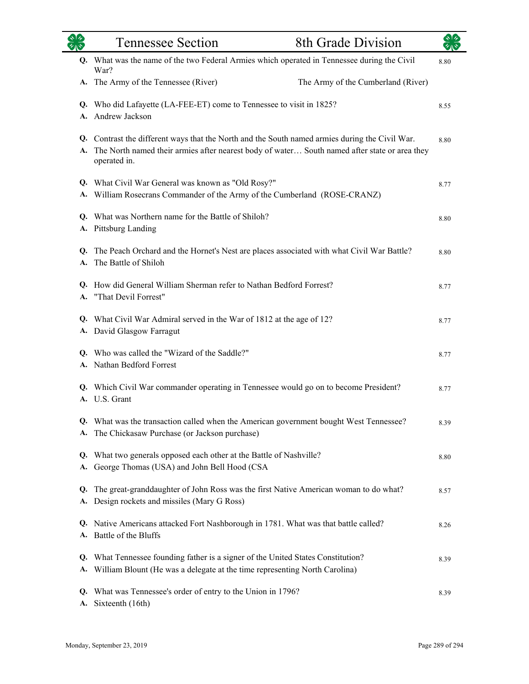|                 | <b>Tennessee Section</b>                                                                                                                                                                                        | 8th Grade Division                 |      |
|-----------------|-----------------------------------------------------------------------------------------------------------------------------------------------------------------------------------------------------------------|------------------------------------|------|
| Q.              | What was the name of the two Federal Armies which operated in Tennessee during the Civil<br>War?                                                                                                                |                                    | 8.80 |
|                 | A. The Army of the Tennessee (River)                                                                                                                                                                            | The Army of the Cumberland (River) |      |
| A.              | Q. Who did Lafayette (LA-FEE-ET) come to Tennessee to visit in 1825?<br>Andrew Jackson                                                                                                                          |                                    | 8.55 |
| A.              | Q. Contrast the different ways that the North and the South named armies during the Civil War.<br>The North named their armies after nearest body of water South named after state or area they<br>operated in. |                                    | 8.80 |
|                 | Q. What Civil War General was known as "Old Rosy?"<br>A. William Rosecrans Commander of the Army of the Cumberland (ROSE-CRANZ)                                                                                 |                                    | 8.77 |
| А.              | Q. What was Northern name for the Battle of Shiloh?<br><b>Pittsburg Landing</b>                                                                                                                                 |                                    | 8.80 |
| Q.<br>A.        | The Peach Orchard and the Hornet's Nest are places associated with what Civil War Battle?<br>The Battle of Shiloh                                                                                               |                                    | 8.80 |
|                 | Q. How did General William Sherman refer to Nathan Bedford Forrest?<br>A. "That Devil Forrest"                                                                                                                  |                                    | 8.77 |
| A.              | Q. What Civil War Admiral served in the War of 1812 at the age of 12?<br>David Glasgow Farragut                                                                                                                 |                                    | 8.77 |
|                 | Q. Who was called the "Wizard of the Saddle?"<br>A. Nathan Bedford Forrest                                                                                                                                      |                                    | 8.77 |
| A.              | Q. Which Civil War commander operating in Tennessee would go on to become President?<br>U.S. Grant                                                                                                              |                                    | 8.77 |
|                 | Q. What was the transaction called when the American government bought West Tennessee?<br>A. The Chickasaw Purchase (or Jackson purchase)                                                                       |                                    | 8.39 |
| А.              | Q. What two generals opposed each other at the Battle of Nashville?<br>George Thomas (USA) and John Bell Hood (CSA                                                                                              |                                    | 8.80 |
| Q.<br>А.        | The great-granddaughter of John Ross was the first Native American woman to do what?<br>Design rockets and missiles (Mary G Ross)                                                                               |                                    | 8.57 |
|                 | Q. Native Americans attacked Fort Nashborough in 1781. What was that battle called?<br>A. Battle of the Bluffs                                                                                                  |                                    | 8.26 |
| Q.              | What Tennessee founding father is a signer of the United States Constitution?<br>A. William Blount (He was a delegate at the time representing North Carolina)                                                  |                                    | 8.39 |
| Q.<br><b>A.</b> | What was Tennessee's order of entry to the Union in 1796?<br>Sixteenth (16th)                                                                                                                                   |                                    | 8.39 |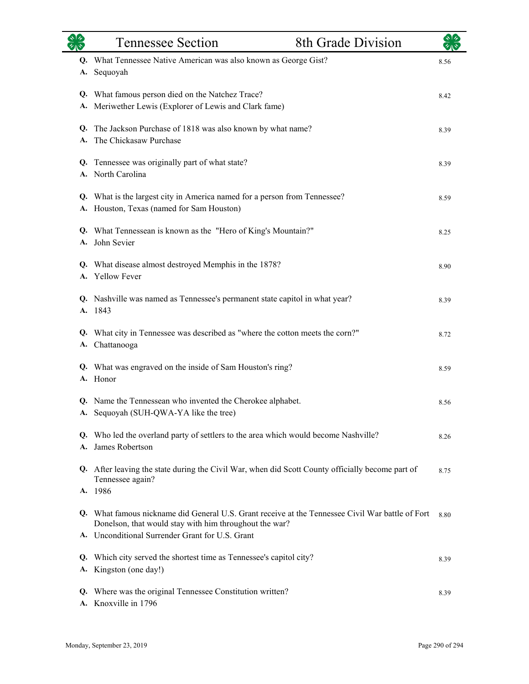|          | <b>Tennessee Section</b>                                                                                               | 8th Grade Division |      |
|----------|------------------------------------------------------------------------------------------------------------------------|--------------------|------|
| A.       | Q. What Tennessee Native American was also known as George Gist?<br>Sequoyah                                           |                    | 8.56 |
| Q.<br>A. | What famous person died on the Natchez Trace?<br>Meriwether Lewis (Explorer of Lewis and Clark fame)                   |                    | 8.42 |
| Q.<br>A. | The Jackson Purchase of 1818 was also known by what name?<br>The Chickasaw Purchase                                    |                    | 8.39 |
|          | Q. Tennessee was originally part of what state?<br>A. North Carolina                                                   |                    | 8.39 |
|          | Q. What is the largest city in America named for a person from Tennessee?<br>A. Houston, Texas (named for Sam Houston) |                    | 8.59 |
|          | Q. What Tennessean is known as the "Hero of King's Mountain?"<br>A. John Sevier                                        |                    | 8.25 |
| Q.       | What disease almost destroyed Memphis in the 1878?<br>A. Yellow Fever                                                  |                    | 8.90 |
|          | Q. Nashville was named as Tennessee's permanent state capitol in what year?<br>A. 1843                                 |                    | 8.39 |
| Q.<br>А. | What city in Tennessee was described as "where the cotton meets the corn?"<br>Chattanooga                              |                    | 8.72 |
|          | Q. What was engraved on the inside of Sam Houston's ring?<br>A. Honor                                                  |                    | 8.59 |
|          | Q. Name the Tennessean who invented the Cherokee alphabet.<br>A. Sequoyah (SUH-OWA-YA like the tree)                   |                    | 8.56 |
| A.       | Q. Who led the overland party of settlers to the area which would become Nashville?<br>James Robertson                 |                    | 8.26 |
|          | Q. After leaving the state during the Civil War, when did Scott County officially become part of<br>Tennessee again?   |                    | 8.75 |
| Q.       | A. 1986<br>What famous nickname did General U.S. Grant receive at the Tennessee Civil War battle of Fort               |                    | 8.80 |
|          | Donelson, that would stay with him throughout the war?<br>A. Unconditional Surrender Grant for U.S. Grant              |                    |      |
| Q.<br>А. | Which city served the shortest time as Tennessee's capitol city?<br>Kingston (one day!)                                |                    | 8.39 |
| Q.<br>А. | Where was the original Tennessee Constitution written?<br>Knoxville in 1796                                            |                    | 8.39 |

L.

÷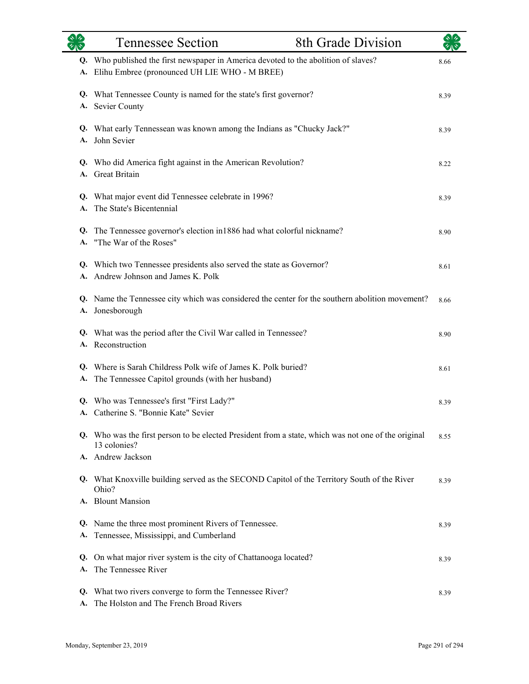|          | <b>Tennessee Section</b>                                                                                                                | 8th Grade Division |      |
|----------|-----------------------------------------------------------------------------------------------------------------------------------------|--------------------|------|
|          | Q. Who published the first newspaper in America devoted to the abolition of slaves?<br>A. Elihu Embree (pronounced UH LIE WHO - M BREE) |                    | 8.66 |
| А.       | Q. What Tennessee County is named for the state's first governor?<br>Sevier County                                                      |                    | 8.39 |
|          | Q. What early Tennessean was known among the Indians as "Chucky Jack?"<br>A. John Sevier                                                |                    | 8.39 |
|          | Q. Who did America fight against in the American Revolution?<br>A. Great Britain                                                        |                    | 8.22 |
|          | Q. What major event did Tennessee celebrate in 1996?<br>A. The State's Bicentennial                                                     |                    | 8.39 |
|          | Q. The Tennessee governor's election in 1886 had what colorful nickname?<br>A. "The War of the Roses"                                   |                    | 8.90 |
|          | Q. Which two Tennessee presidents also served the state as Governor?<br>A. Andrew Johnson and James K. Polk                             |                    | 8.61 |
|          | Q. Name the Tennessee city which was considered the center for the southern abolition movement?<br>A. Jonesborough                      |                    | 8.66 |
|          | Q. What was the period after the Civil War called in Tennessee?<br>A. Reconstruction                                                    |                    | 8.90 |
|          | Q. Where is Sarah Childress Polk wife of James K. Polk buried?<br>A. The Tennessee Capitol grounds (with her husband)                   |                    | 8.61 |
|          | Q. Who was Tennessee's first "First Lady?"<br>A. Catherine S. "Bonnie Kate" Sevier                                                      |                    | 8.39 |
|          | Q. Who was the first person to be elected President from a state, which was not one of the original<br>13 colonies?                     |                    | 8.55 |
|          | A. Andrew Jackson                                                                                                                       |                    |      |
|          | Q. What Knoxville building served as the SECOND Capitol of the Territory South of the River<br>Ohio?                                    |                    | 8.39 |
|          | A. Blount Mansion                                                                                                                       |                    |      |
|          | Q. Name the three most prominent Rivers of Tennessee.<br>A. Tennessee, Mississippi, and Cumberland                                      |                    | 8.39 |
| Q.<br>А. | On what major river system is the city of Chattanooga located?<br>The Tennessee River                                                   |                    | 8.39 |
| Q.<br>A. | What two rivers converge to form the Tennessee River?<br>The Holston and The French Broad Rivers                                        |                    | 8.39 |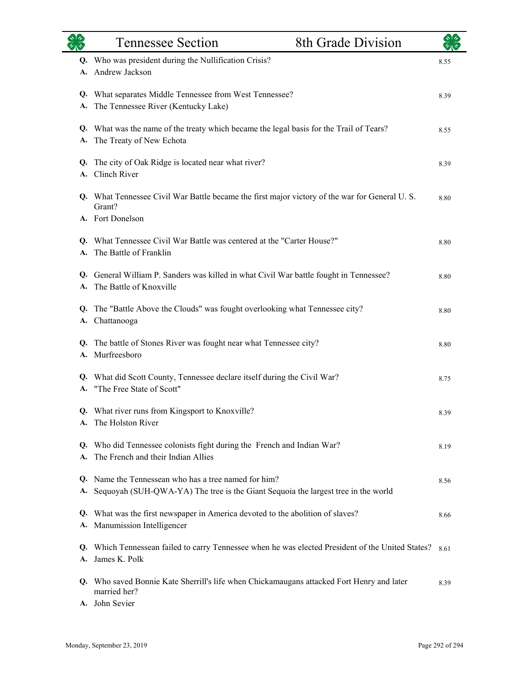|          | <b>Tennessee Section</b>                                                                                                               | 8th Grade Division |      |
|----------|----------------------------------------------------------------------------------------------------------------------------------------|--------------------|------|
|          | Q. Who was president during the Nullification Crisis?<br>A. Andrew Jackson                                                             |                    | 8.55 |
| Q.<br>A. | What separates Middle Tennessee from West Tennessee?<br>The Tennessee River (Kentucky Lake)                                            |                    | 8.39 |
| А.       | Q. What was the name of the treaty which became the legal basis for the Trail of Tears?<br>The Treaty of New Echota                    |                    | 8.55 |
| Q.<br>A. | The city of Oak Ridge is located near what river?<br>Clinch River                                                                      |                    | 8.39 |
|          | Q. What Tennessee Civil War Battle became the first major victory of the war for General U.S.<br>Grant?                                |                    | 8.80 |
| Q.<br>A. | A. Fort Donelson<br>What Tennessee Civil War Battle was centered at the "Carter House?"<br>The Battle of Franklin                      |                    | 8.80 |
| Q.<br>A. | General William P. Sanders was killed in what Civil War battle fought in Tennessee?<br>The Battle of Knoxville                         |                    | 8.80 |
| Q.<br>A. | The "Battle Above the Clouds" was fought overlooking what Tennessee city?<br>Chattanooga                                               |                    | 8.80 |
| Q.<br>А. | The battle of Stones River was fought near what Tennessee city?<br>Murfreesboro                                                        |                    | 8.80 |
| А.       | Q. What did Scott County, Tennessee declare itself during the Civil War?<br>"The Free State of Scott"                                  |                    | 8.75 |
|          | Q. What river runs from Kingsport to Knoxville?<br>A. The Holston River                                                                |                    | 8.39 |
| А.       | Q. Who did Tennessee colonists fight during the French and Indian War?<br>The French and their Indian Allies                           |                    | 8.19 |
| O.<br>A. | Name the Tennessean who has a tree named for him?<br>Sequoyah (SUH-QWA-YA) The tree is the Giant Sequoia the largest tree in the world |                    | 8.56 |
| Q.       | What was the first newspaper in America devoted to the abolition of slaves?<br>A. Manumission Intelligencer                            |                    | 8.66 |
| Q.<br>А. | Which Tennessean failed to carry Tennessee when he was elected President of the United States?<br>James K. Polk                        |                    | 8.61 |
|          | Q. Who saved Bonnie Kate Sherrill's life when Chickamaugans attacked Fort Henry and later<br>married her?                              |                    | 8.39 |
|          | A. John Sevier                                                                                                                         |                    |      |

L.

٠